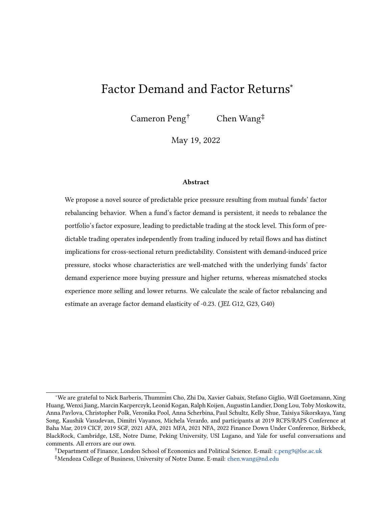# <span id="page-0-0"></span>Factor Demand and Factor Returns<sup>∗</sup>

Cameron Peng† Chen Wang‡

May 19, 2022

#### Abstract

We propose a novel source of predictable price pressure resulting from mutual funds' factor rebalancing behavior. When a fund's factor demand is persistent, it needs to rebalance the portfolio's factor exposure, leading to predictable trading at the stock level. This form of predictable trading operates independently from trading induced by retail flows and has distinct implications for cross-sectional return predictability. Consistent with demand-induced price pressure, stocks whose characteristics are well-matched with the underlying funds' factor demand experience more buying pressure and higher returns, whereas mismatched stocks experience more selling and lower returns. We calculate the scale of factor rebalancing and estimate an average factor demand elasticity of -0.23. (*JEL G12*, *G23*, *G40*)

<sup>∗</sup>We are grateful to Nick Barberis, Thummim Cho, Zhi Da, Xavier Gabaix, Stefano Giglio, Will Goetzmann, Xing Huang, Wenxi Jiang, Marcin Kacperczyk, Leonid Kogan, Ralph Koijen, Augustin Landier, Dong Lou, Toby Moskowitz, Anna Pavlova, Christopher Polk, Veronika Pool, Anna Scherbina, Paul Schultz, Kelly Shue, Taisiya Sikorskaya, Yang Song, Kaushik Vasudevan, Dimitri Vayanos, Michela Verardo, and participants at 2019 RCFS/RAPS Conference at Baha Mar, 2019 CICF, 2019 SGF, 2021 AFA, 2021 MFA, 2021 NFA, 2022 Finance Down Under Conference, Birkbeck, BlackRock, Cambridge, LSE, Notre Dame, Peking University, USI Lugano, and Yale for useful conversations and comments. All errors are our own.

<sup>†</sup>Department of Finance, London School of Economics and Political Science. E-mail: [c.peng9@lse.ac.uk](mailto:c.peng9@lse.ac.uk) ‡Mendoza College of Business, University of Notre Dame. E-mail: [chen.wang@nd.edu](mailto:chen.wang@nd.edu)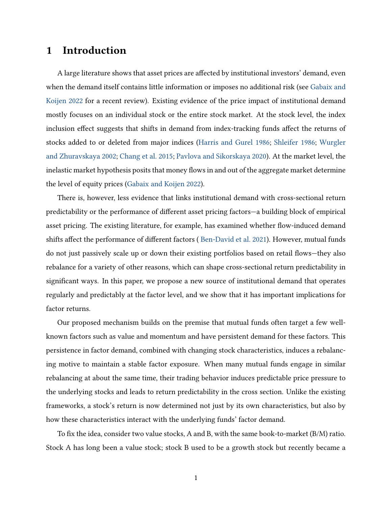# 1 Introduction

A large literature shows that asset prices are affected by institutional investors' demand, even when the demand itself contains little information or imposes no additional risk (see [Gabaix and](#page-29-0) [Koijen](#page-29-0) [2022](#page-29-0) for a recent review). Existing evidence of the price impact of institutional demand mostly focuses on an individual stock or the entire stock market. At the stock level, the index inclusion effect suggests that shifts in demand from index-tracking funds affect the returns of stocks added to or deleted from major indices [\(Harris and Gurel](#page-29-1) [1986;](#page-29-1) [Shleifer](#page-30-0) [1986;](#page-30-0) [Wurgler](#page-31-0) [and Zhuravskaya](#page-31-0) [2002;](#page-31-0) [Chang et al.](#page-28-0) [2015;](#page-28-0) [Pavlova and Sikorskaya](#page-30-1) [2020\)](#page-30-1). At the market level, the inelastic market hypothesis posits that money flows in and out of the aggregate market determine the level of equity prices [\(Gabaix and Koijen](#page-29-0) [2022\)](#page-29-0).

There is, however, less evidence that links institutional demand with cross-sectional return predictability or the performance of different asset pricing factors—a building block of empirical asset pricing. The existing literature, for example, has examined whether flow-induced demand shifts affect the performance of different factors ( [Ben-David et al.](#page-28-1) [2021\)](#page-28-1). However, mutual funds do not just passively scale up or down their existing portfolios based on retail flows—they also rebalance for a variety of other reasons, which can shape cross-sectional return predictability in significant ways. In this paper, we propose a new source of institutional demand that operates regularly and predictably at the factor level, and we show that it has important implications for factor returns.

Our proposed mechanism builds on the premise that mutual funds often target a few wellknown factors such as value and momentum and have persistent demand for these factors. This persistence in factor demand, combined with changing stock characteristics, induces a rebalancing motive to maintain a stable factor exposure. When many mutual funds engage in similar rebalancing at about the same time, their trading behavior induces predictable price pressure to the underlying stocks and leads to return predictability in the cross section. Unlike the existing frameworks, a stock's return is now determined not just by its own characteristics, but also by how these characteristics interact with the underlying funds' factor demand.

To fix the idea, consider two value stocks, A and B, with the same book-to-market (B/M) ratio. Stock A has long been a value stock; stock B used to be a growth stock but recently became a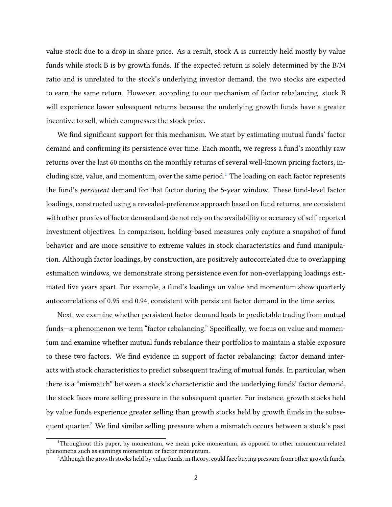value stock due to a drop in share price. As a result, stock A is currently held mostly by value funds while stock B is by growth funds. If the expected return is solely determined by the B/M ratio and is unrelated to the stock's underlying investor demand, the two stocks are expected to earn the same return. However, according to our mechanism of factor rebalancing, stock B will experience lower subsequent returns because the underlying growth funds have a greater incentive to sell, which compresses the stock price.

We find significant support for this mechanism. We start by estimating mutual funds' factor demand and confirming its persistence over time. Each month, we regress a fund's monthly raw returns over the last 60 months on the monthly returns of several well-known pricing factors, in-cluding size, value, and momentum, over the same period.<sup>[1](#page-0-0)</sup> The loading on each factor represents the fund's persistent demand for that factor during the 5-year window. These fund-level factor loadings, constructed using a revealed-preference approach based on fund returns, are consistent with other proxies of factor demand and do not rely on the availability or accuracy of self-reported investment objectives. In comparison, holding-based measures only capture a snapshot of fund behavior and are more sensitive to extreme values in stock characteristics and fund manipulation. Although factor loadings, by construction, are positively autocorrelated due to overlapping estimation windows, we demonstrate strong persistence even for non-overlapping loadings estimated five years apart. For example, a fund's loadings on value and momentum show quarterly autocorrelations of 0.95 and 0.94, consistent with persistent factor demand in the time series.

Next, we examine whether persistent factor demand leads to predictable trading from mutual funds—a phenomenon we term "factor rebalancing." Specifically, we focus on value and momentum and examine whether mutual funds rebalance their portfolios to maintain a stable exposure to these two factors. We find evidence in support of factor rebalancing: factor demand interacts with stock characteristics to predict subsequent trading of mutual funds. In particular, when there is a "mismatch" between a stock's characteristic and the underlying funds' factor demand, the stock faces more selling pressure in the subsequent quarter. For instance, growth stocks held by value funds experience greater selling than growth stocks held by growth funds in the subse-quent quarter.<sup>[2](#page-0-0)</sup> We find similar selling pressure when a mismatch occurs between a stock's past

<sup>&</sup>lt;sup>1</sup>Throughout this paper, by momentum, we mean price momentum, as opposed to other momentum-related phenomena such as earnings momentum or factor momentum.

 $<sup>2</sup>$ Although the growth stocks held by value funds, in theory, could face buying pressure from other growth funds,</sup>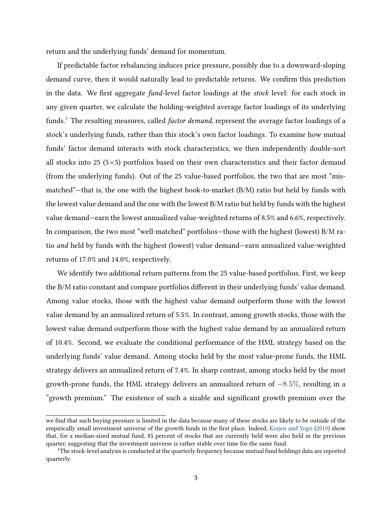return and the underlying funds' demand for momentum.

If predictable factor rebalancing induces price pressure, possibly due to a downward-sloping demand curve, then it would naturally lead to predictable returns. We confirm this prediction in the data. We first aggregate fund-level factor loadings at the stock level: for each stock in any given quarter, we calculate the holding-weighted average factor loadings of its underlying funds.<sup>[3](#page-0-0)</sup> The resulting measures, called *factor demand*, represent the average factor loadings of a stock's underlying funds, rather than this stock's own factor loadings. To examine how mutual funds' factor demand interacts with stock characteristics, we then independently double-sort all stocks into 25 ( $5\times5$ ) portfolios based on their own characteristics and their factor demand (from the underlying funds). Out of the 25 value-based portfolios, the two that are most "mismatched"—that is, the one with the highest book-to-market (B/M) ratio but held by funds with the lowest value demand and the one with the lowest B/M ratio but held by funds with the highest value demand—earn the lowest annualized value-weighted returns of 8.5% and 6.6%, respectively. In comparison, the two most "well-matched" portfolios—those with the highest (lowest) B/M ratio and held by funds with the highest (lowest) value demand—earn annualized value-weighted returns of 17.0% and 14.0%, respectively.

We identify two additional return patterns from the 25 value-based portfolios. First, we keep the B/M ratio constant and compare portfolios different in their underlying funds' value demand. Among value stocks, those with the highest value demand outperform those with the lowest value demand by an annualized return of 5.5%. In contrast, among growth stocks, those with the lowest value demand outperform those with the highest value demand by an annualized return of 10.4%. Second, we evaluate the conditional performance of the HML strategy based on the underlying funds' value demand. Among stocks held by the most value-prone funds, the HML strategy delivers an annualized return of 7.4%. In sharp contrast, among stocks held by the most growth-prone funds, the HML strategy delivers an annualized return of  $-8.5\%$ , resulting in a "growth premium." The existence of such a sizable and significant growth premium over the

we find that such buying pressure is limited in the data because many of these stocks are likely to be outside of the empirically small investment universe of the growth funds in the first place. Indeed, [Koijen and Yogo](#page-30-2) [\(2019\)](#page-30-2) show that, for a median-sized mutual fund, 85 percent of stocks that are currently held were also held in the previous quarter, suggesting that the investment universe is rather stable over time for the same fund.

<sup>&</sup>lt;sup>3</sup>The stock-level analysis is conducted at the quarterly frequency because mutual fund holdings data are reported quarterly.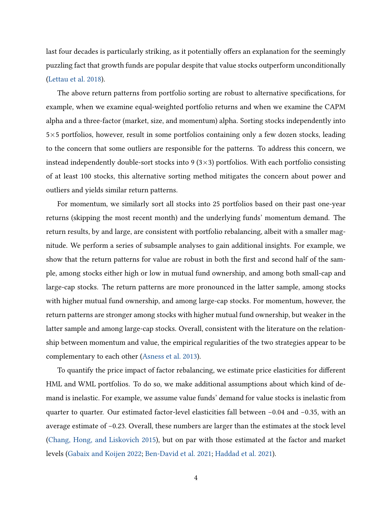last four decades is particularly striking, as it potentially offers an explanation for the seemingly puzzling fact that growth funds are popular despite that value stocks outperform unconditionally [\(Lettau et al.](#page-30-3) [2018\)](#page-30-3).

The above return patterns from portfolio sorting are robust to alternative specifications, for example, when we examine equal-weighted portfolio returns and when we examine the CAPM alpha and a three-factor (market, size, and momentum) alpha. Sorting stocks independently into 5×5 portfolios, however, result in some portfolios containing only a few dozen stocks, leading to the concern that some outliers are responsible for the patterns. To address this concern, we instead independently double-sort stocks into 9  $(3\times3)$  portfolios. With each portfolio consisting of at least 100 stocks, this alternative sorting method mitigates the concern about power and outliers and yields similar return patterns.

For momentum, we similarly sort all stocks into 25 portfolios based on their past one-year returns (skipping the most recent month) and the underlying funds' momentum demand. The return results, by and large, are consistent with portfolio rebalancing, albeit with a smaller magnitude. We perform a series of subsample analyses to gain additional insights. For example, we show that the return patterns for value are robust in both the first and second half of the sample, among stocks either high or low in mutual fund ownership, and among both small-cap and large-cap stocks. The return patterns are more pronounced in the latter sample, among stocks with higher mutual fund ownership, and among large-cap stocks. For momentum, however, the return patterns are stronger among stocks with higher mutual fund ownership, but weaker in the latter sample and among large-cap stocks. Overall, consistent with the literature on the relationship between momentum and value, the empirical regularities of the two strategies appear to be complementary to each other [\(Asness et al.](#page-28-2) [2013\)](#page-28-2).

To quantify the price impact of factor rebalancing, we estimate price elasticities for different HML and WML portfolios. To do so, we make additional assumptions about which kind of demand is inelastic. For example, we assume value funds' demand for value stocks is inelastic from quarter to quarter. Our estimated factor-level elasticities fall between −0.04 and −0.35, with an average estimate of −0.23. Overall, these numbers are larger than the estimates at the stock level [\(Chang, Hong, and Liskovich](#page-28-0) [2015\)](#page-28-0), but on par with those estimated at the factor and market levels [\(Gabaix and Koijen](#page-29-0) [2022;](#page-29-0) [Ben-David et al.](#page-28-1) [2021;](#page-28-1) [Haddad et al.](#page-29-2) [2021\)](#page-29-2).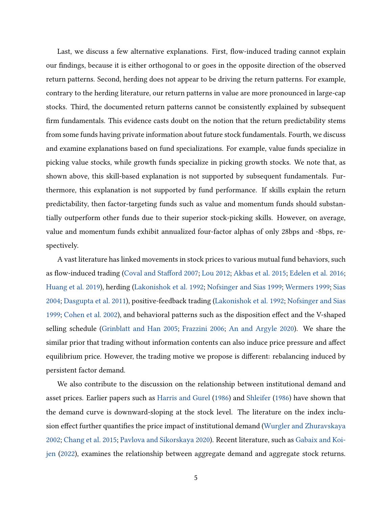Last, we discuss a few alternative explanations. First, flow-induced trading cannot explain our findings, because it is either orthogonal to or goes in the opposite direction of the observed return patterns. Second, herding does not appear to be driving the return patterns. For example, contrary to the herding literature, our return patterns in value are more pronounced in large-cap stocks. Third, the documented return patterns cannot be consistently explained by subsequent firm fundamentals. This evidence casts doubt on the notion that the return predictability stems from some funds having private information about future stock fundamentals. Fourth, we discuss and examine explanations based on fund specializations. For example, value funds specialize in picking value stocks, while growth funds specialize in picking growth stocks. We note that, as shown above, this skill-based explanation is not supported by subsequent fundamentals. Furthermore, this explanation is not supported by fund performance. If skills explain the return predictability, then factor-targeting funds such as value and momentum funds should substantially outperform other funds due to their superior stock-picking skills. However, on average, value and momentum funds exhibit annualized four-factor alphas of only 28bps and -8bps, respectively.

A vast literature has linked movements in stock prices to various mutual fund behaviors, such as flow-induced trading [\(Coval and Stafford](#page-28-3) [2007;](#page-28-3) [Lou](#page-30-4) [2012;](#page-30-4) [Akbas et al.](#page-28-4) [2015;](#page-28-4) [Edelen et al.](#page-29-3) [2016;](#page-29-3) [Huang et al.](#page-30-5) [2019\)](#page-30-5), herding [\(Lakonishok et al.](#page-30-6) [1992;](#page-30-6) [Nofsinger and Sias](#page-30-7) [1999;](#page-30-7) [Wermers](#page-31-1) [1999;](#page-31-1) [Sias](#page-30-8) [2004;](#page-30-8) [Dasgupta et al.](#page-29-4) [2011\)](#page-29-4), positive-feedback trading [\(Lakonishok et al.](#page-30-6) [1992;](#page-30-6) [Nofsinger and Sias](#page-30-7) [1999;](#page-30-7) [Cohen et al.](#page-28-5) [2002\)](#page-28-5), and behavioral patterns such as the disposition effect and the V-shaped selling schedule [\(Grinblatt and Han](#page-29-5) [2005;](#page-29-5) [Frazzini](#page-29-6) [2006;](#page-29-6) [An and Argyle](#page-28-6) [2020\)](#page-28-6). We share the similar prior that trading without information contents can also induce price pressure and affect equilibrium price. However, the trading motive we propose is different: rebalancing induced by persistent factor demand.

We also contribute to the discussion on the relationship between institutional demand and asset prices. Earlier papers such as [Harris and Gurel](#page-29-1) [\(1986\)](#page-29-1) and [Shleifer](#page-30-0) [\(1986\)](#page-30-0) have shown that the demand curve is downward-sloping at the stock level. The literature on the index inclusion effect further quantifies the price impact of institutional demand [\(Wurgler and Zhuravskaya](#page-31-0) [2002;](#page-31-0) [Chang et al.](#page-28-0) [2015;](#page-28-0) [Pavlova and Sikorskaya](#page-30-1) [2020\)](#page-30-1). Recent literature, such as [Gabaix and Koi](#page-29-0)[jen](#page-29-0) [\(2022\)](#page-29-0), examines the relationship between aggregate demand and aggregate stock returns.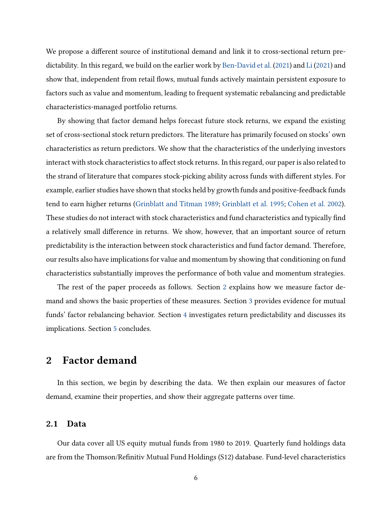We propose a different source of institutional demand and link it to cross-sectional return predictability. In this regard, we build on the earlier work by [Ben-David et al.](#page-28-1) [\(2021\)](#page-28-1) and [Li](#page-30-9) [\(2021\)](#page-30-9) and show that, independent from retail flows, mutual funds actively maintain persistent exposure to factors such as value and momentum, leading to frequent systematic rebalancing and predictable characteristics-managed portfolio returns.

By showing that factor demand helps forecast future stock returns, we expand the existing set of cross-sectional stock return predictors. The literature has primarily focused on stocks' own characteristics as return predictors. We show that the characteristics of the underlying investors interact with stock characteristics to affect stock returns. In this regard, our paper is also related to the strand of literature that compares stock-picking ability across funds with different styles. For example, earlier studies have shown that stocks held by growth funds and positive-feedback funds tend to earn higher returns [\(Grinblatt and Titman](#page-29-7) [1989;](#page-29-7) [Grinblatt et al.](#page-29-8) [1995;](#page-29-8) [Cohen et al.](#page-28-5) [2002\)](#page-28-5). These studies do not interact with stock characteristics and fund characteristics and typically find a relatively small difference in returns. We show, however, that an important source of return predictability is the interaction between stock characteristics and fund factor demand. Therefore, our results also have implications for value and momentum by showing that conditioning on fund characteristics substantially improves the performance of both value and momentum strategies.

The rest of the paper proceeds as follows. Section [2](#page-6-0) explains how we measure factor demand and shows the basic properties of these measures. Section [3](#page-12-0) provides evidence for mutual funds' factor rebalancing behavior. Section [4](#page-21-0) investigates return predictability and discusses its implications. Section [5](#page-27-0) concludes.

# <span id="page-6-0"></span>2 Factor demand

In this section, we begin by describing the data. We then explain our measures of factor demand, examine their properties, and show their aggregate patterns over time.

## 2.1 Data

Our data cover all US equity mutual funds from 1980 to 2019. Quarterly fund holdings data are from the Thomson/Refinitiv Mutual Fund Holdings (S12) database. Fund-level characteristics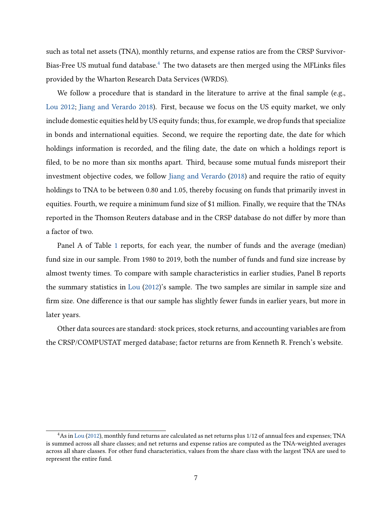such as total net assets (TNA), monthly returns, and expense ratios are from the CRSP Survivor-Bias-Free US mutual fund database.<sup>[4](#page-0-0)</sup> The two datasets are then merged using the MFLinks files provided by the Wharton Research Data Services (WRDS).

We follow a procedure that is standard in the literature to arrive at the final sample (e.g., [Lou](#page-30-4) [2012;](#page-30-4) [Jiang and Verardo](#page-30-10) [2018\)](#page-30-10). First, because we focus on the US equity market, we only include domestic equities held by US equity funds; thus, for example, we drop funds that specialize in bonds and international equities. Second, we require the reporting date, the date for which holdings information is recorded, and the filing date, the date on which a holdings report is filed, to be no more than six months apart. Third, because some mutual funds misreport their investment objective codes, we follow [Jiang and Verardo](#page-30-10) [\(2018\)](#page-30-10) and require the ratio of equity holdings to TNA to be between 0.80 and 1.05, thereby focusing on funds that primarily invest in equities. Fourth, we require a minimum fund size of \$1 million. Finally, we require that the TNAs reported in the Thomson Reuters database and in the CRSP database do not differ by more than a factor of two.

Panel A of Table [1](#page-34-0) reports, for each year, the number of funds and the average (median) fund size in our sample. From 1980 to 2019, both the number of funds and fund size increase by almost twenty times. To compare with sample characteristics in earlier studies, Panel B reports the summary statistics in [Lou](#page-30-4) [\(2012\)](#page-30-4)'s sample. The two samples are similar in sample size and firm size. One difference is that our sample has slightly fewer funds in earlier years, but more in later years.

Other data sources are standard: stock prices, stock returns, and accounting variables are from the CRSP/COMPUSTAT merged database; factor returns are from Kenneth R. French's website.

<sup>4</sup>As in [Lou](#page-30-4) [\(2012\)](#page-30-4), monthly fund returns are calculated as net returns plus 1/12 of annual fees and expenses; TNA is summed across all share classes; and net returns and expense ratios are computed as the TNA-weighted averages across all share classes. For other fund characteristics, values from the share class with the largest TNA are used to represent the entire fund.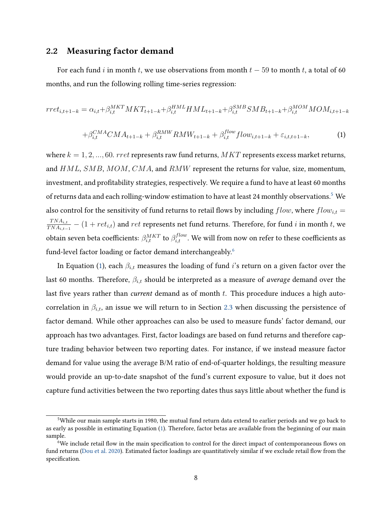# 2.2 Measuring factor demand

For each fund i in month t, we use observations from month  $t - 59$  to month t, a total of 60 months, and run the following rolling time-series regression:

<span id="page-8-0"></span>
$$
rret_{i,t+1-k} = \alpha_{i,t} + \beta_{i,t}^{MKT} MKT_{t+1-k} + \beta_{i,t}^{HML} HML_{t+1-k} + \beta_{i,t}^{SMB} SMB_{t+1-k} + \beta_{i,t}^{MOM} MOM_{i,t+1-k}
$$

$$
+ \beta_{i,t}^{CMA} CMA_{t+1-k} + \beta_{i,t}^{RMW} RMW_{t+1-k} + \beta_{i,t}^{flow} flow_{i,t+1-k} + \varepsilon_{i,t,t+1-k}, \tag{1}
$$

where  $k = 1, 2, ..., 60$ . *rret* represents raw fund returns,  $MKT$  represents excess market returns, and HML, SMB, MOM, CMA, and RMW represent the returns for value, size, momentum, investment, and profitability strategies, respectively. We require a fund to have at least 60 months of returns data and each rolling-window estimation to have at least 24 monthly observations.<sup>[5](#page-0-0)</sup> We also control for the sensitivity of fund returns to retail flows by including  $flow$ , where  $flow_{i,t} =$  $TNA_{i,t}$  $\frac{TNA_{i,t}}{TNA_{i,t-1}} - (1 + ret_{i,t})$  and  $ret$  represents net fund returns. Therefore, for fund  $i$  in month  $t$ , we obtain seven beta coefficients:  $\beta_{i,t}^{MKT}$  to  $\beta_{i,t}^{flow}$ . We will from now on refer to these coefficients as fund-level factor loading or factor demand interchangeably.<sup>[6](#page-0-0)</sup>

In Equation [\(1\)](#page-8-0), each  $\beta_{i,t}$  measures the loading of fund i's return on a given factor over the last 60 months. Therefore,  $\beta_{i,t}$  should be interpreted as a measure of *average* demand over the last five years rather than *current* demand as of month  $t$ . This procedure induces a high autocorrelation in  $\beta_{i,t}$ , an issue we will return to in Section [2.3](#page-10-0) when discussing the persistence of factor demand. While other approaches can also be used to measure funds' factor demand, our approach has two advantages. First, factor loadings are based on fund returns and therefore capture trading behavior between two reporting dates. For instance, if we instead measure factor demand for value using the average B/M ratio of end-of-quarter holdings, the resulting measure would provide an up-to-date snapshot of the fund's current exposure to value, but it does not capture fund activities between the two reporting dates thus says little about whether the fund is

<sup>5</sup>While our main sample starts in 1980, the mutual fund return data extend to earlier periods and we go back to as early as possible in estimating Equation [\(1\)](#page-8-0). Therefore, factor betas are available from the beginning of our main sample.

<sup>&</sup>lt;sup>6</sup>We include retail flow in the main specification to control for the direct impact of contemporaneous flows on fund returns [\(Dou et al.](#page-29-9) [2020\)](#page-29-9). Estimated factor loadings are quantitatively similar if we exclude retail flow from the specification.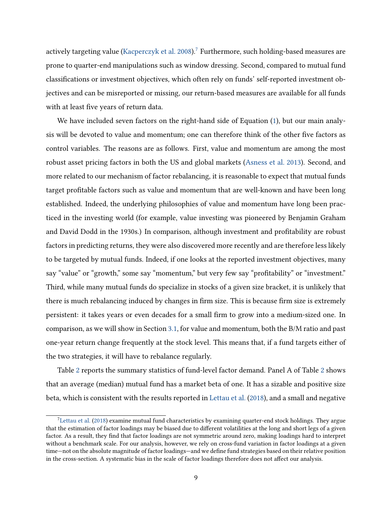actively targeting value [\(Kacperczyk et al.](#page-30-11) [2008\)](#page-30-11).<sup>[7](#page-0-0)</sup> Furthermore, such holding-based measures are prone to quarter-end manipulations such as window dressing. Second, compared to mutual fund classifications or investment objectives, which often rely on funds' self-reported investment objectives and can be misreported or missing, our return-based measures are available for all funds with at least five years of return data.

We have included seven factors on the right-hand side of Equation [\(1\)](#page-8-0), but our main analysis will be devoted to value and momentum; one can therefore think of the other five factors as control variables. The reasons are as follows. First, value and momentum are among the most robust asset pricing factors in both the US and global markets [\(Asness et al.](#page-28-2) [2013\)](#page-28-2). Second, and more related to our mechanism of factor rebalancing, it is reasonable to expect that mutual funds target profitable factors such as value and momentum that are well-known and have been long established. Indeed, the underlying philosophies of value and momentum have long been practiced in the investing world (for example, value investing was pioneered by Benjamin Graham and David Dodd in the 1930s.) In comparison, although investment and profitability are robust factors in predicting returns, they were also discovered more recently and are therefore less likely to be targeted by mutual funds. Indeed, if one looks at the reported investment objectives, many say "value" or "growth," some say "momentum," but very few say "profitability" or "investment." Third, while many mutual funds do specialize in stocks of a given size bracket, it is unlikely that there is much rebalancing induced by changes in firm size. This is because firm size is extremely persistent: it takes years or even decades for a small firm to grow into a medium-sized one. In comparison, as we will show in Section [3.1,](#page-12-1) for value and momentum, both the B/M ratio and past one-year return change frequently at the stock level. This means that, if a fund targets either of the two strategies, it will have to rebalance regularly.

Table [2](#page-35-0) reports the summary statistics of fund-level factor demand. Panel A of Table [2](#page-35-0) shows that an average (median) mutual fund has a market beta of one. It has a sizable and positive size beta, which is consistent with the results reported in [Lettau et al.](#page-30-3) [\(2018\)](#page-30-3), and a small and negative

<sup>&</sup>lt;sup>7</sup>[Lettau et al.](#page-30-3) [\(2018\)](#page-30-3) examine mutual fund characteristics by examining quarter-end stock holdings. They argue that the estimation of factor loadings may be biased due to different volatilities at the long and short legs of a given factor. As a result, they find that factor loadings are not symmetric around zero, making loadings hard to interpret without a benchmark scale. For our analysis, however, we rely on cross-fund variation in factor loadings at a given time—not on the absolute magnitude of factor loadings—and we define fund strategies based on their relative position in the cross-section. A systematic bias in the scale of factor loadings therefore does not affect our analysis.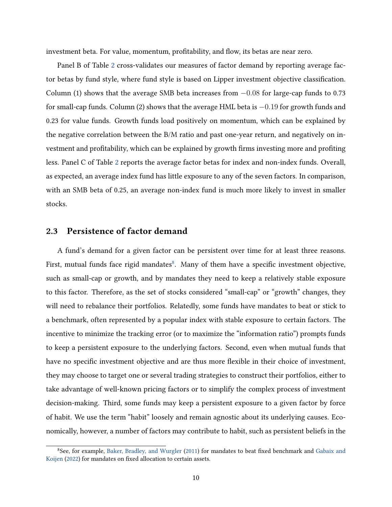investment beta. For value, momentum, profitability, and flow, its betas are near zero.

Panel B of Table [2](#page-35-0) cross-validates our measures of factor demand by reporting average factor betas by fund style, where fund style is based on Lipper investment objective classification. Column (1) shows that the average SMB beta increases from  $-0.08$  for large-cap funds to 0.73 for small-cap funds. Column (2) shows that the average HML beta is −0.19 for growth funds and 0.23 for value funds. Growth funds load positively on momentum, which can be explained by the negative correlation between the B/M ratio and past one-year return, and negatively on investment and profitability, which can be explained by growth firms investing more and profiting less. Panel C of Table [2](#page-35-0) reports the average factor betas for index and non-index funds. Overall, as expected, an average index fund has little exposure to any of the seven factors. In comparison, with an SMB beta of 0.25, an average non-index fund is much more likely to invest in smaller stocks.

# <span id="page-10-0"></span>2.3 Persistence of factor demand

A fund's demand for a given factor can be persistent over time for at least three reasons. First, mutual funds face rigid mandates ${}^{8}$  ${}^{8}$  ${}^{8}$ . Many of them have a specific investment objective, such as small-cap or growth, and by mandates they need to keep a relatively stable exposure to this factor. Therefore, as the set of stocks considered "small-cap" or "growth" changes, they will need to rebalance their portfolios. Relatedly, some funds have mandates to beat or stick to a benchmark, often represented by a popular index with stable exposure to certain factors. The incentive to minimize the tracking error (or to maximize the "information ratio") prompts funds to keep a persistent exposure to the underlying factors. Second, even when mutual funds that have no specific investment objective and are thus more flexible in their choice of investment, they may choose to target one or several trading strategies to construct their portfolios, either to take advantage of well-known pricing factors or to simplify the complex process of investment decision-making. Third, some funds may keep a persistent exposure to a given factor by force of habit. We use the term "habit" loosely and remain agnostic about its underlying causes. Economically, however, a number of factors may contribute to habit, such as persistent beliefs in the

<sup>8</sup>See, for example, [Baker, Bradley, and Wurgler](#page-28-7) [\(2011\)](#page-28-7) for mandates to beat fixed benchmark and [Gabaix and](#page-29-0) [Koijen](#page-29-0) [\(2022\)](#page-29-0) for mandates on fixed allocation to certain assets.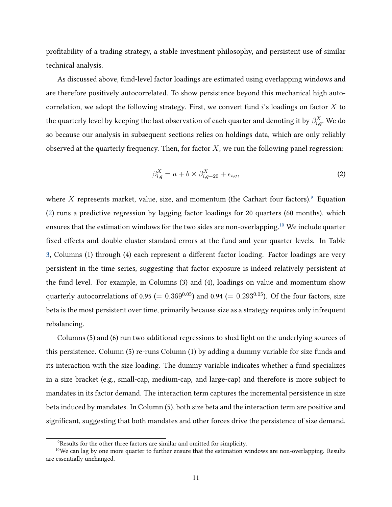profitability of a trading strategy, a stable investment philosophy, and persistent use of similar technical analysis.

As discussed above, fund-level factor loadings are estimated using overlapping windows and are therefore positively autocorrelated. To show persistence beyond this mechanical high autocorrelation, we adopt the following strategy. First, we convert fund  $i$ 's loadings on factor  $X$  to the quarterly level by keeping the last observation of each quarter and denoting it by  $\beta^X_{i,q}.$  We do so because our analysis in subsequent sections relies on holdings data, which are only reliably observed at the quarterly frequency. Then, for factor  $X$ , we run the following panel regression:

<span id="page-11-0"></span>
$$
\beta_{i,q}^X = a + b \times \beta_{i,q-20}^X + \epsilon_{i,q},\tag{2}
$$

where X represents market, value, size, and momentum (the Carhart four factors). Equation [\(2\)](#page-11-0) runs a predictive regression by lagging factor loadings for 20 quarters (60 months), which ensures that the estimation windows for the two sides are non-overlapping.[10](#page-0-0) We include quarter fixed effects and double-cluster standard errors at the fund and year-quarter levels. In Table [3,](#page-36-0) Columns (1) through (4) each represent a different factor loading. Factor loadings are very persistent in the time series, suggesting that factor exposure is indeed relatively persistent at the fund level. For example, in Columns (3) and (4), loadings on value and momentum show quarterly autocorrelations of 0.95 (=  $0.369^{0.05}$ ) and 0.94 (=  $0.293^{0.05}$ ). Of the four factors, size beta is the most persistent over time, primarily because size as a strategy requires only infrequent rebalancing.

Columns (5) and (6) run two additional regressions to shed light on the underlying sources of this persistence. Column (5) re-runs Column (1) by adding a dummy variable for size funds and its interaction with the size loading. The dummy variable indicates whether a fund specializes in a size bracket (e.g., small-cap, medium-cap, and large-cap) and therefore is more subject to mandates in its factor demand. The interaction term captures the incremental persistence in size beta induced by mandates. In Column (5), both size beta and the interaction term are positive and significant, suggesting that both mandates and other forces drive the persistence of size demand.

<sup>&</sup>lt;sup>9</sup>Results for the other three factors are similar and omitted for simplicity.

<sup>&</sup>lt;sup>10</sup>We can lag by one more quarter to further ensure that the estimation windows are non-overlapping. Results are essentially unchanged.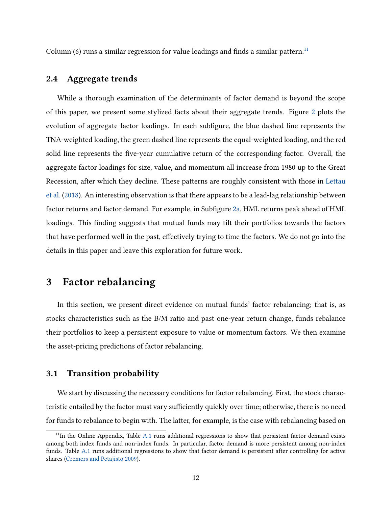Column (6) runs a similar regression for value loadings and finds a similar pattern.<sup>[11](#page-0-0)</sup>

## 2.4 Aggregate trends

While a thorough examination of the determinants of factor demand is beyond the scope of this paper, we present some stylized facts about their aggregate trends. Figure [2](#page-32-0) plots the evolution of aggregate factor loadings. In each subfigure, the blue dashed line represents the TNA-weighted loading, the green dashed line represents the equal-weighted loading, and the red solid line represents the five-year cumulative return of the corresponding factor. Overall, the aggregate factor loadings for size, value, and momentum all increase from 1980 up to the Great Recession, after which they decline. These patterns are roughly consistent with those in [Lettau](#page-30-3) [et al.](#page-30-3) [\(2018\)](#page-30-3). An interesting observation is that there appears to be a lead-lag relationship between factor returns and factor demand. For example, in Subfigure [2a,](#page-32-1) HML returns peak ahead of HML loadings. This finding suggests that mutual funds may tilt their portfolios towards the factors that have performed well in the past, effectively trying to time the factors. We do not go into the details in this paper and leave this exploration for future work.

# <span id="page-12-0"></span>3 Factor rebalancing

In this section, we present direct evidence on mutual funds' factor rebalancing; that is, as stocks characteristics such as the B/M ratio and past one-year return change, funds rebalance their portfolios to keep a persistent exposure to value or momentum factors. We then examine the asset-pricing predictions of factor rebalancing.

# <span id="page-12-1"></span>3.1 Transition probability

We start by discussing the necessary conditions for factor rebalancing. First, the stock characteristic entailed by the factor must vary sufficiently quickly over time; otherwise, there is no need for funds to rebalance to begin with. The latter, for example, is the case with rebalancing based on

<sup>&</sup>lt;sup>11</sup>In the Online Appendix, Table [A.1](#page-50-0) runs additional regressions to show that persistent factor demand exists among both index funds and non-index funds. In particular, factor demand is more persistent among non-index funds. Table [A.1](#page-50-0) runs additional regressions to show that factor demand is persistent after controlling for active shares [\(Cremers and Petajisto](#page-28-8) [2009\)](#page-28-8).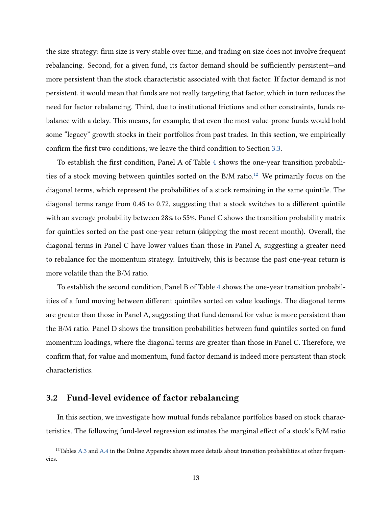the size strategy: firm size is very stable over time, and trading on size does not involve frequent rebalancing. Second, for a given fund, its factor demand should be sufficiently persistent—and more persistent than the stock characteristic associated with that factor. If factor demand is not persistent, it would mean that funds are not really targeting that factor, which in turn reduces the need for factor rebalancing. Third, due to institutional frictions and other constraints, funds rebalance with a delay. This means, for example, that even the most value-prone funds would hold some "legacy" growth stocks in their portfolios from past trades. In this section, we empirically confirm the first two conditions; we leave the third condition to Section [3.3.](#page-15-0)

To establish the first condition, Panel A of Table [4](#page-37-0) shows the one-year transition probabilities of a stock moving between quintiles sorted on the  $B/M$  ratio.<sup>[12](#page-0-0)</sup> We primarily focus on the diagonal terms, which represent the probabilities of a stock remaining in the same quintile. The diagonal terms range from 0.45 to 0.72, suggesting that a stock switches to a different quintile with an average probability between 28% to 55%. Panel C shows the transition probability matrix for quintiles sorted on the past one-year return (skipping the most recent month). Overall, the diagonal terms in Panel C have lower values than those in Panel A, suggesting a greater need to rebalance for the momentum strategy. Intuitively, this is because the past one-year return is more volatile than the B/M ratio.

To establish the second condition, Panel B of Table [4](#page-37-0) shows the one-year transition probabilities of a fund moving between different quintiles sorted on value loadings. The diagonal terms are greater than those in Panel A, suggesting that fund demand for value is more persistent than the B/M ratio. Panel D shows the transition probabilities between fund quintiles sorted on fund momentum loadings, where the diagonal terms are greater than those in Panel C. Therefore, we confirm that, for value and momentum, fund factor demand is indeed more persistent than stock characteristics.

# <span id="page-13-0"></span>3.2 Fund-level evidence of factor rebalancing

In this section, we investigate how mutual funds rebalance portfolios based on stock characteristics. The following fund-level regression estimates the marginal effect of a stock's B/M ratio

<sup>&</sup>lt;sup>12</sup>Tables [A.3](#page-52-0) and [A.4](#page-53-0) in the Online Appendix shows more details about transition probabilities at other frequencies.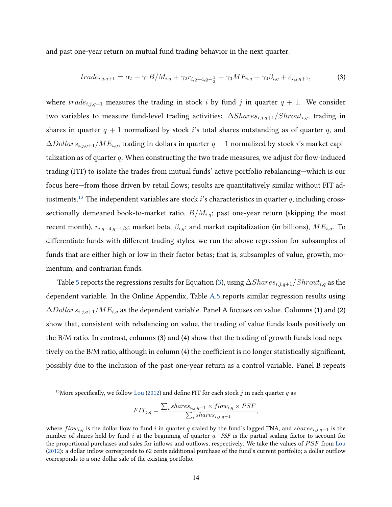and past one-year return on mutual fund trading behavior in the next quarter:

<span id="page-14-0"></span>
$$
trade_{i,j,q+1} = \alpha_t + \gamma_1 B / M_{i,q} + \gamma_2 r_{i,q-4,q-\frac{1}{3}} + \gamma_3 ME_{i,q} + \gamma_4 \beta_{i,q} + \varepsilon_{i,j,q+1},
$$
\n(3)

where  $trade_{i,j,q+1}$  measures the trading in stock i by fund j in quarter  $q + 1$ . We consider two variables to measure fund-level trading activities:  $\Delta Shares_{i,j,q+1}/Shrott_{i,q}$ , trading in shares in quarter  $q + 1$  normalized by stock is total shares outstanding as of quarter q, and  $\Delta Dollars_{i,j,q+1}/ME_{i,q}$ , trading in dollars in quarter  $q+1$  normalized by stock i's market capitalization as of quarter  $q$ . When constructing the two trade measures, we adjust for flow-induced trading (FIT) to isolate the trades from mutual funds' active portfolio rebalancing—which is our focus here—from those driven by retail flows; results are quantitatively similar without FIT ad-justments.<sup>[13](#page-0-0)</sup> The independent variables are stock i's characteristics in quarter q, including crosssectionally demeaned book-to-market ratio,  $B/M_{i,q}$ ; past one-year return (skipping the most recent month),  $r_{i,q-4,q-1/3}$ ; market beta,  $\beta_{i,q}$ ; and market capitalization (in billions),  $ME_{i,q}$ . To differentiate funds with different trading styles, we run the above regression for subsamples of funds that are either high or low in their factor betas; that is, subsamples of value, growth, momentum, and contrarian funds.

Table [5](#page-38-0) reports the regressions results for Equation [\(3\)](#page-14-0), using  $\Delta Shares_{i,j,q+1}/Shrott_{i,q}$  as the dependent variable. In the Online Appendix, Table [A.5](#page-54-0) reports similar regression results using  $\Delta Dollars_{i,j,q+1}/ME_{i,q}$  as the dependent variable. Panel A focuses on value. Columns (1) and (2) show that, consistent with rebalancing on value, the trading of value funds loads positively on the B/M ratio. In contrast, columns (3) and (4) show that the trading of growth funds load negatively on the B/M ratio, although in column (4) the coefficient is no longer statistically significant, possibly due to the inclusion of the past one-year return as a control variable. Panel B repeats

$$
FIT_{j,q} = \frac{\sum_{i} shares_{i,j,q-1} \times flow_{i,q} \times PSF}{\sum_{i} shares_{i,j,q-1}},
$$

<sup>&</sup>lt;sup>13</sup>More specifically, we follow [Lou](#page-30-4) [\(2012\)](#page-30-4) and define FIT for each stock j in each quarter q as

where  $flow_{i,q}$  is the dollar flow to fund i in quarter q scaled by the fund's lagged TNA, and shares<sub>i,j,q−1</sub> is the number of shares held by fund i at the beginning of quarter  $q$ . PSF is the partial scaling factor to account for the proportional purchases and sales for inflows and outflows, respectively. We take the values of  $PSF$  from [Lou](#page-30-4) [\(2012\)](#page-30-4): a dollar inflow corresponds to 62 cents additional purchase of the fund's current portfolio; a dollar outflow corresponds to a one-dollar sale of the existing portfolio.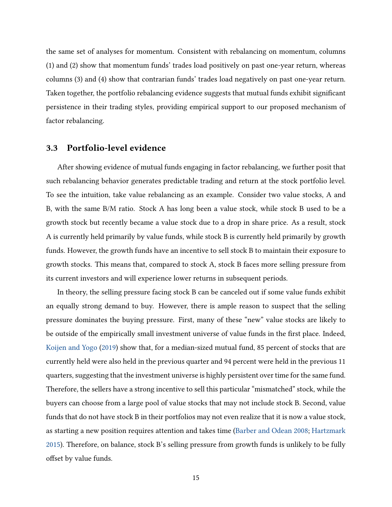the same set of analyses for momentum. Consistent with rebalancing on momentum, columns (1) and (2) show that momentum funds' trades load positively on past one-year return, whereas columns (3) and (4) show that contrarian funds' trades load negatively on past one-year return. Taken together, the portfolio rebalancing evidence suggests that mutual funds exhibit significant persistence in their trading styles, providing empirical support to our proposed mechanism of factor rebalancing.

# <span id="page-15-0"></span>3.3 Portfolio-level evidence

After showing evidence of mutual funds engaging in factor rebalancing, we further posit that such rebalancing behavior generates predictable trading and return at the stock portfolio level. To see the intuition, take value rebalancing as an example. Consider two value stocks, A and B, with the same B/M ratio. Stock A has long been a value stock, while stock B used to be a growth stock but recently became a value stock due to a drop in share price. As a result, stock A is currently held primarily by value funds, while stock B is currently held primarily by growth funds. However, the growth funds have an incentive to sell stock B to maintain their exposure to growth stocks. This means that, compared to stock A, stock B faces more selling pressure from its current investors and will experience lower returns in subsequent periods.

In theory, the selling pressure facing stock B can be canceled out if some value funds exhibit an equally strong demand to buy. However, there is ample reason to suspect that the selling pressure dominates the buying pressure. First, many of these "new" value stocks are likely to be outside of the empirically small investment universe of value funds in the first place. Indeed, [Koijen and Yogo](#page-30-2) [\(2019\)](#page-30-2) show that, for a median-sized mutual fund, 85 percent of stocks that are currently held were also held in the previous quarter and 94 percent were held in the previous 11 quarters, suggesting that the investment universe is highly persistent over time for the same fund. Therefore, the sellers have a strong incentive to sell this particular "mismatched" stock, while the buyers can choose from a large pool of value stocks that may not include stock B. Second, value funds that do not have stock B in their portfolios may not even realize that it is now a value stock, as starting a new position requires attention and takes time [\(Barber and Odean](#page-28-9) [2008;](#page-28-9) [Hartzmark](#page-29-10) [2015\)](#page-29-10). Therefore, on balance, stock B's selling pressure from growth funds is unlikely to be fully offset by value funds.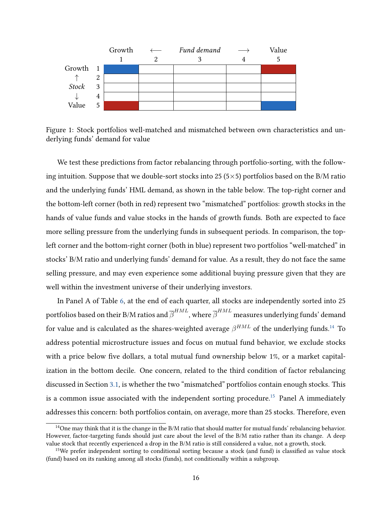

Figure 1: Stock portfolios well-matched and mismatched between own characteristics and underlying funds' demand for value

We test these predictions from factor rebalancing through portfolio-sorting, with the following intuition. Suppose that we double-sort stocks into 25 (5 $\times$ 5) portfolios based on the B/M ratio and the underlying funds' HML demand, as shown in the table below. The top-right corner and the bottom-left corner (both in red) represent two "mismatched" portfolios: growth stocks in the hands of value funds and value stocks in the hands of growth funds. Both are expected to face more selling pressure from the underlying funds in subsequent periods. In comparison, the topleft corner and the bottom-right corner (both in blue) represent two portfolios "well-matched" in stocks' B/M ratio and underlying funds' demand for value. As a result, they do not face the same selling pressure, and may even experience some additional buying pressure given that they are well within the investment universe of their underlying investors.

In Panel A of Table [6,](#page-39-0) at the end of each quarter, all stocks are independently sorted into 25 portfolios based on their B/M ratios and  $\overline{\beta}^{HML}$ , where  $\overline{\beta}^{HML}$  measures underlying funds' demand for value and is calculated as the shares-weighted average  $\beta^{HML}$  of the underlying funds. $^{14}$  $^{14}$  $^{14}$  To address potential microstructure issues and focus on mutual fund behavior, we exclude stocks with a price below five dollars, a total mutual fund ownership below 1%, or a market capitalization in the bottom decile. One concern, related to the third condition of factor rebalancing discussed in Section [3.1,](#page-12-1) is whether the two "mismatched" portfolios contain enough stocks. This is a common issue associated with the independent sorting procedure.<sup>[15](#page-0-0)</sup> Panel A immediately addresses this concern: both portfolios contain, on average, more than 25 stocks. Therefore, even

<sup>&</sup>lt;sup>14</sup>One may think that it is the change in the  $B/M$  ratio that should matter for mutual funds' rebalancing behavior. However, factor-targeting funds should just care about the level of the B/M ratio rather than its change. A deep value stock that recently experienced a drop in the B/M ratio is still considered a value, not a growth, stock.

<sup>&</sup>lt;sup>15</sup>We prefer independent sorting to conditional sorting because a stock (and fund) is classified as value stock (fund) based on its ranking among all stocks (funds), not conditionally within a subgroup.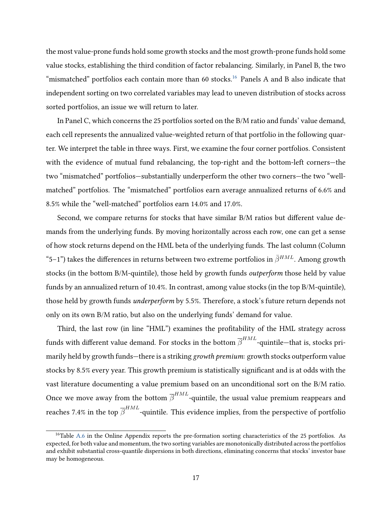the most value-prone funds hold some growth stocks and the most growth-prone funds hold some value stocks, establishing the third condition of factor rebalancing. Similarly, in Panel B, the two "mismatched" portfolios each contain more than 60 stocks.<sup>[16](#page-0-0)</sup> Panels A and B also indicate that independent sorting on two correlated variables may lead to uneven distribution of stocks across sorted portfolios, an issue we will return to later.

In Panel C, which concerns the 25 portfolios sorted on the B/M ratio and funds' value demand, each cell represents the annualized value-weighted return of that portfolio in the following quarter. We interpret the table in three ways. First, we examine the four corner portfolios. Consistent with the evidence of mutual fund rebalancing, the top-right and the bottom-left corners—the two "mismatched" portfolios—substantially underperform the other two corners—the two "wellmatched" portfolios. The "mismatched" portfolios earn average annualized returns of 6.6% and 8.5% while the "well-matched" portfolios earn 14.0% and 17.0%.

Second, we compare returns for stocks that have similar B/M ratios but different value demands from the underlying funds. By moving horizontally across each row, one can get a sense of how stock returns depend on the HML beta of the underlying funds. The last column (Column "5–1") takes the differences in returns between two extreme portfolios in  $\bar{\beta}^{HML}$ . Among growth stocks (in the bottom B/M-quintile), those held by growth funds outperform those held by value funds by an annualized return of 10.4%. In contrast, among value stocks (in the top B/M-quintile), those held by growth funds underperform by 5.5%. Therefore, a stock's future return depends not only on its own B/M ratio, but also on the underlying funds' demand for value.

Third, the last row (in line "HML") examines the profitability of the HML strategy across funds with different value demand. For stocks in the bottom  $\overline{\beta}^{HML}$ -quintile—that is, stocks primarily held by growth funds—there is a striking growth premium: growth stocks outperform value stocks by 8.5% every year. This growth premium is statistically significant and is at odds with the vast literature documenting a value premium based on an unconditional sort on the B/M ratio. Once we move away from the bottom  $\overline{\beta}^{HML}$ -quintile, the usual value premium reappears and reaches 7.4% in the top  $\overline{\beta}^{HML}$ -quintile. This evidence implies, from the perspective of portfolio

 $16$ Table [A.6](#page-55-0) in the Online Appendix reports the pre-formation sorting characteristics of the 25 portfolios. As expected, for both value and momentum, the two sorting variables are monotonically distributed across the portfolios and exhibit substantial cross-quantile dispersions in both directions, eliminating concerns that stocks' investor base may be homogeneous.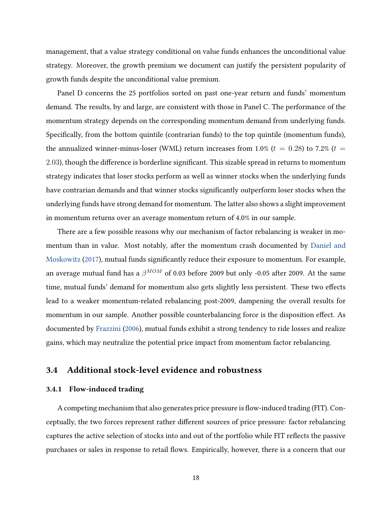management, that a value strategy conditional on value funds enhances the unconditional value strategy. Moreover, the growth premium we document can justify the persistent popularity of growth funds despite the unconditional value premium.

Panel D concerns the 25 portfolios sorted on past one-year return and funds' momentum demand. The results, by and large, are consistent with those in Panel C. The performance of the momentum strategy depends on the corresponding momentum demand from underlying funds. Specifically, from the bottom quintile (contrarian funds) to the top quintile (momentum funds), the annualized winner-minus-loser (WML) return increases from 1.0% ( $t = 0.28$ ) to 7.2% ( $t =$ 2.03), though the difference is borderline significant. This sizable spread in returns to momentum strategy indicates that loser stocks perform as well as winner stocks when the underlying funds have contrarian demands and that winner stocks significantly outperform loser stocks when the underlying funds have strong demand for momentum. The latter also shows a slight improvement in momentum returns over an average momentum return of 4.0% in our sample.

There are a few possible reasons why our mechanism of factor rebalancing is weaker in momentum than in value. Most notably, after the momentum crash documented by [Daniel and](#page-29-11) [Moskowitz](#page-29-11) [\(2017\)](#page-29-11), mutual funds significantly reduce their exposure to momentum. For example, an average mutual fund has a  $\beta^{MOM}$  of 0.03 before 2009 but only -0.05 after 2009. At the same time, mutual funds' demand for momentum also gets slightly less persistent. These two effects lead to a weaker momentum-related rebalancing post-2009, dampening the overall results for momentum in our sample. Another possible counterbalancing force is the disposition effect. As documented by [Frazzini](#page-29-6) [\(2006\)](#page-29-6), mutual funds exhibit a strong tendency to ride losses and realize gains, which may neutralize the potential price impact from momentum factor rebalancing.

# 3.4 Additional stock-level evidence and robustness

#### 3.4.1 Flow-induced trading

A competing mechanism that also generates price pressure is flow-induced trading (FIT). Conceptually, the two forces represent rather different sources of price pressure: factor rebalancing captures the active selection of stocks into and out of the portfolio while FIT reflects the passive purchases or sales in response to retail flows. Empirically, however, there is a concern that our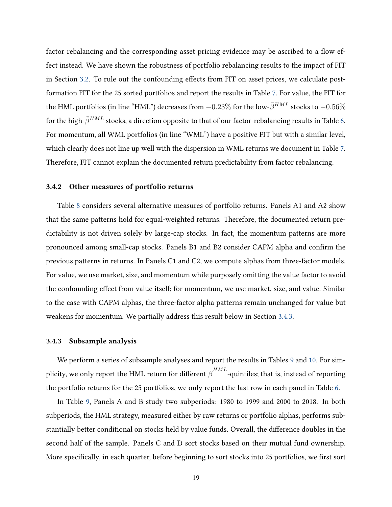factor rebalancing and the corresponding asset pricing evidence may be ascribed to a flow effect instead. We have shown the robustness of portfolio rebalancing results to the impact of FIT in Section [3.2.](#page-13-0) To rule out the confounding effects from FIT on asset prices, we calculate postformation FIT for the 25 sorted portfolios and report the results in Table [7.](#page-40-0) For value, the FIT for the HML portfolios (in line "HML") decreases from  $-0.23\%$  for the low- $\bar{\beta}^{HML}$  stocks to  $-0.56\%$ for the high- $\bar{\beta}^{HML}$  stocks, a direction opposite to that of our factor-rebalancing results in Table [6.](#page-39-0) For momentum, all WML portfolios (in line "WML") have a positive FIT but with a similar level, which clearly does not line up well with the dispersion in WML returns we document in Table [7.](#page-40-0) Therefore, FIT cannot explain the documented return predictability from factor rebalancing.

## 3.4.2 Other measures of portfolio returns

Table [8](#page-41-0) considers several alternative measures of portfolio returns. Panels A1 and A2 show that the same patterns hold for equal-weighted returns. Therefore, the documented return predictability is not driven solely by large-cap stocks. In fact, the momentum patterns are more pronounced among small-cap stocks. Panels B1 and B2 consider CAPM alpha and confirm the previous patterns in returns. In Panels C1 and C2, we compute alphas from three-factor models. For value, we use market, size, and momentum while purposely omitting the value factor to avoid the confounding effect from value itself; for momentum, we use market, size, and value. Similar to the case with CAPM alphas, the three-factor alpha patterns remain unchanged for value but weakens for momentum. We partially address this result below in Section [3.4.3.](#page-19-0)

#### <span id="page-19-0"></span>3.4.3 Subsample analysis

We perform a series of subsample analyses and report the results in Tables [9](#page-42-0) and [10.](#page-43-0) For simplicity, we only report the HML return for different  $\overline{\beta}^{HML}$ -quintiles; that is, instead of reporting the portfolio returns for the 25 portfolios, we only report the last row in each panel in Table [6.](#page-39-0)

In Table [9,](#page-42-0) Panels A and B study two subperiods: 1980 to 1999 and 2000 to 2018. In both subperiods, the HML strategy, measured either by raw returns or portfolio alphas, performs substantially better conditional on stocks held by value funds. Overall, the difference doubles in the second half of the sample. Panels C and D sort stocks based on their mutual fund ownership. More specifically, in each quarter, before beginning to sort stocks into 25 portfolios, we first sort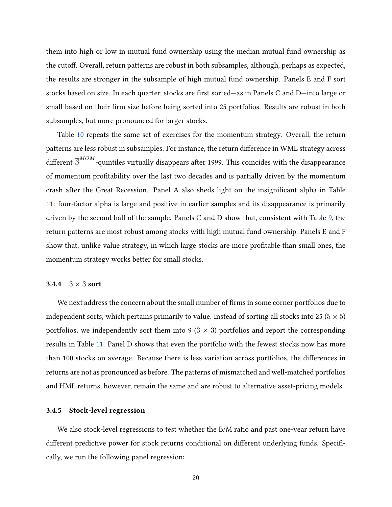them into high or low in mutual fund ownership using the median mutual fund ownership as the cutoff. Overall, return patterns are robust in both subsamples, although, perhaps as expected, the results are stronger in the subsample of high mutual fund ownership. Panels E and F sort stocks based on size. In each quarter, stocks are first sorted—as in Panels C and D—into large or small based on their firm size before being sorted into 25 portfolios. Results are robust in both subsamples, but more pronounced for larger stocks.

Table [10](#page-43-0) repeats the same set of exercises for the momentum strategy. Overall, the return patterns are less robust in subsamples. For instance, the return difference in WML strategy across different  $\overline{\beta}^{MOM}$ -quintiles virtually disappears after 1999. This coincides with the disappearance of momentum profitability over the last two decades and is partially driven by the momentum crash after the Great Recession. Panel A also sheds light on the insignificant alpha in Table [11:](#page-44-0) four-factor alpha is large and positive in earlier samples and its disappearance is primarily driven by the second half of the sample. Panels C and D show that, consistent with Table [9,](#page-42-0) the return patterns are most robust among stocks with high mutual fund ownership. Panels E and F show that, unlike value strategy, in which large stocks are more profitable than small ones, the momentum strategy works better for small stocks.

#### 3.4.4  $3 \times 3$  sort

We next address the concern about the small number of firms in some corner portfolios due to independent sorts, which pertains primarily to value. Instead of sorting all stocks into 25 ( $5 \times 5$ ) portfolios, we independently sort them into 9 ( $3 \times 3$ ) portfolios and report the corresponding results in Table [11.](#page-44-0) Panel D shows that even the portfolio with the fewest stocks now has more than 100 stocks on average. Because there is less variation across portfolios, the differences in returns are not as pronounced as before. The patterns of mismatched and well-matched portfolios and HML returns, however, remain the same and are robust to alternative asset-pricing models.

#### 3.4.5 Stock-level regression

We also stock-level regressions to test whether the B/M ratio and past one-year return have different predictive power for stock returns conditional on different underlying funds. Specifically, we run the following panel regression: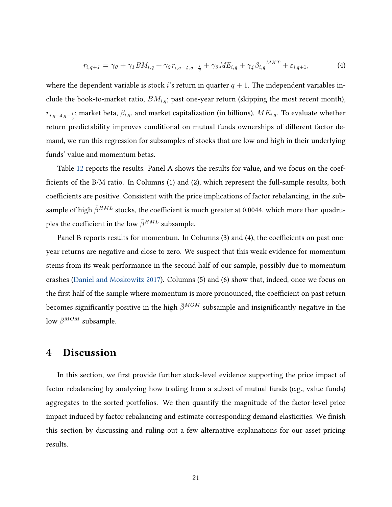$$
r_{i,q+1} = \gamma_0 + \gamma_1 BM_{i,q} + \gamma_2 r_{i,q-4,q-\frac{1}{3}} + \gamma_3 ME_{i,q} + \gamma_4 \beta_{i,q}^{MKT} + \varepsilon_{i,q+1},\tag{4}
$$

where the dependent variable is stock i's return in quarter  $q + 1$ . The independent variables include the book-to-market ratio,  $BM_{i,q}$ ; past one-year return (skipping the most recent month),  $r_{i,q-4,q-\frac{1}{3}};$  market beta,  $\beta_{i,q}$ , and market capitalization (in billions),  $ME_{i,q}.$  To evaluate whether return predictability improves conditional on mutual funds ownerships of different factor demand, we run this regression for subsamples of stocks that are low and high in their underlying funds' value and momentum betas.

Table [12](#page-45-0) reports the results. Panel A shows the results for value, and we focus on the coefficients of the B/M ratio. In Columns (1) and (2), which represent the full-sample results, both coefficients are positive. Consistent with the price implications of factor rebalancing, in the subsample of high  $\bar{\beta}^{HML}$  stocks, the coefficient is much greater at 0.0044, which more than quadruples the coefficient in the low  $\bar{\beta}^{HML}$  subsample.

Panel B reports results for momentum. In Columns (3) and (4), the coefficients on past oneyear returns are negative and close to zero. We suspect that this weak evidence for momentum stems from its weak performance in the second half of our sample, possibly due to momentum crashes [\(Daniel and Moskowitz](#page-29-11) [2017\)](#page-29-11). Columns (5) and (6) show that, indeed, once we focus on the first half of the sample where momentum is more pronounced, the coefficient on past return becomes significantly positive in the high  $\bar{\beta}^{MOM}$  subsample and insignificantly negative in the low  $\bar{\beta}^{MOM}$  subsample.

# <span id="page-21-0"></span>4 Discussion

In this section, we first provide further stock-level evidence supporting the price impact of factor rebalancing by analyzing how trading from a subset of mutual funds (e.g., value funds) aggregates to the sorted portfolios. We then quantify the magnitude of the factor-level price impact induced by factor rebalancing and estimate corresponding demand elasticities. We finish this section by discussing and ruling out a few alternative explanations for our asset pricing results.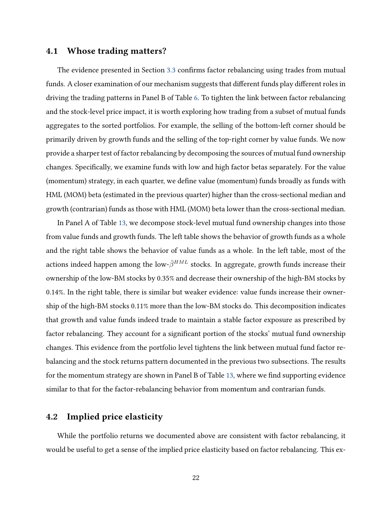# 4.1 Whose trading matters?

The evidence presented in Section [3.3](#page-15-0) confirms factor rebalancing using trades from mutual funds. A closer examination of our mechanism suggests that different funds play different roles in driving the trading patterns in Panel B of Table [6.](#page-39-0) To tighten the link between factor rebalancing and the stock-level price impact, it is worth exploring how trading from a subset of mutual funds aggregates to the sorted portfolios. For example, the selling of the bottom-left corner should be primarily driven by growth funds and the selling of the top-right corner by value funds. We now provide a sharper test of factor rebalancing by decomposing the sources of mutual fund ownership changes. Specifically, we examine funds with low and high factor betas separately. For the value (momentum) strategy, in each quarter, we define value (momentum) funds broadly as funds with HML (MOM) beta (estimated in the previous quarter) higher than the cross-sectional median and growth (contrarian) funds as those with HML (MOM) beta lower than the cross-sectional median.

In Panel A of Table [13,](#page-46-0) we decompose stock-level mutual fund ownership changes into those from value funds and growth funds. The left table shows the behavior of growth funds as a whole and the right table shows the behavior of value funds as a whole. In the left table, most of the actions indeed happen among the low- $\bar{\beta}^{HML}$  stocks. In aggregate, growth funds increase their ownership of the low-BM stocks by 0.35% and decrease their ownership of the high-BM stocks by 0.14%. In the right table, there is similar but weaker evidence: value funds increase their ownership of the high-BM stocks 0.11% more than the low-BM stocks do. This decomposition indicates that growth and value funds indeed trade to maintain a stable factor exposure as prescribed by factor rebalancing. They account for a significant portion of the stocks' mutual fund ownership changes. This evidence from the portfolio level tightens the link between mutual fund factor rebalancing and the stock returns pattern documented in the previous two subsections. The results for the momentum strategy are shown in Panel B of Table [13,](#page-46-0) where we find supporting evidence similar to that for the factor-rebalancing behavior from momentum and contrarian funds.

# 4.2 Implied price elasticity

While the portfolio returns we documented above are consistent with factor rebalancing, it would be useful to get a sense of the implied price elasticity based on factor rebalancing. This ex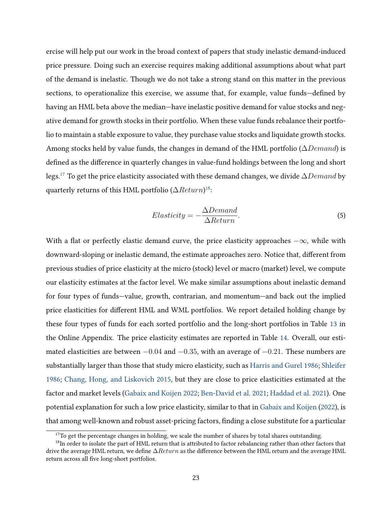ercise will help put our work in the broad context of papers that study inelastic demand-induced price pressure. Doing such an exercise requires making additional assumptions about what part of the demand is inelastic. Though we do not take a strong stand on this matter in the previous sections, to operationalize this exercise, we assume that, for example, value funds—defined by having an HML beta above the median—have inelastic positive demand for value stocks and negative demand for growth stocks in their portfolio. When these value funds rebalance their portfolio to maintain a stable exposure to value, they purchase value stocks and liquidate growth stocks. Among stocks held by value funds, the changes in demand of the HML portfolio ( $\Delta Demand$ ) is defined as the difference in quarterly changes in value-fund holdings between the long and short legs.<sup>[17](#page-0-0)</sup> To get the price elasticity associated with these demand changes, we divide  $\Delta Demand$  by quarterly returns of this HML portfolio ( $\Delta Return$ ) $^{18}$  $^{18}$  $^{18}$ :

$$
Elasticity = -\frac{\Delta Demand}{\Delta Return}.
$$
\n(5)

With a flat or perfectly elastic demand curve, the price elasticity approaches  $-\infty$ , while with downward-sloping or inelastic demand, the estimate approaches zero. Notice that, different from previous studies of price elasticity at the micro (stock) level or macro (market) level, we compute our elasticity estimates at the factor level. We make similar assumptions about inelastic demand for four types of funds—value, growth, contrarian, and momentum—and back out the implied price elasticities for different HML and WML portfolios. We report detailed holding change by these four types of funds for each sorted portfolio and the long-short portfolios in Table [13](#page-46-0) in the Online Appendix. The price elasticity estimates are reported in Table [14.](#page-47-0) Overall, our estimated elasticities are between  $-0.04$  and  $-0.35$ , with an average of  $-0.21$ . These numbers are substantially larger than those that study micro elasticity, such as [Harris and Gurel](#page-29-1) [1986;](#page-29-1) [Shleifer](#page-30-0) [1986;](#page-30-0) [Chang, Hong, and Liskovich](#page-28-0) [2015,](#page-28-0) but they are close to price elasticities estimated at the factor and market levels [\(Gabaix and Koijen](#page-29-0) [2022;](#page-29-0) [Ben-David et al.](#page-28-1) [2021;](#page-28-1) [Haddad et al.](#page-29-2) [2021\)](#page-29-2). One potential explanation for such a low price elasticity, similar to that in [Gabaix and Koijen](#page-29-0) [\(2022\)](#page-29-0), is that among well-known and robust asset-pricing factors, finding a close substitute for a particular

 $17$ To get the percentage changes in holding, we scale the number of shares by total shares outstanding.

<sup>&</sup>lt;sup>18</sup>In order to isolate the part of HML return that is attributed to factor rebalancing rather than other factors that drive the average HML return, we define  $\Delta Return$  as the difference between the HML return and the average HML return across all five long-short portfolios.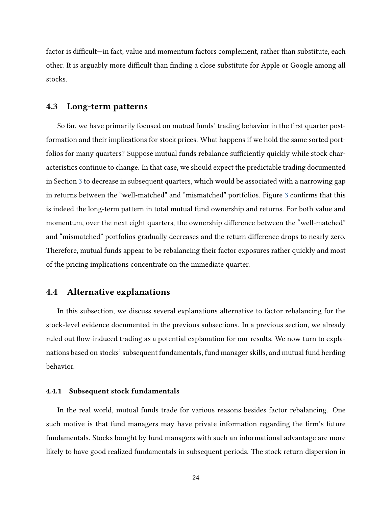factor is difficult—in fact, value and momentum factors complement, rather than substitute, each other. It is arguably more difficult than finding a close substitute for Apple or Google among all stocks.

## 4.3 Long-term patterns

So far, we have primarily focused on mutual funds' trading behavior in the first quarter postformation and their implications for stock prices. What happens if we hold the same sorted portfolios for many quarters? Suppose mutual funds rebalance sufficiently quickly while stock characteristics continue to change. In that case, we should expect the predictable trading documented in Section [3](#page-12-0) to decrease in subsequent quarters, which would be associated with a narrowing gap in returns between the "well-matched" and "mismatched" portfolios. Figure [3](#page-33-0) confirms that this is indeed the long-term pattern in total mutual fund ownership and returns. For both value and momentum, over the next eight quarters, the ownership difference between the "well-matched" and "mismatched" portfolios gradually decreases and the return difference drops to nearly zero. Therefore, mutual funds appear to be rebalancing their factor exposures rather quickly and most of the pricing implications concentrate on the immediate quarter.

# 4.4 Alternative explanations

In this subsection, we discuss several explanations alternative to factor rebalancing for the stock-level evidence documented in the previous subsections. In a previous section, we already ruled out flow-induced trading as a potential explanation for our results. We now turn to explanations based on stocks' subsequent fundamentals, fund manager skills, and mutual fund herding behavior.

#### 4.4.1 Subsequent stock fundamentals

In the real world, mutual funds trade for various reasons besides factor rebalancing. One such motive is that fund managers may have private information regarding the firm's future fundamentals. Stocks bought by fund managers with such an informational advantage are more likely to have good realized fundamentals in subsequent periods. The stock return dispersion in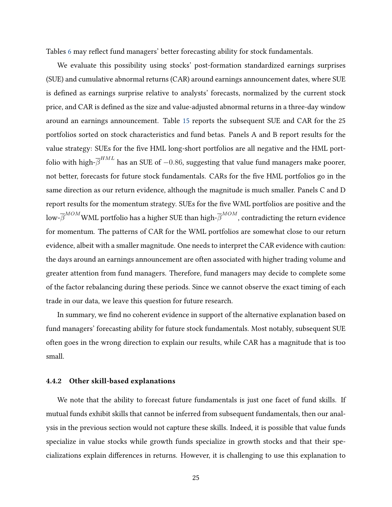Tables [6](#page-39-0) may reflect fund managers' better forecasting ability for stock fundamentals.

We evaluate this possibility using stocks' post-formation standardized earnings surprises (SUE) and cumulative abnormal returns (CAR) around earnings announcement dates, where SUE is defined as earnings surprise relative to analysts' forecasts, normalized by the current stock price, and CAR is defined as the size and value-adjusted abnormal returns in a three-day window around an earnings announcement. Table [15](#page-48-0) reports the subsequent SUE and CAR for the 25 portfolios sorted on stock characteristics and fund betas. Panels A and B report results for the value strategy: SUEs for the five HML long-short portfolios are all negative and the HML portfolio with high- $\overline{\beta}^{HML}$  has an SUE of  $-0.86$ , suggesting that value fund managers make poorer, not better, forecasts for future stock fundamentals. CARs for the five HML portfolios go in the same direction as our return evidence, although the magnitude is much smaller. Panels C and D report results for the momentum strategy. SUEs for the five WML portfolios are positive and the low- $\overline{\beta}^{MOM}$ WML portfolio has a higher SUE than high- $\overline{\beta}^{MOM}$ , contradicting the return evidence for momentum. The patterns of CAR for the WML portfolios are somewhat close to our return evidence, albeit with a smaller magnitude. One needs to interpret the CAR evidence with caution: the days around an earnings announcement are often associated with higher trading volume and greater attention from fund managers. Therefore, fund managers may decide to complete some of the factor rebalancing during these periods. Since we cannot observe the exact timing of each trade in our data, we leave this question for future research.

In summary, we find no coherent evidence in support of the alternative explanation based on fund managers' forecasting ability for future stock fundamentals. Most notably, subsequent SUE often goes in the wrong direction to explain our results, while CAR has a magnitude that is too small.

#### 4.4.2 Other skill-based explanations

We note that the ability to forecast future fundamentals is just one facet of fund skills. If mutual funds exhibit skills that cannot be inferred from subsequent fundamentals, then our analysis in the previous section would not capture these skills. Indeed, it is possible that value funds specialize in value stocks while growth funds specialize in growth stocks and that their specializations explain differences in returns. However, it is challenging to use this explanation to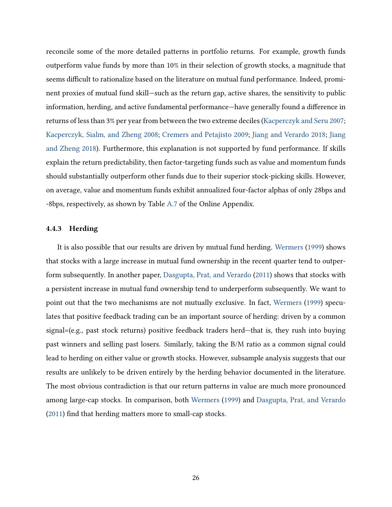reconcile some of the more detailed patterns in portfolio returns. For example, growth funds outperform value funds by more than 10% in their selection of growth stocks, a magnitude that seems difficult to rationalize based on the literature on mutual fund performance. Indeed, prominent proxies of mutual fund skill—such as the return gap, active shares, the sensitivity to public information, herding, and active fundamental performance—have generally found a difference in returns of less than 3% per year from between the two extreme deciles [\(Kacperczyk and Seru](#page-30-12) [2007;](#page-30-12) [Kacperczyk, Sialm, and Zheng](#page-30-11) [2008;](#page-30-11) [Cremers and Petajisto](#page-28-8) [2009;](#page-28-8) [Jiang and Verardo](#page-30-10) [2018;](#page-30-10) [Jiang](#page-30-13) [and Zheng](#page-30-13) [2018\)](#page-30-13). Furthermore, this explanation is not supported by fund performance. If skills explain the return predictability, then factor-targeting funds such as value and momentum funds should substantially outperform other funds due to their superior stock-picking skills. However, on average, value and momentum funds exhibit annualized four-factor alphas of only 28bps and -8bps, respectively, as shown by Table [A.7](#page-56-0) of the Online Appendix.

#### 4.4.3 Herding

It is also possible that our results are driven by mutual fund herding. [Wermers](#page-31-1) [\(1999\)](#page-31-1) shows that stocks with a large increase in mutual fund ownership in the recent quarter tend to outperform subsequently. In another paper, [Dasgupta, Prat, and Verardo](#page-29-4) [\(2011\)](#page-29-4) shows that stocks with a persistent increase in mutual fund ownership tend to underperform subsequently. We want to point out that the two mechanisms are not mutually exclusive. In fact, [Wermers](#page-31-1) [\(1999\)](#page-31-1) speculates that positive feedback trading can be an important source of herding: driven by a common signal=(e.g., past stock returns) positive feedback traders herd—that is, they rush into buying past winners and selling past losers. Similarly, taking the B/M ratio as a common signal could lead to herding on either value or growth stocks. However, subsample analysis suggests that our results are unlikely to be driven entirely by the herding behavior documented in the literature. The most obvious contradiction is that our return patterns in value are much more pronounced among large-cap stocks. In comparison, both [Wermers](#page-31-1) [\(1999\)](#page-31-1) and [Dasgupta, Prat, and Verardo](#page-29-4) [\(2011\)](#page-29-4) find that herding matters more to small-cap stocks.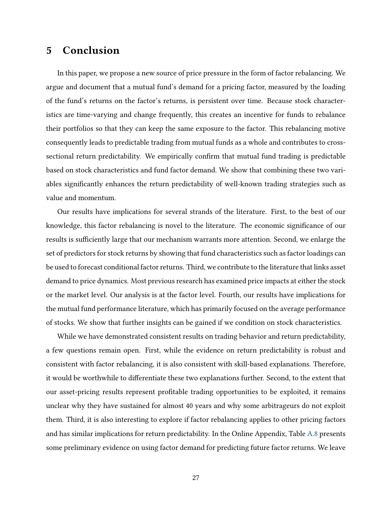# <span id="page-27-0"></span>5 Conclusion

In this paper, we propose a new source of price pressure in the form of factor rebalancing. We argue and document that a mutual fund's demand for a pricing factor, measured by the loading of the fund's returns on the factor's returns, is persistent over time. Because stock characteristics are time-varying and change frequently, this creates an incentive for funds to rebalance their portfolios so that they can keep the same exposure to the factor. This rebalancing motive consequently leads to predictable trading from mutual funds as a whole and contributes to crosssectional return predictability. We empirically confirm that mutual fund trading is predictable based on stock characteristics and fund factor demand. We show that combining these two variables significantly enhances the return predictability of well-known trading strategies such as value and momentum.

Our results have implications for several strands of the literature. First, to the best of our knowledge, this factor rebalancing is novel to the literature. The economic significance of our results is sufficiently large that our mechanism warrants more attention. Second, we enlarge the set of predictors for stock returns by showing that fund characteristics such as factor loadings can be used to forecast conditional factor returns. Third, we contribute to the literature that links asset demand to price dynamics. Most previous research has examined price impacts at either the stock or the market level. Our analysis is at the factor level. Fourth, our results have implications for the mutual fund performance literature, which has primarily focused on the average performance of stocks. We show that further insights can be gained if we condition on stock characteristics.

While we have demonstrated consistent results on trading behavior and return predictability, a few questions remain open. First, while the evidence on return predictability is robust and consistent with factor rebalancing, it is also consistent with skill-based explanations. Therefore, it would be worthwhile to differentiate these two explanations further. Second, to the extent that our asset-pricing results represent profitable trading opportunities to be exploited, it remains unclear why they have sustained for almost 40 years and why some arbitrageurs do not exploit them. Third, it is also interesting to explore if factor rebalancing applies to other pricing factors and has similar implications for return predictability. In the Online Appendix, Table [A.8](#page-57-0) presents some preliminary evidence on using factor demand for predicting future factor returns. We leave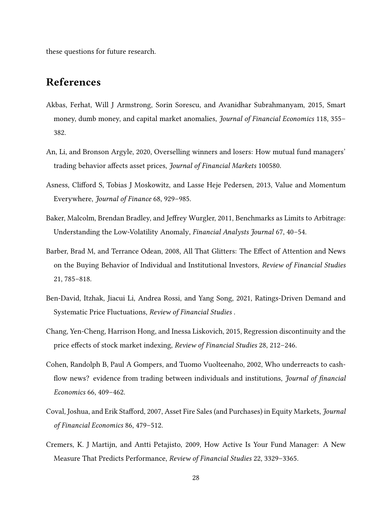these questions for future research.

# References

- <span id="page-28-4"></span>Akbas, Ferhat, Will J Armstrong, Sorin Sorescu, and Avanidhar Subrahmanyam, 2015, Smart money, dumb money, and capital market anomalies, *Journal of Financial Economics* 118, 355– 382.
- <span id="page-28-6"></span>An, Li, and Bronson Argyle, 2020, Overselling winners and losers: How mutual fund managers' trading behavior affects asset prices, Journal of Financial Markets 100580.
- <span id="page-28-2"></span>Asness, Clifford S, Tobias J Moskowitz, and Lasse Heje Pedersen, 2013, Value and Momentum Everywhere, Journal of Finance 68, 929–985.
- <span id="page-28-7"></span>Baker, Malcolm, Brendan Bradley, and Jeffrey Wurgler, 2011, Benchmarks as Limits to Arbitrage: Understanding the Low-Volatility Anomaly, Financial Analysts Journal 67, 40–54.
- <span id="page-28-9"></span>Barber, Brad M, and Terrance Odean, 2008, All That Glitters: The Effect of Attention and News on the Buying Behavior of Individual and Institutional Investors, Review of Financial Studies 21, 785–818.
- <span id="page-28-1"></span>Ben-David, Itzhak, Jiacui Li, Andrea Rossi, and Yang Song, 2021, Ratings-Driven Demand and Systematic Price Fluctuations, Review of Financial Studies .
- <span id="page-28-0"></span>Chang, Yen-Cheng, Harrison Hong, and Inessa Liskovich, 2015, Regression discontinuity and the price effects of stock market indexing, Review of Financial Studies 28, 212–246.
- <span id="page-28-5"></span>Cohen, Randolph B, Paul A Gompers, and Tuomo Vuolteenaho, 2002, Who underreacts to cashflow news? evidence from trading between individuals and institutions, *Journal of financial* Economics 66, 409–462.
- <span id="page-28-3"></span>Coval, Joshua, and Erik Stafford, 2007, Asset Fire Sales (and Purchases) in Equity Markets, Journal of Financial Economics 86, 479–512.
- <span id="page-28-8"></span>Cremers, K. J Martijn, and Antti Petajisto, 2009, How Active Is Your Fund Manager: A New Measure That Predicts Performance, Review of Financial Studies 22, 3329–3365.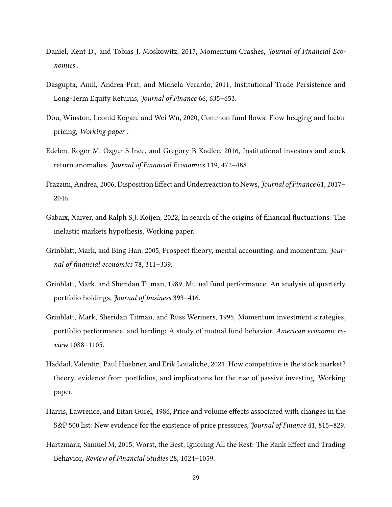- <span id="page-29-11"></span>Daniel, Kent D., and Tobias J. Moskowitz, 2017, Momentum Crashes, Journal of Financial Economics .
- <span id="page-29-4"></span>Dasgupta, Amil, Andrea Prat, and Michela Verardo, 2011, Institutional Trade Persistence and Long-Term Equity Returns, Journal of Finance 66, 635–653.
- <span id="page-29-9"></span>Dou, Winston, Leonid Kogan, and Wei Wu, 2020, Common fund flows: Flow hedging and factor pricing, Working paper .
- <span id="page-29-3"></span>Edelen, Roger M, Ozgur S Ince, and Gregory B Kadlec, 2016, Institutional investors and stock return anomalies, Journal of Financial Economics 119, 472–488.
- <span id="page-29-6"></span>Frazzini, Andrea, 2006, Disposition Effect and Underreaction to News, Journal of Finance 61, 2017– 2046.
- <span id="page-29-0"></span>Gabaix, Xaiver, and Ralph S.J. Koijen, 2022, In search of the origins of financial fluctuations: The inelastic markets hypothesis, Working paper.
- <span id="page-29-5"></span>Grinblatt, Mark, and Bing Han, 2005, Prospect theory, mental accounting, and momentum, Journal of financial economics 78, 311–339.
- <span id="page-29-7"></span>Grinblatt, Mark, and Sheridan Titman, 1989, Mutual fund performance: An analysis of quarterly portfolio holdings, Journal of business 393–416.
- <span id="page-29-8"></span>Grinblatt, Mark, Sheridan Titman, and Russ Wermers, 1995, Momentum investment strategies, portfolio performance, and herding: A study of mutual fund behavior, American economic review 1088–1105.
- <span id="page-29-2"></span>Haddad, Valentin, Paul Huebner, and Erik Loualiche, 2021, How competitive is the stock market? theory, evidence from portfolios, and implications for the rise of passive investing, Working paper.
- <span id="page-29-1"></span>Harris, Lawrence, and Eitan Gurel, 1986, Price and volume effects associated with changes in the S&P 500 list: New evidence for the existence of price pressures, Journal of Finance 41, 815–829.
- <span id="page-29-10"></span>Hartzmark, Samuel M, 2015, Worst, the Best, Ignoring All the Rest: The Rank Effect and Trading Behavior, Review of Financial Studies 28, 1024–1059.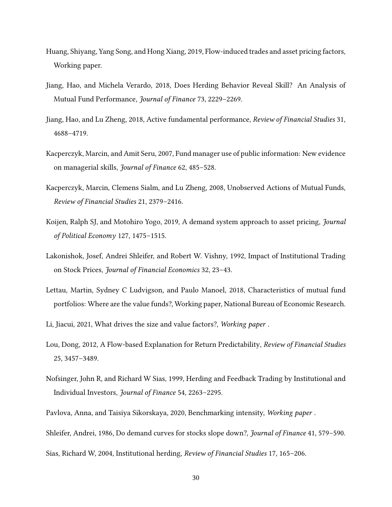- <span id="page-30-5"></span>Huang, Shiyang, Yang Song, and Hong Xiang, 2019, Flow-induced trades and asset pricing factors, Working paper.
- <span id="page-30-10"></span>Jiang, Hao, and Michela Verardo, 2018, Does Herding Behavior Reveal Skill? An Analysis of Mutual Fund Performance, Journal of Finance 73, 2229–2269.
- <span id="page-30-13"></span>Jiang, Hao, and Lu Zheng, 2018, Active fundamental performance, Review of Financial Studies 31, 4688–4719.
- <span id="page-30-12"></span>Kacperczyk, Marcin, and Amit Seru, 2007, Fund manager use of public information: New evidence on managerial skills, Journal of Finance 62, 485–528.
- <span id="page-30-11"></span>Kacperczyk, Marcin, Clemens Sialm, and Lu Zheng, 2008, Unobserved Actions of Mutual Funds, Review of Financial Studies 21, 2379–2416.
- <span id="page-30-2"></span>Koijen, Ralph SJ, and Motohiro Yogo, 2019, A demand system approach to asset pricing, Journal of Political Economy 127, 1475–1515.
- <span id="page-30-6"></span>Lakonishok, Josef, Andrei Shleifer, and Robert W. Vishny, 1992, Impact of Institutional Trading on Stock Prices, Journal of Financial Economics 32, 23–43.
- <span id="page-30-3"></span>Lettau, Martin, Sydney C Ludvigson, and Paulo Manoel, 2018, Characteristics of mutual fund portfolios: Where are the value funds?, Working paper, National Bureau of Economic Research.
- <span id="page-30-9"></span>Li, Jiacui, 2021, What drives the size and value factors?, Working paper .
- <span id="page-30-4"></span>Lou, Dong, 2012, A Flow-based Explanation for Return Predictability, Review of Financial Studies 25, 3457–3489.
- <span id="page-30-7"></span>Nofsinger, John R, and Richard W Sias, 1999, Herding and Feedback Trading by Institutional and Individual Investors, Journal of Finance 54, 2263–2295.
- <span id="page-30-1"></span>Pavlova, Anna, and Taisiya Sikorskaya, 2020, Benchmarking intensity, Working paper .

<span id="page-30-0"></span>Shleifer, Andrei, 1986, Do demand curves for stocks slope down?, Journal of Finance 41, 579–590.

<span id="page-30-8"></span>Sias, Richard W, 2004, Institutional herding, Review of Financial Studies 17, 165–206.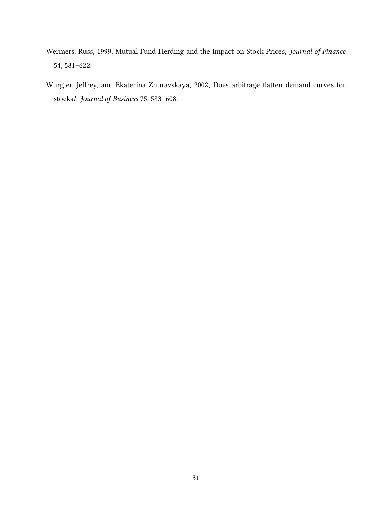- <span id="page-31-1"></span>Wermers, Russ, 1999, Mutual Fund Herding and the Impact on Stock Prices, Journal of Finance 54, 581–622.
- <span id="page-31-0"></span>Wurgler, Jeffrey, and Ekaterina Zhuravskaya, 2002, Does arbitrage flatten demand curves for stocks?, Journal of Business 75, 583–608.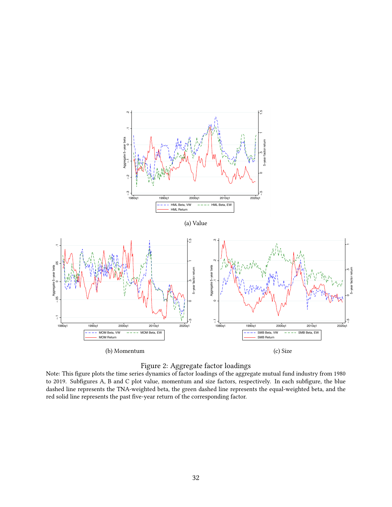<span id="page-32-1"></span><span id="page-32-0"></span>

#### Figure 2: Aggregate factor loadings

Note: This figure plots the time series dynamics of factor loadings of the aggregate mutual fund industry from 1980 to 2019. Subfigures A, B and C plot value, momentum and size factors, respectively. In each subfigure, the blue dashed line represents the TNA-weighted beta, the green dashed line represents the equal-weighted beta, and the red solid line represents the past five-year return of the corresponding factor.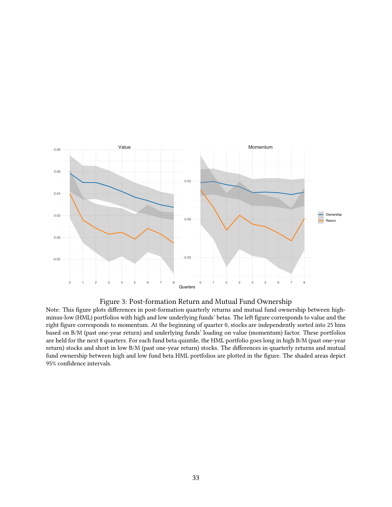<span id="page-33-0"></span>



Note: This figure plots differences in post-formation quarterly returns and mutual fund ownership between highminus-low (HML) portfolios with high and low underlying funds' betas. The left figure corresponds to value and the right figure corresponds to momentum. At the beginning of quarter 0, stocks are independently sorted into 25 bins based on B/M (past one-year return) and underlying funds' loading on value (momentum) factor. These portfolios are held for the next 8 quarters. For each fund beta quintile, the HML portfolio goes long in high B/M (past one-year return) stocks and short in low B/M (past one-year return) stocks. The differences in quarterly returns and mutual fund ownership between high and low fund beta HML portfolios are plotted in the figure. The shaded areas depict 95% confidence intervals.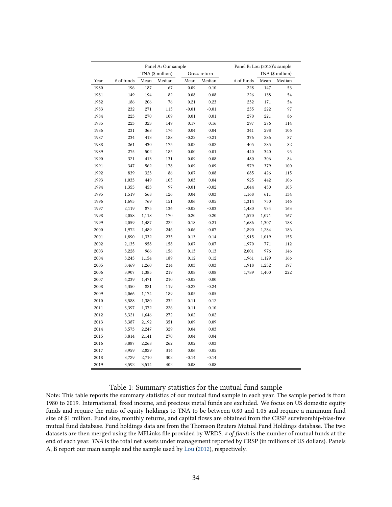<span id="page-34-0"></span>

|      |            |       | Panel A: Our sample |            |              | Panel B: Lou (2012)'s sample |       |                  |
|------|------------|-------|---------------------|------------|--------------|------------------------------|-------|------------------|
|      |            |       | TNA (\$ million)    |            | Gross return |                              |       | TNA (\$ million) |
| Year | # of funds | Mean  | Median              | Mean       | Median       | # of funds                   | Mean  | Median           |
| 1980 | 196        | 187   | 67                  | 0.09       | 0.10         | 228                          | 147   | 53               |
| 1981 | 149        | 194   | 82                  | 0.08       | 0.08         | 226                          | 138   | 54               |
| 1982 | 186        | 206   | 76                  | 0.21       | 0.23         | 232                          | 171   | 54               |
| 1983 | 232        | 271   | 115                 | $-0.01$    | $-0.01$      | 255                          | 222   | 97               |
| 1984 | 223        | 270   | 109                 | 0.01       | 0.01         | 270                          | 221   | 86               |
| 1985 | 223        | 323   | 149                 | 0.17       | 0.16         | 297                          | 276   | 114              |
| 1986 | 231        | 368   | 176                 | 0.04       | 0.04         | 341                          | 298   | 106              |
| 1987 | 234        | 413   | 188                 | $-0.22$    | $-0.21$      | 376                          | 286   | 87               |
| 1988 | 261        | 430   | 175                 | 0.02       | 0.02         | 405                          | 285   | 82               |
| 1989 | 275        | 502   | 185                 | 0.00       | 0.01         | 440                          | 340   | 95               |
| 1990 | 321        | 413   | 131                 | 0.09       | 0.08         | 480                          | 306   | 84               |
| 1991 | 347        | 562   | 178                 | 0.09       | 0.09         | 579                          | 379   | 100              |
| 1992 | 839        | 323   | 86                  | 0.07       | 0.08         | 685                          | 426   | 115              |
| 1993 | 1,033      | 449   | 105                 | 0.03       | 0.04         | 925                          | 442   | 106              |
| 1994 | 1,355      | 453   | 97                  | $-0.01$    | $-0.02$      | 1,044                        | 450   | 105              |
| 1995 | 1,519      | 568   | 126                 | 0.04       | 0.03         | 1,168                        | 611   | 134              |
| 1996 | 1,695      | 769   | 151                 | 0.06       | 0.05         | 1,314                        | 750   | 146              |
| 1997 | 2,119      | 875   | 136                 | $-0.02$    | $-0.03$      | 1,480                        | 934   | 163              |
| 1998 | 2,058      | 1,118 | 170                 | 0.20       | 0.20         | 1,570                        | 1,071 | 167              |
| 1999 | 2,059      | 1,487 | 222                 | 0.18       | 0.21         | 1,686                        | 1,307 | 188              |
| 2000 | 1,972      | 1,489 | 246                 | $-0.06$    | $-0.07$      | 1,890                        | 1,284 | 186              |
| 2001 | 1,890      | 1,332 | 235                 | 0.13       | 0.14         | 1,915                        | 1,019 | 155              |
| 2002 | 2,135      | 958   | 158                 | 0.07       | 0.07         | 1,970                        | 771   | 112              |
| 2003 | 3,228      | 966   | 156                 | 0.13       | 0.13         | 2,001                        | 976   | 146              |
| 2004 | 3,245      | 1,154 | 189                 | 0.12       | 0.12         | 1,961                        | 1,129 | 166              |
| 2005 | 3,469      | 1,260 | 214                 | 0.03       | 0.03         | 1,918                        | 1,252 | 197              |
| 2006 | 3,907      | 1,385 | 219                 | $\rm 0.08$ | 0.08         | 1,789                        | 1,400 | 222              |
| 2007 | 4,239      | 1,471 | 210                 | $-0.02$    | 0.00         |                              |       |                  |
| 2008 | 4,350      | 821   | 119                 | $-0.23$    | $-0.24$      |                              |       |                  |
| 2009 | 4,066      | 1,174 | 189                 | 0.05       | 0.05         |                              |       |                  |
| 2010 | 3,588      | 1,380 | 232                 | 0.11       | 0.12         |                              |       |                  |
| 2011 | 3,397      | 1,372 | 226                 | 0.11       | 0.10         |                              |       |                  |
| 2012 | 3,321      | 1,646 | 272                 | 0.02       | 0.02         |                              |       |                  |
| 2013 | 3,387      | 2,192 | 351                 | 0.09       | 0.09         |                              |       |                  |
| 2014 | 3,573      | 2,247 | 329                 | 0.04       | 0.03         |                              |       |                  |
| 2015 | 3,814      | 2,141 | 270                 | 0.04       | 0.04         |                              |       |                  |
| 2016 | 3,887      | 2,268 | 262                 | 0.02       | 0.03         |                              |       |                  |
| 2017 | 3,959      | 2,829 | 314                 | 0.06       | 0.05         |                              |       |                  |
| 2018 | 3,729      | 2,710 | 302                 | $-0.14$    | $-0.14$      |                              |       |                  |
| 2019 | 3,592      | 3,514 | 402                 | 0.08       | 0.08         |                              |       |                  |

## Table 1: Summary statistics for the mutual fund sample

Note: This table reports the summary statistics of our mutual fund sample in each year. The sample period is from 1980 to 2019. International, fixed income, and precious metal funds are excluded. We focus on US domestic equity funds and require the ratio of equity holdings to TNA to be between 0.80 and 1.05 and require a minimum fund size of \$1 million. Fund size, monthly returns, and capital flows are obtained from the CRSP survivorship-bias-free mutual fund database. Fund holdings data are from the Thomson Reuters Mutual Fund Holdings database. The two datasets are then merged using the MFLinks file provided by WRDS. # of funds is the number of mutual funds at the end of each year. TNA is the total net assets under management reported by CRSP (in millions of US dollars). Panels A, B report our main sample and the sample used by [Lou](#page-30-4) [\(2012\)](#page-30-4), respectively.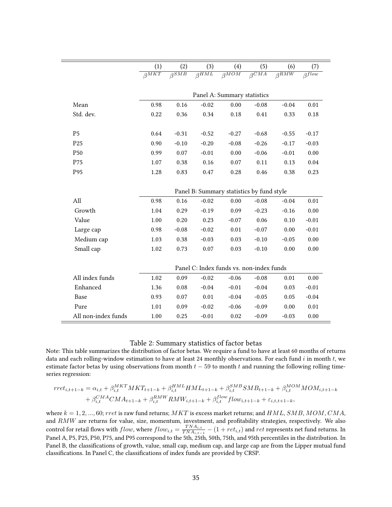<span id="page-35-0"></span>

|                     | (1)                      | (2)                      | (3)           | (4)                                       | (5)                      | (6)                      | (7)                       |
|---------------------|--------------------------|--------------------------|---------------|-------------------------------------------|--------------------------|--------------------------|---------------------------|
|                     | $\overline{\beta^{MKT}}$ | $\overline{\beta^{SMB}}$ | $\beta^{HML}$ | $\beta^{MOM}$                             | $\overline{\beta^{CMA}}$ | $\overline{\beta^{RMW}}$ | $\overline{\beta^{flow}}$ |
|                     |                          |                          |               | Panel A: Summary statistics               |                          |                          |                           |
| Mean                | 0.98                     | 0.16                     | $-0.02$       | 0.00                                      | $-0.08$                  | $-0.04$                  | 0.01                      |
| Std. dev.           | 0.22                     | 0.36                     | 0.34          | 0.18                                      | 0.41                     | 0.33                     | 0.18                      |
| P <sub>5</sub>      | 0.64                     | $-0.31$                  | $-0.52$       | $-0.27$                                   | $-0.68$                  | $-0.55$                  | $-0.17$                   |
| P <sub>25</sub>     | 0.90                     | $-0.10$                  | $-0.20$       | $-0.08$                                   | $-0.26$                  | $-0.17$                  | $-0.03$                   |
| P <sub>50</sub>     | 0.99                     | 0.07                     | $-0.01$       | 0.00                                      | $-0.06$                  | $-0.01$                  | 0.00                      |
| P75                 | 1.07                     | 0.38                     | 0.16          | 0.07                                      | 0.11                     | 0.13                     | 0.04                      |
| P95                 | 1.28                     | 0.83                     | 0.47          | 0.28                                      | 0.46                     | 0.38                     | 0.23                      |
|                     |                          |                          |               | Panel B: Summary statistics by fund style |                          |                          |                           |
| All                 | 0.98                     | 0.16                     | $-0.02$       | 0.00                                      | $-0.08$                  | $-0.04$                  | 0.01                      |
| Growth              | 1.04                     | 0.29                     | $-0.19$       | 0.09                                      | $-0.23$                  | $-0.16$                  | 0.00                      |
| Value               | 1.00                     | 0.20                     | 0.23          | $-0.07$                                   | 0.06                     | 0.10                     | $-0.01$                   |
| Large cap           | 0.98                     | $-0.08$                  | $-0.02$       | 0.01                                      | $-0.07$                  | 0.00                     | $-0.01$                   |
| Medium cap          | 1.03                     | 0.38                     | $-0.03$       | 0.03                                      | $-0.10$                  | $-0.05$                  | 0.00                      |
| Small cap           | 1.02                     | 0.73                     | 0.07          | 0.03                                      | $-0.10$                  | 0.00                     | 0.00                      |
|                     |                          |                          |               | Panel C: Index funds vs. non-index funds  |                          |                          |                           |
| All index funds     | 1.02                     | 0.09                     | $-0.02$       | $-0.06$                                   | $-0.08$                  | 0.01                     | 0.00                      |
| Enhanced            | 1.36                     | 0.08                     | $-0.04$       | $-0.01$                                   | $-0.04$                  | 0.03                     | $-0.01$                   |
| Base                | 0.93                     | 0.07                     | 0.01          | $-0.04$                                   | $-0.05$                  | 0.05                     | $-0.04$                   |
| Pure                | 1.01                     | 0.09                     | $-0.02$       | $-0.06$                                   | $-0.09$                  | 0.00                     | 0.01                      |
| All non-index funds | 1.00                     | 0.25                     | $-0.01$       | 0.02                                      | $-0.09$                  | $-0.03$                  | 0.00                      |

#### Table 2: Summary statistics of factor betas

Note: This table summarizes the distribution of factor betas. We require a fund to have at least 60 months of returns data and each rolling-window estimation to have at least 24 monthly observations. For each fund  $i$  in month  $t$ , we estimate factor betas by using observations from month  $t - 59$  to month t and running the following rolling timeseries regression:

$$
rret_{i,t+1-k} = \alpha_{i,t} + \beta_{i,t}^{MKT} MKT_{t+1-k} + \beta_{i,t}^{HML} HML_{t+1-k} + \beta_{i,t}^{SMB} SMB_{t+1-k} + \beta_{i,t}^{MOM} MOM_{i,t+1-k} + \beta_{i,t}^{CMA} CMA_{t+1-k} + \beta_{i,t}^{RMW} RMW_{i,t+1-k} + \beta_{i,t}^{flow} flow_{i,t+1-k} + \varepsilon_{i,t,t+1-k},
$$

where  $k = 1, 2, ..., 60$ ; rret is raw fund returns; MKT is excess market returns; and HML, SMB, MOM, CMA, and RMW are returns for value, size, momentum, investment, and profitability strategies, respectively. We also control for retail flows with  $flow$ , where  $flow_{i,t} = \frac{TNA_{i,t}}{TNA_{i,t}}$  $\frac{TNA_{i,t}}{TNA_{i,t-1}} - (1 + ret_{i,t})$  and  $ret$  represents net fund returns. In Panel A, P5, P25, P50, P75, and P95 correspond to the 5th, 25th, 50th, 75th, and 95th percentiles in the distribution. In Panel B, the classifications of growth, value, small cap, medium cap, and large cap are from the Lipper mutual fund classifications. In Panel C, the classifications of index funds are provided by CRSP.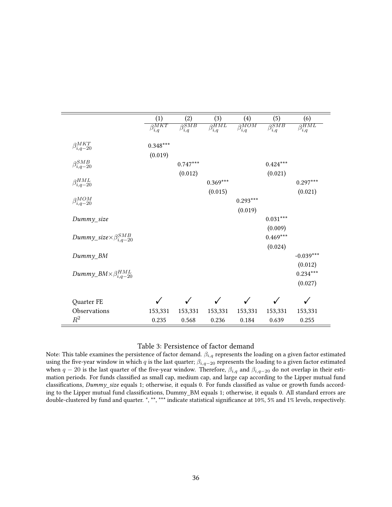<span id="page-36-0"></span>

|                                         | (1)                            | (2)                   | (3)                   | (4)                   | (5)                   | (6)                    |
|-----------------------------------------|--------------------------------|-----------------------|-----------------------|-----------------------|-----------------------|------------------------|
|                                         | $\overline{\beta_{i,q}^{MKT}}$ | $\beta_{i,q}^{SMB}$   | $\beta_{i,q}^{HML}$   | $\beta_{i,q}^{MOM}$   | $\beta_{i,q}^{SMB}$   | $\beta_{i,q}^{HML}$    |
| $\beta_{i,q-20}^{MKT}$                  | $0.348***$                     |                       |                       |                       |                       |                        |
| $\beta_{i,q-20}^{SMB}$                  | (0.019)                        | $0.747***$<br>(0.012) |                       |                       | $0.424***$<br>(0.021) |                        |
| $\beta_{i,q-20}^{HML}$                  |                                |                       | $0.369***$<br>(0.015) |                       |                       | $0.297***$<br>(0.021)  |
| $\beta_{i,q-20}^{MOM}$                  |                                |                       |                       | $0.293***$<br>(0.019) |                       |                        |
| Dummy_size                              |                                |                       |                       |                       | $0.031***$<br>(0.009) |                        |
| Dummy_size $\times\beta_{i,q-20}^{SMB}$ |                                |                       |                       |                       | $0.469***$<br>(0.024) |                        |
| Dummy_BM                                |                                |                       |                       |                       |                       | $-0.039***$<br>(0.012) |
| Dummy_BM $\times \beta_{i,q-20}^{HML}$  |                                |                       |                       |                       |                       | $0.234***$<br>(0.027)  |
| Quarter FE                              |                                |                       | ✓                     | ✓                     |                       | ✓                      |
| Observations                            | 153,331                        | 153,331               | 153,331               | 153,331               | 153,331               | 153,331                |
| $R^2$                                   | 0.235                          | 0.568                 | 0.236                 | 0.184                 | 0.639                 | 0.255                  |

#### Table 3: Persistence of factor demand

Note: This table examines the persistence of factor demand.  $\beta_{i,q}$  represents the loading on a given factor estimated using the five-year window in which q is the last quarter;  $\beta_{i,q-20}$  represents the loading to a given factor estimated when  $q-20$  is the last quarter of the five-year window. Therefore,  $\beta_{i,q}$  and  $\beta_{i,q-20}$  do not overlap in their estimation periods. For funds classified as small cap, medium cap, and large cap according to the Lipper mutual fund classifications, Dummy\_size equals 1; otherwise, it equals 0. For funds classified as value or growth funds according to the Lipper mutual fund classifications, Dummy\_BM equals 1; otherwise, it equals 0. All standard errors are double-clustered by fund and quarter. \*, \*\*, \*\*\* indicate statistical significance at 10%, 5% and 1% levels, respectively.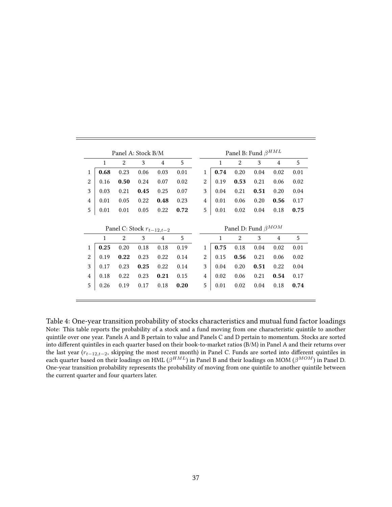<span id="page-37-0"></span>

|                |              |      | Panel A: Stock B/M            |                |      |                |              | Panel B: Fund $\beta^{HML}$ |      |                |      |
|----------------|--------------|------|-------------------------------|----------------|------|----------------|--------------|-----------------------------|------|----------------|------|
|                | $\mathbf{1}$ | 2    | 3                             | $\overline{4}$ | 5    |                | $\mathbf{1}$ | 2                           | 3    | $\overline{4}$ | 5    |
| 1              | 0.68         | 0.23 | 0.06                          | 0.03           | 0.01 | 1              | 0.74         | 0.20                        | 0.04 | 0.02           | 0.01 |
| $\overline{2}$ | 0.16         | 0.50 | 0.24                          | 0.07           | 0.02 | $\overline{2}$ | 0.19         | 0.53                        | 0.21 | 0.06           | 0.02 |
| 3              | 0.03         | 0.21 | 0.45                          | 0.25           | 0.07 | 3              | 0.04         | 0.21                        | 0.51 | 0.20           | 0.04 |
| $\overline{4}$ | 0.01         | 0.05 | 0.22                          | 0.48           | 0.23 | $\overline{4}$ | 0.01         | 0.06                        | 0.20 | 0.56           | 0.17 |
| 5              | 0.01         | 0.01 | 0.05                          | 0.22           | 0.72 | 5              | 0.01         | 0.02                        | 0.04 | 0.18           | 0.75 |
|                |              |      |                               |                |      |                |              |                             |      |                |      |
|                |              |      | Panel C: Stock $r_{t-12,t-2}$ |                |      |                |              | Panel D: Fund $\beta^{MOM}$ |      |                |      |
|                | $\mathbf{1}$ | 2    | 3                             | 4              | 5    |                | $\mathbf{1}$ | 2                           | 3    | $\overline{4}$ | 5    |
| 1              | 0.25         | 0.20 | 0.18                          | 0.18           | 0.19 | 1              | 0.75         | 0.18                        | 0.04 | 0.02           | 0.01 |
| $\overline{2}$ | 0.19         | 0.22 | 0.23                          | 0.22           | 0.14 | $\overline{2}$ | 0.15         | 0.56                        | 0.21 | 0.06           | 0.02 |
| 3              | 0.17         | 0.23 | 0.25                          | 0.22           | 0.14 | 3              | 0.04         | 0.20                        | 0.51 | 0.22           | 0.04 |
| $\overline{4}$ | 0.18         | 0.22 | 0.23                          | 0.21           | 0.15 | $\overline{4}$ | 0.02         | 0.06                        | 0.21 | 0.54           | 0.17 |
| 5              | 0.26         | 0.19 | 0.17                          | 0.18           | 0.20 | 5              | 0.01         | 0.02                        | 0.04 | 0.18           | 0.74 |
|                |              |      |                               |                |      |                |              |                             |      |                |      |

Table 4: One-year transition probability of stocks characteristics and mutual fund factor loadings Note: This table reports the probability of a stock and a fund moving from one characteristic quintile to another quintile over one year. Panels A and B pertain to value and Panels C and D pertain to momentum. Stocks are sorted into different quintiles in each quarter based on their book-to-market ratios (B/M) in Panel A and their returns over the last year ( $r_{t-12,t-2}$ , skipping the most recent month) in Panel C. Funds are sorted into different quintiles in each quarter based on their loadings on HML ( $\beta^{HML}$ ) in Panel B and their loadings on MOM ( $\beta^{MOM})$  in Panel D. One-year transition probability represents the probability of moving from one quintile to another quintile between the current quarter and four quarters later.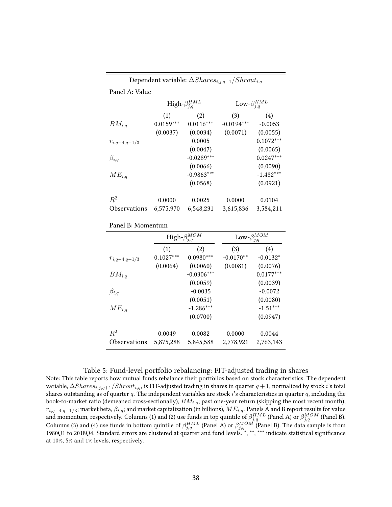<span id="page-38-0"></span>

|                   |             | Dependent variable: $\Delta Shares_{i,j,q+1}/Shrott_{i,q}$ |                          |             |
|-------------------|-------------|------------------------------------------------------------|--------------------------|-------------|
| Panel A: Value    |             |                                                            |                          |             |
|                   |             | High- $\beta_{i,q}^{HML}$                                  | Low- $\beta_{i,q}^{HML}$ |             |
|                   | (1)         | (2)                                                        | (3)                      | (4)         |
| $BM_{i,q}$        | $0.0159***$ | $0.0116***$                                                | $-0.0194***$             | $-0.0053$   |
|                   | (0.0037)    | (0.0034)                                                   | (0.0071)                 | (0.0055)    |
| $r_{i,q-4,q-1/3}$ |             | 0.0005                                                     |                          | $0.1072***$ |
|                   |             | (0.0047)                                                   |                          | (0.0065)    |
| $\beta_{i,q}$     |             | $-0.0289***$                                               |                          | $0.0247***$ |
|                   |             | (0.0066)                                                   |                          | (0.0090)    |
| $ME_{i,q}$        |             | $-0.9863***$                                               |                          | $-1.482***$ |
|                   |             | (0.0568)                                                   |                          | (0.0921)    |
| $R^2$             | 0.0000      | 0.0025                                                     | 0.0000                   | 0.0104      |
| Observations      | 6,575,970   | 6,548,231                                                  | 3,615,836                | 3,584,211   |

|  | Panel B: Momentum |
|--|-------------------|
|--|-------------------|

|                   |             | High- $\beta_{j,q}^{MOM}$ | $\text{Low-}\beta^{MOM}_{j,q}$ |             |
|-------------------|-------------|---------------------------|--------------------------------|-------------|
|                   | (1)         | (2)                       | (3)                            | (4)         |
| $r_{i,q-4,q-1/3}$ | $0.1027***$ | $0.0980***$               | $-0.0170**$                    | $-0.0132*$  |
|                   | (0.0064)    | (0.0060)                  | (0.0081)                       | (0.0076)    |
| $BM_{i,q}$        |             | $-0.0306***$              |                                | $0.0177***$ |
|                   |             | (0.0059)                  |                                | (0.0039)    |
| $\beta_{i,q}$     |             | $-0.0035$                 |                                | $-0.0072$   |
|                   |             | (0.0051)                  |                                | (0.0080)    |
| $ME_{i,q}$        |             | $-1.286***$               |                                | $-1.51***$  |
|                   |             | (0.0700)                  |                                | (0.0947)    |
| $R^2$             | 0.0049      | 0.0082                    | 0.0000                         | 0.0044      |
| Observations      | 5,875,288   | 5,845,588                 | 2,778,921                      | 2,763,143   |

#### Table 5: Fund-level portfolio rebalancing: FIT-adjusted trading in shares

Note: This table reports how mutual funds rebalance their portfolios based on stock characteristics. The dependent variable,  $\Delta Shares_{i,j,q+1}/Shrott_{i,q}$ , is FIT-adjusted trading in shares in quarter  $q+1$ , normalized by stock i's total shares outstanding as of quarter  $q$ . The independent variables are stock  $i$ 's characteristics in quarter  $q$ , including the book-to-market ratio (demeaned cross-sectionally),  $BM_{i,q}$ ; past one-year return (skipping the most recent month),  $r_{i,q-4,q-1/3}$ ; market beta,  $\beta_{i,q}$ ; and market capitalization (in billions),  $ME_{i,q}$ . Panels A and B report results for value and momentum, respectively. Columns (1) and (2) use funds in top quintile of  $\beta_{j,q}^{HML}$  (Panel A) or  $\beta_{j,q}^{MOM}$  (Panel B). Columns (3) and (4) use funds in bottom quintile of  $\beta_{j,q}^{HML}$  (Panel A) or  $\beta_{j,q}^{MOM}$  (Panel B). The data sample is from 1980Q1 to 2018Q4. Standard errors are clustered at quarter and fund levels. \*, \*\*, \*\*\* indicate statistical significance at 10%, 5% and 1% levels, respectively.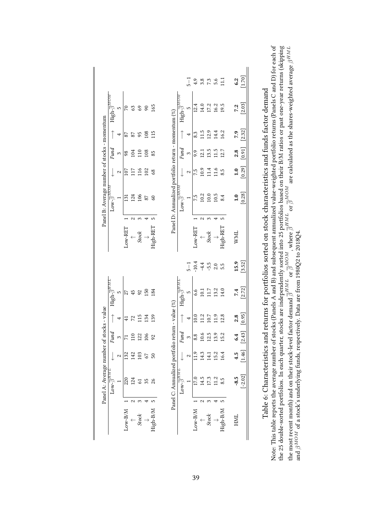<span id="page-39-0"></span>

|          | Panel A: Average number                       |          |                 | of stocks - value |                                |                         |               | Panel B: Average number of stocks - momentum |                |          |              |                                            |                               |
|----------|-----------------------------------------------|----------|-----------------|-------------------|--------------------------------|-------------------------|---------------|----------------------------------------------|----------------|----------|--------------|--------------------------------------------|-------------------------------|
|          | H NI I<br>$Low-β$                             |          | Fund            | $\uparrow$        | High- $\overline{\beta}^{HML}$ |                         |               | $\text{Low-}\overline{\beta}^{MOTk}$         |                | Fund     |              | $\text{High-}\overline{\beta}^{MOM}$       |                               |
|          |                                               | 2        | S               |                   | S                              |                         |               |                                              | 2              | 3        | 4            | 5                                          |                               |
| Low-B/M  | 220                                           | 132      | Ξ               | $\ddot{+}$        |                                |                         | $Low-RET$     | $\overline{5}$                               | $\overline{5}$ | 98       | 87           |                                            |                               |
|          | 124                                           | 142      | $\frac{10}{10}$ | 72                | 45                             |                         | $\sim$        | 124                                          | 117            | 104      | 87           | 3                                          |                               |
| Stock    | 5                                             | 103      | 122             | 15                | 92                             |                         | Stock         | 106                                          | 116            | 110      | 95           | 69                                         |                               |
|          | 35                                            | 67       | 106             | 134               | 150                            |                         |               | 87                                           | 102            | 108      | 108          | $\infty$                                   |                               |
| High-B/M | 26                                            | 50       | 92              | 139               | 184                            |                         | ص<br>High-RET | $\mathcal{S}$                                | 68             | 85       | 115          | 165                                        |                               |
|          | $\text{Low-}\overline{\beta}^{H\overline{M}}$ |          | Fund            |                   | High- $\overline{\beta}^{HML}$ |                         |               | $\text{Low-}\overline{\beta}^{MOM}$          |                | Fund     |              | ${\rm High}\text{-}\overline{\beta}^{MOM}$ |                               |
|          |                                               | 2        | $\infty$        | 4                 | 5                              | $-1$                    |               |                                              | 2              | $\infty$ | 4            | 5                                          | $\frac{1}{2}$                 |
| Low-B/M  | <b>U7.0</b>                                   | 11.9     | 8.8             | 10.0              | 6.6                            | $-10.4$                 | Low-RET       | 7.5                                          | 7.5            | 9.9      | 8.3          | 12.4                                       |                               |
|          | 14.5                                          | 14.3     | 10.6            | 11.2              | 10.1                           |                         | $\sim$        | 10.2                                         | 10.9           | 12.1     | 11.5         | 14.0                                       |                               |
| Stock    | 17.3                                          | 14.1     | 12.5            |                   | 11.7                           | $-4.4$<br>$-5.5$<br>2.0 | Stock         | 10.0                                         | 11.4           | 13.5     | 12.9         | 17.2                                       | $4.8$ $7.6$<br>$7.8$<br>$7.6$ |
|          | $\frac{1}{2}$                                 | 15.2     | 13.9            | 10.7<br>11.9      | 13.2                           |                         |               | 10.5                                         | 11.6           | 11.5     | 14.4<br>16.2 | 16.2                                       |                               |
| High-B/M | 8.5                                           | 16.4     | 15.2            | 12.8              | 14.0                           | 5.5                     | High-RET      | 8.4                                          |                | 12.7     |              | 19.5                                       | $\Xi$                         |
| HML      | $-8.5$                                        |          | 6.4             | 2.8               | 7.4                            | 15.9                    | <b>WWL</b>    | 1.0                                          | 1.0            | 2.8      | 7.9          | 7.2                                        | 6.2                           |
|          | $[-2.02]$                                     | $1.46$ ] | [2.43]          | [0.95]            | [2.72]                         | $[3.52]$                |               | [0.28]                                       | [0.29]         | [0.91]   | [2.32]       | [2.03]                                     | [1.70]                        |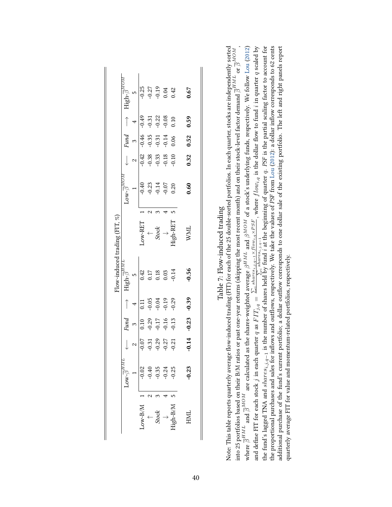<span id="page-40-0"></span>

|       | $\overline{\beta}$ Wo.        |                 | Fund                                     |                                          | $\tau^{\rm mH}$ -dgh-                                       |                                                                   | $\sim_{\mathcal{W}}\in \mathbb{R}^{n\times n}$ ו    |                                                                                                                                                                                                                                                                                                                                        | Fund                                                                                                  |                                                                                                                                      | $\mathrm{High}\textup{-}\overline{\beta}^{ML}$ |
|-------|-------------------------------|-----------------|------------------------------------------|------------------------------------------|-------------------------------------------------------------|-------------------------------------------------------------------|-----------------------------------------------------|----------------------------------------------------------------------------------------------------------------------------------------------------------------------------------------------------------------------------------------------------------------------------------------------------------------------------------------|-------------------------------------------------------------------------------------------------------|--------------------------------------------------------------------------------------------------------------------------------------|------------------------------------------------|
|       |                               |                 | $\tilde{\phantom{0}}$                    |                                          |                                                             |                                                                   |                                                     | $\sim$                                                                                                                                                                                                                                                                                                                                 | $\tilde{3}$                                                                                           |                                                                                                                                      |                                                |
| M/B   | $-0.02$                       | 0.07            | 0.10                                     | 0.11                                     | 0.42                                                        | OW-RET                                                            |                                                     | $\left \frac{1}{3}\right $<br>$\left \frac{3}{5}\right $<br>$\left \frac{3}{5}\right $<br>$\left \frac{3}{5}\right $<br>$\left \frac{3}{5}\right $<br>$\left \frac{3}{5}\right $<br>$\left \frac{3}{5}\right $<br>$\left \frac{3}{5}\right $<br>$\left \frac{3}{5}\right $<br>$\left \frac{3}{5}\right $<br>$\left \frac{3}{5}\right $ | $\frac{46}{9}$<br>$\frac{35}{9}$<br>$\frac{5}{9}$<br>$\frac{31}{9}$<br>$\frac{4}{9}$<br>$\frac{6}{9}$ |                                                                                                                                      |                                                |
|       |                               |                 |                                          | $-0.05$<br>$-0.04$<br>$-0.19$<br>$-0.29$ |                                                             |                                                                   | $-0.40$<br>$-0.23$<br>$-0.14$<br>$-0.07$<br>$-0.07$ |                                                                                                                                                                                                                                                                                                                                        |                                                                                                       | $\frac{1}{9}$<br>$\frac{1}{9}$<br>$\frac{1}{9}$<br>$\frac{2}{9}$<br>$\frac{2}{9}$<br>$\frac{2}{9}$<br>$\frac{1}{9}$<br>$\frac{1}{9}$ | $-0.25$<br>$-0.27$<br>$-0.19$<br>$0.42$        |
| Stock | $-0.35$<br>$-0.24$<br>$-0.25$ | $\frac{3}{2}$   | $-0.29$<br>$-0.17$<br>$-0.15$<br>$-0.13$ |                                          | $\begin{array}{c} 0.17 \\ 0.18 \\ 0.03 \\ 0.14 \end{array}$ | $\begin{array}{l} \uparrow \\ \uparrow \\ \downarrow \end{array}$ |                                                     |                                                                                                                                                                                                                                                                                                                                        |                                                                                                       |                                                                                                                                      |                                                |
|       |                               | $\overline{27}$ |                                          |                                          |                                                             |                                                                   |                                                     |                                                                                                                                                                                                                                                                                                                                        |                                                                                                       |                                                                                                                                      |                                                |
| $M\$  |                               | $\frac{21}{2}$  |                                          |                                          |                                                             | ligh-RET                                                          |                                                     |                                                                                                                                                                                                                                                                                                                                        |                                                                                                       |                                                                                                                                      |                                                |
| HML   | $-0.23$                       | $-0.14$         | $-0.23$                                  | $-0.39$                                  | $-0.56$                                                     | WML                                                               | 0.60                                                | 0.32                                                                                                                                                                                                                                                                                                                                   | 0.52                                                                                                  | 0.59                                                                                                                                 | 0.67                                           |

| u trading                     |                      |
|-------------------------------|----------------------|
|                               |                      |
| Flow-induced                  | ֚֚֬                  |
| J                             |                      |
| $\ddot{\phantom{0}}$<br>Table | $\ddot{\phantom{a}}$ |
|                               |                      |

where  $\bar{\beta}^{HML}$  and  $\bar{\beta}^{MOM}$  are calculated as the shares-weighted average  $\beta^{HML}$  and  $\beta^{MOM}$  of a stock's underlying funds, respectively. We follow Lou (2012) and define FIT for each stock j in each quarter q as the proportional purchases and sales for inflows and outflows, respectively. We take the values of PSF from Lou (2012): a dollar inflow corresponds to 62 cents additional purchase of the fund's current portfolio; a dollar outflow corresponds to one dollar sale of the existing portfolio. The left and right panels report Note: This table reports quarterly average flow-induced trading (FIT) for each of the 25 double-sorted portfolios. In each quarter, stocks are independently sorted Note: This table reports quarterly average flow-induced trading (FIT) for each of the 25 double-sorted portfolios. In each quarter, stocks are independently sorted into 25 portfolios based on their B/M ratios or past one-year returns (skipping the most recent month) and on their stock-level factor demand  $\overline{\beta}^{HML}$  or  $\overline{\beta}^{MOM}$  , where  $\overline{\beta}^{HML}$  and  $\overline{\beta}^{MOM}$  are calculated as the shares-weighted average  $\beta^{HML}$  and  $\beta^{MOM}$  of a stock's underlying funds, respectively. We follow [Lou](#page-30-4) [\(2012\)](#page-30-4) and define FIT for each stock j in each quarter q as  $FTj_{,q} = \frac{\sum_i share_{s,i,j,q-1} \times {flow_{i,q} \times PSF}}{\sum_i share_{i,j,q-1}}$ , where  $flow_{i,q}$  is the dollar flow to fund i in quarter q scaled by the fund's lagged TNA and s*hares<sub>i,j,q−1</sub>* is the number of shares held by fund i at the beginning of quarter q. PSF is the partial scaling factor to account for the proportional purchases and sales for inflows and outflows, respectively. We take the values of PSF from [Lou](#page-30-4) [\(2012\)](#page-30-4): a dollar inflow corresponds to 62 cents additional purchase of the fund's current portfolio; a dollar outflow corresponds to one dollar sale of the existing portfolio. The left and right panels report into 25 portfolios based on their B/M ratios or past one-year returns (skipping the most recent month) and on their stock-level factor demand  $\bar{\beta}^{HML}$  or  $\bar{\beta}^{MOM}$ quarterly average FIT for value and momentum-related portfolios, respectively. quarterly average FIT for value and momentum-related portfolios, respectively.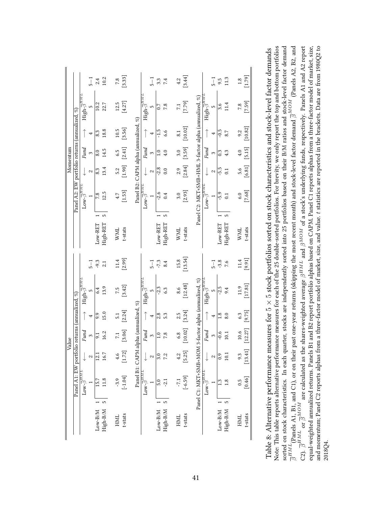<span id="page-41-0"></span>

|                                     |                                                             | $\frac{1}{2}$ | 2.4               | 10.2          |            | $\begin{bmatrix} 7.8 \\ 3.33 \end{bmatrix}$ |                                      |                                                           | $\overline{1}$ | 3.3       | 7.4           | 4.2        | [3.44]    |                                                      |                                                          | T<br>5         | 9.5                    | 11.3                       | 1.8        | [1.79]    |
|-------------------------------------|-------------------------------------------------------------|---------------|-------------------|---------------|------------|---------------------------------------------|--------------------------------------|-----------------------------------------------------------|----------------|-----------|---------------|------------|-----------|------------------------------------------------------|----------------------------------------------------------|----------------|------------------------|----------------------------|------------|-----------|
|                                     | $\text{High-}\overline{\beta}^{H\overline{M}L}$             | L             | 10.2              | 22.7          | 12.5       | [4.27]                                      |                                      | High- $\overline{\beta}$                                  | S              | 0.7       | 7.8           | 7.1        | $[7.79]$  |                                                      | High- $\overline{\beta}^t$                               | S              | 3.6                    | 11.4                       | 7.8        | $[7.59]$  |
| portfolio returns (annualized, %)   |                                                             | 4             | 8.3               | 18.8          | 10.5       | [3.56]                                      |                                      |                                                           |                | م:<br>1-  | 6.6           | 8.1        | $[10.02]$ |                                                      | $\uparrow$                                               |                | $-0.5$                 | 8.7                        | 9.2        | [10.82]   |
| Momentum                            | Fund                                                        | $\infty$      | 8.0               | 14.5          | 6.5        | [2.41]                                      |                                      | Fund                                                      | 3              |           |               | 3.0        | [3.59]    |                                                      | Fund                                                     | $\mathfrak{S}$ | $\degree$              | 4.3                        | 4.0        | [5.15]    |
|                                     |                                                             | 2             | 8.3               | 13.4          | 5.2        | [1.90]                                      |                                      |                                                           | 2              | $-2.8$    | 0.0           | 2.9        | [2.84]    |                                                      |                                                          | 2              | -5.5                   | $\overline{0.1}$           | 5.6        | $[6.81]$  |
| Panel A2: EW                        | $\text{Low-}\overline{\beta}^{H \overline{M} \overline{L}}$ |               | 7.8               | 12.5          | 4.7        | $[1.53]$                                    | Panel B2: CAPM alpha (annualized, %) | $\text{Low-}\overline{\beta}^{H\overline{M}\overline{L}}$ |                | $-2.6$    | 0.4           | 3.0        | [2.93]    | Panel C2: MKT+SMB+HML 3-factor alpha (annualized, %) | $\text{Low-}\overline{\beta}^{H\overline{M}\mathcal{I}}$ |                | $-5.9$                 | $\overline{0}$             | 6.0        | $[7.68]$  |
|                                     |                                                             |               | Low-RET           | 5<br>High-RET | <b>WML</b> | t-stats                                     |                                      |                                                           |                | Low-RET   | 5<br>High-RET | <b>WML</b> | t-stats   |                                                      |                                                          |                | Low-RET                | 5<br>High-RET              | <b>WML</b> | t-stats   |
|                                     |                                                             | $-5$          | $-9.3$            | 2.1           | 11.4       | [2.99]                                      |                                      |                                                           | $\overline{1}$ | $-7.3$    | 8.4           | 15.8       | $[13.54]$ |                                                      |                                                          | $\frac{1}{2}$  | $-3.8$                 | 7.6                        | 11.4       | $[9.91]$  |
|                                     | $\text{High-}\overline{\beta}^{H\overline{M}L}$             | LO            | 6.4               | 13.9          | 7.5        | [3.42]                                      |                                      | ${\rm High}\overline{\beta}^{HM}$                         | S              | $-2.3$    | 6.3           | 8.6        | $[12.48]$ | 3-factor alpha (annualized, %)                       | High- $\overline{\beta}^{H M_1}$                         | S              | $-2.5$                 | 9.4                        | 11.9       | $[17.81]$ |
|                                     |                                                             | 4             | 9.9               | 15.0          | 5.1        | [2.24]                                      |                                      |                                                           | 4              | 2.8       | 5.3           | 2.5        | [3.24]    |                                                      | $\uparrow$                                               | 4              | $\frac{8}{10}$         | 8.0                        | 6.3        | [9.75]    |
| io returns (annualized, %)<br>Value | Fund                                                        | $\infty$      | 55                | 16.2          | 7.1        | $[3.06]$                                    |                                      | Fund                                                      | 3              |           | 7.8           | 6.8        | [10.02]   |                                                      | Fund                                                     | $\mathfrak{S}$ | $-0.6$                 | $\overline{10.1}$          | 10.6       | [12.27]   |
|                                     |                                                             | $\sim$        | $\overline{12.1}$ | 16.7          | 4.6        | [1.72]                                      |                                      |                                                           | 2              | 3.0       | 7.2           | 4.2        | $[5.25]$  |                                                      |                                                          | 2              | 0.9                    | 10.1                       | 9.3        | [13.41]   |
| Panel A1: EW portfoli               | $\text{Low-}\overline{\beta}^{H\overline{ML}}$              |               | 15.7              | 11.8          | $-3.9$     | $[-1.04]$                                   | Panel B1: CAPM alpha (annualized, %) | $\text{Low-}\overline{\beta}^{H\overline{M}\overline{L}}$ |                | 5.0       | $-2.1$        | $-7.1$     | $[-6.59]$ | Panel C1: MKT+SMB+MOM                                | $\text{Low-}\overline{\beta}^{HML}$                      |                | C.                     | 1.8                        | 0.5        | [0.46]    |
|                                     |                                                             |               | $Low-B/M$         | S<br>High-B/M | HML        | t-stats                                     |                                      |                                                           |                | $Low-B/M$ | High-B/M      | HML        | t-stats   |                                                      |                                                          |                | $_{\rm Low\text{-}BM}$ | $\overline{5}$<br>High-B/M | HML        | t-stats   |

Note: This table reports alternative performance measures for each of the 25 double-sorted portfolios. For brevity, we only report the top and bottom portfolios  $\overline{\beta}^{HML}$  (Panels A1, B1, and C1), or on their past one-year returns (skipping the most recent month) and stock-level factor demand  $\overline{\beta}^{MOM}$  (Panels A2, B2, and C2).  $\overline{\beta}^{HML}$  or  $\overline{\beta}^{MOM}$  are calculated as the shares-weighted average  $\beta^{HML}$  and  $\beta^{MOM}$  of a stock's underlying funds, respectively. Panels A1 and A2 report and momentum; Panel C2 reports alphas from a three-factor model of market, size, and value. t statistics are reported in the brackets. Data are from 1980Q2 to sorted on stock characteristics. In each quarter, stocks are independently sorted into 25 portfolios based on their B/M ratios and stock-level factor demand equal-weighted annualized returns. Panels B1 and B2 report portfolio alphas based on CAPM. Panel C1 reports alphas from a three-factor model of market, size, Note: This table reports alternative performance measures for each of the 25 double-sorted portfolios. For brevity, we only report the top and bottom portfolios sorted on stock characteristics. In each quarter, stocks are independently sorted into 25 portfolios based on their B/M ratios and stock-level factor demand  $\overline{\beta}^{HML}$ (Panels A1, B1, and C1), or on their past one-year returns (skipping the most recent month) and stock-level factor demand  $\overline{\beta}^{MOM}$  (Panels A2, B2, and C2).  $\overline{\beta}^{HML}$  or  $\overline{\beta}^{MOM}$  are calculated as the shares-weighted average  $\beta^{HML}$  and  $\beta^{MOM}$  of a stock's underlying funds, respectively. Panels A1 and A2 report equal-weighted annualized returns. Panels B1 and B2 report portfolio alphas based on CAPM. Panel C1 reports alphas from a three-factor model of market, size, and momentum; Panel C2 reports alphas from a three-factor model of market, size, and value. t statistics are reported in the brackets. Data are from 1980Q2 to Table 8: Alternative performance measures for  $5 \times 5$  stock portfolios sorted on stock characteristics and stock-level factor demands Table 8: Alternative performance measures for 5 × 5 stock portfolios sorted on stock characteristics and stock-level factor demands 2018Q4.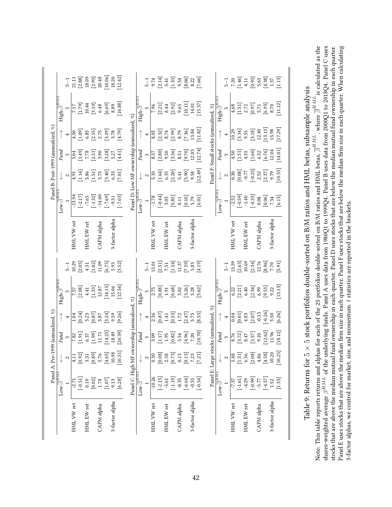| tock portfolios double-sorted on B/M ratios and HML betas, subsample analysis<br>Table 9: Returns for $5 \times 5$ st                                                                               |
|-----------------------------------------------------------------------------------------------------------------------------------------------------------------------------------------------------|
| Note: This table reports returns and alphas for each of the 25 portfolios double-sorted on B/M ratios and HML betas, $\overline{\beta}^{HML}$ , where $\overline{\beta}^{HML}$ is calculated as the |
| shares-weighted average $\beta^{HML}$ of the underlying funds. Panel A uses data from 1980Q1 to 1999Q4. Panel B uses data from 2000Q1 to 2018Q4. Panel C uses                                       |
| stocks that are above the median mutual fund ownership in each quarter. Panel D uses stocks that are below the median mutual fund ownership in each quarter.                                        |
| Panel E uses stocks that are above the median firm size in each quarter. Panel F uses stocks that are below the median firm size in each quarter. When calculating                                  |
| 3-factor alphas, we control for market, size, and momentum. t statistics are reported in the brackets.                                                                                              |
|                                                                                                                                                                                                     |

<span id="page-42-0"></span>

| ΠМΗ<br>$-2.71$<br>$Low-\overline{\beta}$ |                                              |                                                                                                                         |                                                                                                       |                                                                                                                                                              |                                                                                                                                                                                                                                                                        |                        |                                                                                                         |                                                                                                                                                               |                                                                                                                                    |                                                                                                                                                                                                                                                                                                                         |                                                                                                    |                                                                                                                                                             |
|------------------------------------------|----------------------------------------------|-------------------------------------------------------------------------------------------------------------------------|-------------------------------------------------------------------------------------------------------|--------------------------------------------------------------------------------------------------------------------------------------------------------------|------------------------------------------------------------------------------------------------------------------------------------------------------------------------------------------------------------------------------------------------------------------------|------------------------|---------------------------------------------------------------------------------------------------------|---------------------------------------------------------------------------------------------------------------------------------------------------------------|------------------------------------------------------------------------------------------------------------------------------------|-------------------------------------------------------------------------------------------------------------------------------------------------------------------------------------------------------------------------------------------------------------------------------------------------------------------------|----------------------------------------------------------------------------------------------------|-------------------------------------------------------------------------------------------------------------------------------------------------------------|
|                                          |                                              | Fund                                                                                                                    |                                                                                                       | $\text{High-}\overline{\beta}^{HML}$                                                                                                                         |                                                                                                                                                                                                                                                                        |                        | Low- $\overline{\beta}$                                                                                 |                                                                                                                                                               | Fund                                                                                                                               |                                                                                                                                                                                                                                                                                                                         | High- $\overline{\beta}^{H \overline{M} \overline{L}}$                                             |                                                                                                                                                             |
|                                          | $\sim$                                       | $\boldsymbol{\mathfrak{S}}$                                                                                             | 4                                                                                                     | 5                                                                                                                                                            | $5 - 1$                                                                                                                                                                                                                                                                |                        |                                                                                                         | $\mathbf{\sim}$                                                                                                                                               | $\mathfrak{S}$                                                                                                                     | $\overline{\phantom{a}}$                                                                                                                                                                                                                                                                                                |                                                                                                    | $5 - 1$                                                                                                                                                     |
|                                          | 4.11                                         |                                                                                                                         |                                                                                                       |                                                                                                                                                              | (0.29)                                                                                                                                                                                                                                                                 | HML VW ret             | $-13.94$                                                                                                |                                                                                                                                                               |                                                                                                                                    |                                                                                                                                                                                                                                                                                                                         |                                                                                                    | 21.11                                                                                                                                                       |
| $[-0.51]$                                | [0.92]                                       | $\begin{bmatrix} 1.91 \\ 1.91 \\ 6.37 \\ 11.71 \\ \end{bmatrix}$                                                        | $\begin{array}{c} 1.04 \\ [0.24] \\ 3.23 \\ [0.87] \\ 3.87 \end{array}$                               | $\begin{array}{c} 7.57 \\ [2.08] \\ 4.41 \\ [1.53] \\ [2.87] \end{array}$                                                                                    |                                                                                                                                                                                                                                                                        |                        |                                                                                                         |                                                                                                                                                               |                                                                                                                                    |                                                                                                                                                                                                                                                                                                                         | 7.17<br>[1.79]<br>10.44                                                                            |                                                                                                                                                             |
| 0.10                                     | 3.31                                         |                                                                                                                         |                                                                                                       |                                                                                                                                                              |                                                                                                                                                                                                                                                                        | HML EW ret             |                                                                                                         |                                                                                                                                                               |                                                                                                                                    |                                                                                                                                                                                                                                                                                                                         |                                                                                                    |                                                                                                                                                             |
| [0.02]                                   | [0.89]                                       |                                                                                                                         |                                                                                                       |                                                                                                                                                              |                                                                                                                                                                                                                                                                        |                        | $\begin{bmatrix} -2.17 \\ -7.65 \\ -1.32 \end{bmatrix}$                                                 |                                                                                                                                                               |                                                                                                                                    |                                                                                                                                                                                                                                                                                                                         |                                                                                                    |                                                                                                                                                             |
| $1.78\,$                                 | 5.76                                         |                                                                                                                         |                                                                                                       |                                                                                                                                                              |                                                                                                                                                                                                                                                                        | $\mathbb{C}$ APM alpha | $-14.00$                                                                                                |                                                                                                                                                               |                                                                                                                                    |                                                                                                                                                                                                                                                                                                                         |                                                                                                    |                                                                                                                                                             |
| [1.07]                                   | [4.65]                                       | $[14.25]$<br>18.49                                                                                                      | $[3.24]$<br>9.59                                                                                      | $\begin{bmatrix} 14.15 \\ 15.06 \end{bmatrix}$                                                                                                               | $\begin{array}{l} 2.05 \\ 4.31 \\ 1.02 \\ 1.109 \\ 6.75 \\ 8.52 \\ \hline \end{array}$                                                                                                                                                                                 |                        | $[-7.69]$                                                                                               | 4.91<br>$\begin{bmatrix} 1.14 \\ 5.86 \\ 1.51 \end{bmatrix}$<br>$\begin{bmatrix} 5.75 \\ 3.75 \\ 6.33 \\ 6.21 \end{bmatrix}$                                  | 5.04<br>[1.49]<br>[2.31]<br>[2.32]<br>[4.41]                                                                                       | $\frac{1}{4}$ .50<br>$\frac{1}{4}$ .09<br>$\frac{1}{4}$ .08<br>$\frac{1}{4}$ .08<br>$\frac{1}{4}$ .09<br>$\frac{1}{4}$ .09<br>$\frac{1}{4}$ .09<br>$\frac{1}{4}$ .09<br>$\frac{1}{4}$ .09<br>$\frac{1}{4}$ .09<br>$\frac{1}{4}$ .09<br>$\frac{1}{4}$ .09<br>$\frac{1}{4}$ .09<br>$\frac{1}{4}$ .09<br>$\frac{1}{4}$ .09 | $\begin{bmatrix} 3.19 \\ 6.69 \\ 6.89 \\ \end{bmatrix}$                                            | $\begin{array}{l} [2.88] \\ 18.09 \\ 18.09 \\ 20.48 \\ 10.06 \\ 18.20 \\ 18.20 \\ \end{array}$                                                              |
| 9.13                                     | 10.98                                        |                                                                                                                         |                                                                                                       |                                                                                                                                                              |                                                                                                                                                                                                                                                                        | 3-factor alpha         |                                                                                                         |                                                                                                                                                               |                                                                                                                                    |                                                                                                                                                                                                                                                                                                                         |                                                                                                    |                                                                                                                                                             |
| [6.28]                                   | [10.31]                                      | [60.39]                                                                                                                 | [9.26]                                                                                                | [12.56]                                                                                                                                                      |                                                                                                                                                                                                                                                                        |                        | $-9.31$<br>$[-7.03]$                                                                                    |                                                                                                                                                               |                                                                                                                                    |                                                                                                                                                                                                                                                                                                                         | [10.88]                                                                                            |                                                                                                                                                             |
|                                          | Panel C: High MF c                           | wnership (annualized,                                                                                                   |                                                                                                       | ূহ                                                                                                                                                           |                                                                                                                                                                                                                                                                        |                        | Panel D: Low MF ownership (annualized, %)                                                               |                                                                                                                                                               |                                                                                                                                    |                                                                                                                                                                                                                                                                                                                         |                                                                                                    |                                                                                                                                                             |
| $\text{Low-}\overline{\beta}^{HMT}$      |                                              | Fund                                                                                                                    |                                                                                                       | ${\rm High}\overline{\beta}^{H\overline{m}}$                                                                                                                 |                                                                                                                                                                                                                                                                        |                        | $Low-\beta$                                                                                             |                                                                                                                                                               |                                                                                                                                    |                                                                                                                                                                                                                                                                                                                         | High- $\overline{\beta}^{H M}$                                                                     |                                                                                                                                                             |
|                                          | $\sim$                                       | $\mathfrak{S}$                                                                                                          | 4                                                                                                     |                                                                                                                                                              | $5 - 1$                                                                                                                                                                                                                                                                |                        |                                                                                                         | $\boldsymbol{\sim}$                                                                                                                                           | Fund<br>3                                                                                                                          | $\overline{\mathcal{A}}$                                                                                                                                                                                                                                                                                                |                                                                                                    | $-1$                                                                                                                                                        |
| $-10.26$                                 | 0.30                                         |                                                                                                                         |                                                                                                       |                                                                                                                                                              |                                                                                                                                                                                                                                                                        | HML VW ret             | $-1.78$                                                                                                 |                                                                                                                                                               |                                                                                                                                    |                                                                                                                                                                                                                                                                                                                         |                                                                                                    |                                                                                                                                                             |
| $[-2.13]$                                | $\begin{bmatrix} 0.08 \ 2.38 \end{bmatrix}$  | $\begin{array}{c} 3.09 \\ 1.17 \\ 1.95 \\ 0.82 \\ 4.96 \\ 7.20 \end{array}$                                             | $\begin{array}{c} 2.36 \\ 0.87 \\ 1.41 \\ 0.55 \\ 1.72 \\ 1.47 \\ 0.55 \\ 0.85 \\ \hline \end{array}$ | $\begin{array}{l} 2.75 \\ 0.88 \\ 0.61 \\ 1.91 \\ 0.68 \\ \textrm{0.63} \\ 0.2 \\ 3.2 \\ \textrm{0.53} \\ 0.2 \\ \textrm{0.62} \\ \textrm{0.63} \end{array}$ | $\begin{array}{l} 13.01\\[-4pt] 2.51]\\[-4pt] 7.51\\[-4pt] 1.37\\[-4pt] 1.37\\[-4pt] 5.83\\[-4pt] 5.83\\[-4pt] 4.19] \end{array}$                                                                                                                                      |                        | $\begin{bmatrix} 0.44 \\ 3.03 \\ 0.85 \\ 0.11 \\ 0.10 \\ 0.01 \\ 0.01 \\ 0.01 \\ 0.01 \\ \end{bmatrix}$ | 5.10<br>$\begin{bmatrix} 1.64 \\ 6.35 \\ 2.20 \end{bmatrix}$<br>$\begin{bmatrix} 2.41 \\ 5.41 \\ 9.58 \\ 2.49 \end{bmatrix}$                                  | 8.37<br>[2.80]<br>9.36<br>[3.70]<br>8.51<br>[2.74]<br>12.74]                                                                       | 8.05<br>[2.32]<br>[2.99]<br>[7.36]<br>[7.384]<br>[1.82]                                                                                                                                                                                                                                                                 | $7.96$<br>$[2.21]$<br>8.44<br>$[2.92]$<br>9.65<br>9.0.11]                                          |                                                                                                                                                             |
| $-5.61$                                  |                                              |                                                                                                                         |                                                                                                       |                                                                                                                                                              |                                                                                                                                                                                                                                                                        | HML EW ret             |                                                                                                         |                                                                                                                                                               |                                                                                                                                    |                                                                                                                                                                                                                                                                                                                         |                                                                                                    |                                                                                                                                                             |
| $[-1.19]$                                | [0.73]                                       |                                                                                                                         |                                                                                                       |                                                                                                                                                              |                                                                                                                                                                                                                                                                        |                        |                                                                                                         |                                                                                                                                                               |                                                                                                                                    |                                                                                                                                                                                                                                                                                                                         |                                                                                                    |                                                                                                                                                             |
| $-8.35$                                  | $\rm 0.13$                                   |                                                                                                                         |                                                                                                       |                                                                                                                                                              |                                                                                                                                                                                                                                                                        | CAPM alpha             |                                                                                                         |                                                                                                                                                               |                                                                                                                                    |                                                                                                                                                                                                                                                                                                                         |                                                                                                    |                                                                                                                                                             |
| $[-6.64]$                                | $\begin{bmatrix} 0.13 \\ 7.23 \end{bmatrix}$ |                                                                                                                         |                                                                                                       |                                                                                                                                                              |                                                                                                                                                                                                                                                                        |                        |                                                                                                         |                                                                                                                                                               |                                                                                                                                    |                                                                                                                                                                                                                                                                                                                         |                                                                                                    |                                                                                                                                                             |
| $-0.55$                                  |                                              |                                                                                                                         |                                                                                                       |                                                                                                                                                              |                                                                                                                                                                                                                                                                        | 3-factor alpha         |                                                                                                         |                                                                                                                                                               |                                                                                                                                    |                                                                                                                                                                                                                                                                                                                         | 14.01                                                                                              |                                                                                                                                                             |
| $[-0.54]$                                | $[7.21$                                      | [10.70]                                                                                                                 |                                                                                                       |                                                                                                                                                              |                                                                                                                                                                                                                                                                        |                        |                                                                                                         |                                                                                                                                                               |                                                                                                                                    |                                                                                                                                                                                                                                                                                                                         | [15.37]                                                                                            |                                                                                                                                                             |
|                                          | Panel E: Large                               | stocks (annualized, %                                                                                                   |                                                                                                       |                                                                                                                                                              |                                                                                                                                                                                                                                                                        |                        |                                                                                                         |                                                                                                                                                               |                                                                                                                                    | anel F: Small stocks (annualized, %)                                                                                                                                                                                                                                                                                    |                                                                                                    |                                                                                                                                                             |
| $\text{Low-}\overline{\beta}^{HML}$      |                                              | Fund                                                                                                                    |                                                                                                       | High- $\overline{\beta}^{HM}$                                                                                                                                |                                                                                                                                                                                                                                                                        |                        | $\text{Low-}\overline{\beta}^{HM}.$                                                                     |                                                                                                                                                               | Fund                                                                                                                               |                                                                                                                                                                                                                                                                                                                         | High- $\overline{\beta}^{\prime}$                                                                  |                                                                                                                                                             |
|                                          | $\sim$                                       | $\mathfrak{S}$                                                                                                          | $\overline{\phantom{a}}$                                                                              |                                                                                                                                                              | $5 - 1$                                                                                                                                                                                                                                                                |                        |                                                                                                         | $\boldsymbol{\mathsf{c}}$                                                                                                                                     | $\mathfrak{S}$                                                                                                                     | ↑ →                                                                                                                                                                                                                                                                                                                     |                                                                                                    | $5 - 1$                                                                                                                                                     |
| $-7.37$                                  | 5.48                                         |                                                                                                                         |                                                                                                       |                                                                                                                                                              |                                                                                                                                                                                                                                                                        | HML VW ret             |                                                                                                         |                                                                                                                                                               |                                                                                                                                    |                                                                                                                                                                                                                                                                                                                         |                                                                                                    |                                                                                                                                                             |
| $[-1.61]$                                | $[1.51]$                                     |                                                                                                                         | $0.01$<br>$0.01$<br>$4.83$                                                                            |                                                                                                                                                              |                                                                                                                                                                                                                                                                        |                        |                                                                                                         |                                                                                                                                                               |                                                                                                                                    |                                                                                                                                                                                                                                                                                                                         |                                                                                                    |                                                                                                                                                             |
| $-4.29$                                  | 6.56                                         |                                                                                                                         |                                                                                                       |                                                                                                                                                              |                                                                                                                                                                                                                                                                        | HML EW ret             |                                                                                                         |                                                                                                                                                               |                                                                                                                                    |                                                                                                                                                                                                                                                                                                                         |                                                                                                    |                                                                                                                                                             |
| $[-0.99]$                                | $[2.08]$                                     |                                                                                                                         |                                                                                                       |                                                                                                                                                              |                                                                                                                                                                                                                                                                        |                        |                                                                                                         |                                                                                                                                                               |                                                                                                                                    |                                                                                                                                                                                                                                                                                                                         |                                                                                                    |                                                                                                                                                             |
| $-5.77$                                  | 4.86                                         |                                                                                                                         |                                                                                                       |                                                                                                                                                              |                                                                                                                                                                                                                                                                        | CAPM alpha             |                                                                                                         |                                                                                                                                                               |                                                                                                                                    |                                                                                                                                                                                                                                                                                                                         |                                                                                                    |                                                                                                                                                             |
| $[-4.57]$                                | [4.58]                                       | $\begin{array}{r} \hline 8.78 \\ [3.72] \\ 8.47 \\ [3.57] \\ [3.57] \\ 9.10 \\ [1.362] \\ [1.36] \\ \hline \end{array}$ | $\begin{bmatrix} 2.07 \\ -0.15 \\ -0.26 \\ 3.50 \\ 6.26 \end{bmatrix}$                                | $\begin{array}{l} 6.22 \\ 6.211 \\ 2.319 \\ 6.349 \\ 6.99 \\ 9.52 \\ \end{array}$                                                                            | $\begin{array}{l} 13.59\\ 2.63\\ 10.69\\ 12.76\\ 13.76\\ 8.96\\ 7.70\\ 7.70\\ 7.70\\ 7.71\\ 7.70\\ 7.71\\ 12.76\\ 7.71\\ 13.71\\ 14.73\\ 15.91\\ 16.73\\ 17.70\\ 18.73\\ 19.73\\ 11.73\\ 13.73\\ 14.73\\ 15.73\\ 16.73\\ 17.73\\ 18.73\\ 19.73\\ 19.73\\ 19.73\\ 19.7$ |                        | $\begin{array}{r} -2.52 \\ -0.59 \\ -1.40 \\ -0.35 \\ 0.08 \\ 0.06 \\ 7.34 \\ 6.13 \\ \end{array}$      | $\begin{array}{l} 0.30 \\[-4pt] 0.08 \\[-4pt] 0.77 \\[-4pt] -0.73 \\[-4pt] 2.52 \\[-4pt] 2.52 \\[-4pt] 2.52 \\[-4pt] 0.53 \\[-4pt] 0.53 \\[-4pt] \end{array}$ | $\begin{array}{c} 4.50 \\[-4pt] 1.51 \\[-4pt] 4.55 \\[-4pt] 0.32 \\[-4pt] 6.32 \\[-4pt] 6.76 \\[-4pt] 1.4.01 \\[-4pt] \end{array}$ | $\begin{array}{c} 10.29 \\ [3.34] \\ 9.55 \\ [3.18] \\ 12.40 \\ 13.13] \\ 15.98 \\ 15.29] \end{array}$                                                                                                                                                                                                                  | $\begin{array}{l} 4.68 \\ [1.51] \\ [2.72] \\ [0.97] \\ [5.71] \\ [6.93] \\ [8.70] \\ \end{array}$ | $\begin{array}{c} 7.20 \\[-4pt] 1.46 \\[-4pt] 1.1 \\[-4pt] 0.93 \\[-4pt] 0.63 \\[-4pt] 0.33 \\[-4pt] 1.37 \\[-4pt] 1.13 \\[-4pt] 1.13 \\[-4pt] \end{array}$ |
| $1.52$<br>[1.33]                         | 10.20                                        |                                                                                                                         |                                                                                                       |                                                                                                                                                              |                                                                                                                                                                                                                                                                        | 3-factor alpha         |                                                                                                         |                                                                                                                                                               |                                                                                                                                    |                                                                                                                                                                                                                                                                                                                         |                                                                                                    |                                                                                                                                                             |
|                                          | [10.25]                                      |                                                                                                                         |                                                                                                       | [13.15]                                                                                                                                                      |                                                                                                                                                                                                                                                                        |                        |                                                                                                         |                                                                                                                                                               |                                                                                                                                    |                                                                                                                                                                                                                                                                                                                         |                                                                                                    |                                                                                                                                                             |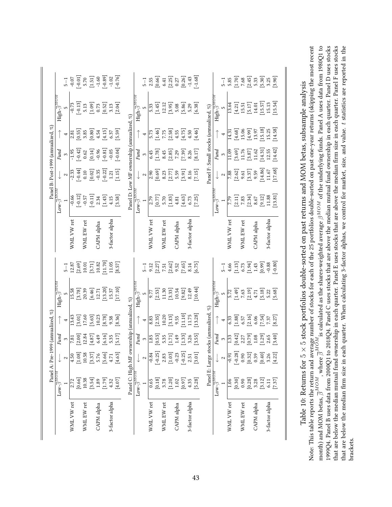<span id="page-43-0"></span>

|                | $Low\text{-}\overline{\beta}^{MOM}$ |                                              | Fund<br>3                                                                                                                                                                                                                                                                                                                                      |                                                                                             | High- $\overline{\beta}^{M \overline{O} \overline{D}}$                                                     |                                                                                                                                                              |                | $\text{Low-}\overline{\beta}^{M\overline{O}}$                                                                                          |                                                                                                                                                                                                                                                                                                                 | Fund                                                                                                  |                                                                                                       | High- $\overline{\beta}^{M\overline{O}m}$                                                                    |                                                                                                            |
|----------------|-------------------------------------|----------------------------------------------|------------------------------------------------------------------------------------------------------------------------------------------------------------------------------------------------------------------------------------------------------------------------------------------------------------------------------------------------|---------------------------------------------------------------------------------------------|------------------------------------------------------------------------------------------------------------|--------------------------------------------------------------------------------------------------------------------------------------------------------------|----------------|----------------------------------------------------------------------------------------------------------------------------------------|-----------------------------------------------------------------------------------------------------------------------------------------------------------------------------------------------------------------------------------------------------------------------------------------------------------------|-------------------------------------------------------------------------------------------------------|-------------------------------------------------------------------------------------------------------|--------------------------------------------------------------------------------------------------------------|------------------------------------------------------------------------------------------------------------|
|                |                                     | $\sim$                                       |                                                                                                                                                                                                                                                                                                                                                | 4                                                                                           |                                                                                                            | $5 - 1$                                                                                                                                                      |                |                                                                                                                                        | $\boldsymbol{\sim}$                                                                                                                                                                                                                                                                                             | $\mathfrak{S}$                                                                                        | 4                                                                                                     |                                                                                                              | $5 - 1$                                                                                                    |
| WML VW ret     | 2.72                                | 4.50                                         |                                                                                                                                                                                                                                                                                                                                                | 3.43                                                                                        | 15.58                                                                                                      |                                                                                                                                                              | WML VW ret     |                                                                                                                                        |                                                                                                                                                                                                                                                                                                                 |                                                                                                       |                                                                                                       |                                                                                                              |                                                                                                            |
|                | [0.66]                              | [1.08]                                       |                                                                                                                                                                                                                                                                                                                                                |                                                                                             |                                                                                                            |                                                                                                                                                              |                |                                                                                                                                        |                                                                                                                                                                                                                                                                                                                 |                                                                                                       |                                                                                                       |                                                                                                              |                                                                                                            |
| WML EW ret     | $10.38\,$                           | 10.58                                        |                                                                                                                                                                                                                                                                                                                                                |                                                                                             |                                                                                                            |                                                                                                                                                              | WML EW ret     |                                                                                                                                        |                                                                                                                                                                                                                                                                                                                 |                                                                                                       |                                                                                                       |                                                                                                              |                                                                                                            |
|                | [3.54]                              | [3.37]                                       |                                                                                                                                                                                                                                                                                                                                                |                                                                                             |                                                                                                            |                                                                                                                                                              |                |                                                                                                                                        |                                                                                                                                                                                                                                                                                                                 |                                                                                                       |                                                                                                       |                                                                                                              |                                                                                                            |
| CAPM alpha     | $1.89\,$                            | 5.76                                         |                                                                                                                                                                                                                                                                                                                                                |                                                                                             |                                                                                                            |                                                                                                                                                              | CAPM alpha     |                                                                                                                                        |                                                                                                                                                                                                                                                                                                                 |                                                                                                       |                                                                                                       |                                                                                                              |                                                                                                            |
|                | [1.79]                              | $\begin{bmatrix} 5.66 \\ 4.71 \end{bmatrix}$ | $\begin{array}{r} \hline 7.81 \\ 2.00 \\ 12.84 \\ 14.87 \\ 6.49 \\ 6.16 \\ 5.35 \\ 1.17 \end{array}$                                                                                                                                                                                                                                           | $\begin{array}{l} [3.01] \\ 17.60 \\ 10.23 \\ 10.23 \\ 8.78 \\ \hline \end{array}$          | $\begin{bmatrix} 3.78 \\ 20.39 \\ 6.46 \\ 12.71 \\ 13.20 \\ 15.37 \\ 15.37 \\ 15.10 \\ \end{bmatrix}$      | $\begin{array}{l} 12.87 \\ [2.69] \\ [3.71] \\ [3.71] \\ [10.82] \\ [11.70] \\ [11.65] \\ [8.57] \end{array}$                                                |                | $\begin{array}{r} -0.66 \\[-4pt] -0.12 \\[-4pt] -0.57 \\[-4pt] -0.57 \\[-4pt] 2.34 \\[-4pt] 4.15 \\[-4pt] 4.15 \\[-4pt] 5 \end{array}$ | $\begin{array}{r} \n 1.33 \\  -2.33 \\  -0.44 \\  0.10 \\  -0.35 \\  -0.22 \\  1.21 \\  -1.15 \\  \end{array}$                                                                                                                                                                                                  | $\begin{bmatrix} -1.95 \\ -0.42 \\ 0.62 \\ 0.14 \\ -0.96 \\ -0.81 \\ -0.05 \\ -0.04 \\ \end{bmatrix}$ |                                                                                                       | $\begin{bmatrix} -0.73 \\ -0.13 \\ 5.13 \\ 1.09 \\ 0.73 \\ 0.52 \\ 1.3 \\ 2.13 \\ 0.04 \\ \end{bmatrix}$     |                                                                                                            |
| 3-factor alpha | 4.32                                |                                              |                                                                                                                                                                                                                                                                                                                                                |                                                                                             |                                                                                                            |                                                                                                                                                              | 3-factor alpha |                                                                                                                                        |                                                                                                                                                                                                                                                                                                                 |                                                                                                       |                                                                                                       |                                                                                                              |                                                                                                            |
|                | [4.07]                              | [4.63]                                       |                                                                                                                                                                                                                                                                                                                                                | [8.36]                                                                                      |                                                                                                            |                                                                                                                                                              |                |                                                                                                                                        |                                                                                                                                                                                                                                                                                                                 |                                                                                                       | $\begin{array}{l} 2.81 \\ 2.85 \\ 0.55 \\ 0.80 \\ 0.81 \\ 4.54 \\ 6.37 \\ 6.59 \\ \hline \end{array}$ |                                                                                                              |                                                                                                            |
|                | Panel C: High MF ov                 |                                              |                                                                                                                                                                                                                                                                                                                                                | $\operatorname{mership}$ (annualized, $\%$ )                                                |                                                                                                            |                                                                                                                                                              |                | Panel D: Low MF ownership (annualized, %)                                                                                              |                                                                                                                                                                                                                                                                                                                 |                                                                                                       |                                                                                                       |                                                                                                              |                                                                                                            |
|                | $\text{Low-}\overline{\beta}^{MOM}$ |                                              |                                                                                                                                                                                                                                                                                                                                                |                                                                                             | High- $\overline{\beta}^{\prime}$                                                                          |                                                                                                                                                              |                | $Low-\beta$                                                                                                                            |                                                                                                                                                                                                                                                                                                                 |                                                                                                       |                                                                                                       | $\mathrm{High}\text{-}\beta'$                                                                                |                                                                                                            |
|                |                                     | $\sim$                                       | Fund<br>3                                                                                                                                                                                                                                                                                                                                      | 4                                                                                           |                                                                                                            | $-5$                                                                                                                                                         |                |                                                                                                                                        | 2                                                                                                                                                                                                                                                                                                               | Fund<br>3                                                                                             | $\overline{\phantom{a}}$                                                                              |                                                                                                              | $5 - 1$                                                                                                    |
| WML VW ret     | 0.65                                | $-0.84$                                      |                                                                                                                                                                                                                                                                                                                                                |                                                                                             |                                                                                                            |                                                                                                                                                              | WML VW ret     |                                                                                                                                        |                                                                                                                                                                                                                                                                                                                 |                                                                                                       |                                                                                                       |                                                                                                              |                                                                                                            |
|                | [0.18]                              | $[-0.25]$                                    |                                                                                                                                                                                                                                                                                                                                                |                                                                                             |                                                                                                            |                                                                                                                                                              |                |                                                                                                                                        |                                                                                                                                                                                                                                                                                                                 |                                                                                                       |                                                                                                       |                                                                                                              |                                                                                                            |
| WML EW ret     | 3.78                                | 2.83                                         |                                                                                                                                                                                                                                                                                                                                                |                                                                                             |                                                                                                            |                                                                                                                                                              | WML EW ret     |                                                                                                                                        |                                                                                                                                                                                                                                                                                                                 |                                                                                                       |                                                                                                       |                                                                                                              |                                                                                                            |
|                | [1.20]                              | $[1.03]$                                     | $\begin{array}{ l }\n\hline\n1.85 \\ 0.53 \\ 0.53 \\ 1.71 \\ 1.49 \\ 0.33 \\ 0.55 \\ 0.55\n\end{array}$                                                                                                                                                                                                                                        | $\begin{array}{c} 8.83 \\ [2.35] \\ [2.39] \\ [3.13] \\ [3.13] \\ \end{array}$              | $\begin{array}{r} \n 77 \\  \hline\n 9.53 \\  1.30 \\  10.54 \\  10.44 \\  10.44 \\  \hline\n \end{array}$ | 9.12<br>2.57<br>2.57<br>2.62<br>2.57<br>2.57<br>2.57<br>2.57<br>2.57<br>2.57<br>2.57                                                                         |                | $\begin{array}{l} 2.79 \\ 2.77 \\ 0.77 \\ 5.70 \\ 1.83 \\ 4.81 \\ 6.73 \\ 6.73 \\ \hline \end{array}$                                  | $\begin{array}{ l } \hline 0.69 \\ 0.633 \\ 0.277 \\ 0.59 \\ 0.59 \\ 0.779 \\ 0.59 \\ 0.59 \\ 0.59 \\ 0.59 \\ 0.59 \\ 0.59 \\ 0.59 \\ 0.59 \\ 0.59 \\ 0.59 \\ 0.59 \\ 0.59 \\ 0.59 \\ 0.59 \\ 0.59 \\ 0.59 \\ 0.59 \\ 0.59 \\ 0.59 \\ 0.59 \\ 0.59 \\ 0.59 \\ 0.59 \\ 0.59 \\ 0.59 \\ 0.59 \\ 0.59 \\ 0.59 \\ $ |                                                                                                       |                                                                                                       |                                                                                                              | $\begin{array}{l} 2.55 \\ [0.66] \\ [0.41] \\ [0.27] \\ [0.27] \\ [0.26] \\ [1.43] \\ [-1.68] \end{array}$ |
| CAPM alpha     | $1.02\,$                            | $-0.23$                                      |                                                                                                                                                                                                                                                                                                                                                |                                                                                             |                                                                                                            |                                                                                                                                                              | CAPM alpha     |                                                                                                                                        |                                                                                                                                                                                                                                                                                                                 |                                                                                                       |                                                                                                       |                                                                                                              |                                                                                                            |
|                | [0.97]                              | $[-0.25]$                                    |                                                                                                                                                                                                                                                                                                                                                | $\frac{11.10}{11.75}$                                                                       |                                                                                                            |                                                                                                                                                              |                |                                                                                                                                        |                                                                                                                                                                                                                                                                                                                 |                                                                                                       |                                                                                                       |                                                                                                              |                                                                                                            |
| 3-factor alpha | 4.35                                | 2.51                                         |                                                                                                                                                                                                                                                                                                                                                |                                                                                             |                                                                                                            |                                                                                                                                                              | 3-factor alpha |                                                                                                                                        |                                                                                                                                                                                                                                                                                                                 |                                                                                                       |                                                                                                       |                                                                                                              |                                                                                                            |
|                | $[5.28]$                            | [3.01]                                       |                                                                                                                                                                                                                                                                                                                                                | [13.28]                                                                                     |                                                                                                            |                                                                                                                                                              |                |                                                                                                                                        |                                                                                                                                                                                                                                                                                                                 |                                                                                                       |                                                                                                       |                                                                                                              |                                                                                                            |
|                | Panel E: Large st                   |                                              |                                                                                                                                                                                                                                                                                                                                                | ocks (annualized, %)                                                                        |                                                                                                            |                                                                                                                                                              |                |                                                                                                                                        |                                                                                                                                                                                                                                                                                                                 | Panel F: Small stocks (annualized, %)                                                                 |                                                                                                       |                                                                                                              |                                                                                                            |
|                | $Low\overline{\beta}^{MOM}$         |                                              |                                                                                                                                                                                                                                                                                                                                                |                                                                                             | High- $\bar{\beta}^{MO}$                                                                                   |                                                                                                                                                              |                | $Low - \overline{\beta}^{MOL}$                                                                                                         |                                                                                                                                                                                                                                                                                                                 | Fund                                                                                                  |                                                                                                       | ${\rm High-} \overline{\beta}^{MOM}$                                                                         |                                                                                                            |
|                |                                     | 2                                            | $Find$ 3                                                                                                                                                                                                                                                                                                                                       |                                                                                             |                                                                                                            | $\frac{1}{2}$                                                                                                                                                |                |                                                                                                                                        | $\boldsymbol{\mathsf{c}}$                                                                                                                                                                                                                                                                                       | $\mathfrak{S}$                                                                                        | $\overline{\mathbf{A}}$                                                                               |                                                                                                              | $5 - 1$                                                                                                    |
| WML VW ret     | 1.06                                | $-0.91$                                      | 1.33                                                                                                                                                                                                                                                                                                                                           |                                                                                             |                                                                                                            |                                                                                                                                                              | WML VW ret     |                                                                                                                                        |                                                                                                                                                                                                                                                                                                                 | 11.09                                                                                                 | 14.31                                                                                                 | 13.64                                                                                                        |                                                                                                            |
|                | $[0.30]$                            | $[-0.28]$                                    |                                                                                                                                                                                                                                                                                                                                                |                                                                                             |                                                                                                            |                                                                                                                                                              |                |                                                                                                                                        |                                                                                                                                                                                                                                                                                                                 | $\begin{array}{c} [3.69] \\ 11.76 \\ [3.87] \\ 11.62 \end{array}$                                     | [4.68]                                                                                                |                                                                                                              |                                                                                                            |
| WML EW ret     | 0.90                                | 0.90                                         |                                                                                                                                                                                                                                                                                                                                                |                                                                                             |                                                                                                            |                                                                                                                                                              | WML EW ret     |                                                                                                                                        |                                                                                                                                                                                                                                                                                                                 |                                                                                                       | 15.06                                                                                                 |                                                                                                              |                                                                                                            |
|                | [0.28]                              | [0.32]                                       |                                                                                                                                                                                                                                                                                                                                                |                                                                                             |                                                                                                            |                                                                                                                                                              |                |                                                                                                                                        |                                                                                                                                                                                                                                                                                                                 |                                                                                                       |                                                                                                       |                                                                                                              |                                                                                                            |
| CAPM alpha     | 3.28                                | 0.39                                         |                                                                                                                                                                                                                                                                                                                                                |                                                                                             |                                                                                                            |                                                                                                                                                              | CAPM alpha     |                                                                                                                                        |                                                                                                                                                                                                                                                                                                                 |                                                                                                       |                                                                                                       |                                                                                                              |                                                                                                            |
|                | [3.12]                              | [0.40]                                       | $\begin{bmatrix} 42 \\ 2.27 \\ 2.37 \\ 0.79 \\ 1.39 \\ -1.59 \\ -1.59 \\ -1.59 \\ -1.59 \\ -1.59 \\ -1.59 \\ -1.59 \\ -1.59 \\ -1.59 \\ -1.59 \\ -1.59 \\ -1.59 \\ -1.59 \\ -1.59 \\ -1.59 \\ -1.59 \\ -1.59 \\ -1.59 \\ -1.59 \\ -1.59 \\ -1.59 \\ -1.59 \\ -1.59 \\ -1.59 \\ -1.59 \\ -1.59 \\ -1.59 \\ -1.59 \\ -1.59 \\ -1.59 \\ -1.59 \\$ | $\begin{array}{c} 6.33 \\ 0.33 \\ 1.88 \\ 6.57 \\ 6.06 \\ 7.57 \\ 7.37 \\ 8.27 \end{array}$ | $\begin{bmatrix} 2 & 2 & 3 \\ 1 & 3 & 3 \\ 2 & 3 & 5 \\ 3 & 3 & 7 \\ 4 & 5 & 8 \\ 5 & 6 & 8 \end{bmatrix}$ | $\begin{array}{c} 4.66 \\[-4pt] 4.13 \\[-4pt] 5.73 \\[-4pt] 6.73 \\[-4pt] 1.43 \\[-4pt] 0.99 \\[-4pt] 0.88 \\[-4pt] 0.90 \\[-4pt] 0.80 \\[-4pt] \end{array}$ |                | $\begin{array}{r} \hline 7.79 \\ [2.11] \\ [7.83] \\ [7.834] \\ [8.67] \\ [9.12] \\ [1.88] \\ [1.3.81] \\ [13.81] \end{array}$         | 7.88<br>[2.62]<br>[3.37]<br>(3.9)<br>[1.67]<br>(1.68]                                                                                                                                                                                                                                                           | $\begin{bmatrix} 14.31 \\ 12.55 \\ 14.42 \end{bmatrix}$                                               | $[4.99] \\ [13.97 \\ [15.18] \\ [15.25 \\ [14.58] \\ [14.58]$                                         | $\begin{bmatrix} 4.21 \\ 15.51 \\ 15.17 \\ 14.01 \\ 15.57 \\ 15.13 \\ 15.13 \\ 15.13 \\ 15.54 \end{bmatrix}$ | 5.85<br>[1.70]<br>7.68<br>7.93<br>5.93<br>5.90]<br>7.90<br>5.90]                                           |
| 3-factor alpha | 6.11                                | 3.26                                         |                                                                                                                                                                                                                                                                                                                                                |                                                                                             |                                                                                                            |                                                                                                                                                              | 3-factor alpha |                                                                                                                                        |                                                                                                                                                                                                                                                                                                                 |                                                                                                       |                                                                                                       |                                                                                                              |                                                                                                            |
|                | $[7.37]$                            | [4.22]                                       |                                                                                                                                                                                                                                                                                                                                                |                                                                                             |                                                                                                            |                                                                                                                                                              |                |                                                                                                                                        |                                                                                                                                                                                                                                                                                                                 |                                                                                                       |                                                                                                       |                                                                                                              |                                                                                                            |

that are below the median mutual fund ownership in each quarter. Panel E uses stocks that are above the median firm size in each quarter. Panel F uses stocks that are below the median firm size in each quarter. When calculating 3-factor alphas, we control for market, size, and value. t statistics are reported in the Note: This table reports the return and average number of stocks for each of the 25 portfolios double-sorted on past one-year returns (skipping the most recent  $\beta^{MOM}$  of the underlying funds. Panel A uses data from 1980Q1 to 1999Q4. Panel B uses data from 2000Q1 to 2018Q4. Panel C uses stocks that are above the median mutual fund ownership in each quarter. Panel D uses stocks that are below the median mutual fund ownership in each quarter. Panel E uses stocks that are above the median firm size in each quarter. Panel F uses stocks that are below the median firm size in each quarter. When calculating 3-factor alphas, we control for market, size, and value. t statistics are reported in the stock portfolios double-sorted on past returns and MOM betas, subsample analysis  $\bar{\beta}^{MOM}$  is calculated as the shares-weighted average ది × $\frac{1}{\beta}$ MOM, where  $\bar{\beta}$ ເລ Table 10: Returns for month) and MOM betas, brackets.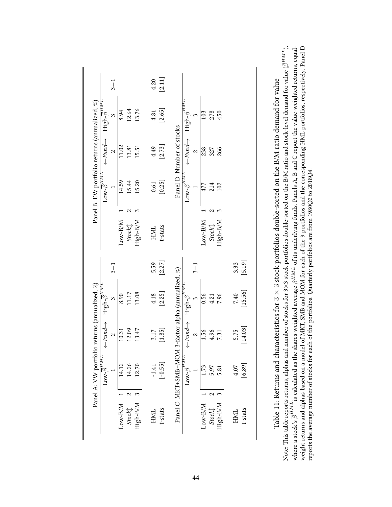<span id="page-44-0"></span>

|           |   | $\text{Low-}\overline{\beta}^{H\overline{ML}}$                | $\leftarrow$ Fund $\rightarrow$                     | ${\rm High}\overline{\beta}^{H\overline{M}L}$ |          |                                                                            |                      | $\text{Low-}\overline{\beta}^{H\overline{M}L}$ | $\leftarrow$ Fund $\rightarrow$ | ${\rm High}\overline{\beta}^{H\overline{M}L}$   |          |
|-----------|---|---------------------------------------------------------------|-----------------------------------------------------|-----------------------------------------------|----------|----------------------------------------------------------------------------|----------------------|------------------------------------------------|---------------------------------|-------------------------------------------------|----------|
|           |   |                                                               | $\sim$                                              |                                               | $3 - 1$  |                                                                            |                      |                                                |                                 | $\tilde{3}$                                     | $3 - 1$  |
| $Low-B/M$ |   | 14.12                                                         | 10.31                                               | 8.90                                          |          | $\text{Low-B/M}$                                                           |                      | 14.59                                          | 11.02                           | 8.94                                            |          |
| Stock     | Z | 14.26                                                         | 12.09                                               | 11.17                                         |          | $Stock\hspace{-0.05cm}\rule{0.7pt}{1.1ex}\hspace{-0.05cm}\hspace{0.025cm}$ | 2                    | 15.44                                          | 13.81                           | 12.64                                           |          |
| High-B/M  |   | 12.70                                                         | 13.47                                               | 13.08                                         |          | High-B/M                                                                   |                      | 15.20                                          | 15.51                           | 13.76                                           |          |
| HML       |   | $-1.41$                                                       | 3.17                                                | 4.18                                          | 5.59     | <b>HML</b>                                                                 |                      | 0.61                                           | 4.49                            | 4.81                                            | 4.20     |
| t-stats   |   | $[-0.55]$                                                     | [1.85]                                              | $[2.25]$                                      | $[2.27]$ | t-stats                                                                    |                      | [0.25]                                         | [2.73]                          | [2.65]                                          | $[2.11]$ |
|           |   |                                                               | Panel C: MKT+SMB+MOM 3-factor alpha (annualized, %) |                                               |          |                                                                            |                      |                                                | Panel D: Number of stocks       |                                                 |          |
|           |   | $\text{Low-}\overline{\beta}^{H\, \overline{M} \overline{L}}$ | $\leftarrow$ Fund $\rightarrow$                     | ${\rm High}\overline{\beta}^{HML}$            |          |                                                                            |                      | $\texttt{Low-}\overline{\beta}^{HMT}$          | $\leftarrow$ Fund $\rightarrow$ | $\text{High-}\overline{\beta}^{H\overline{M}L}$ |          |
|           |   |                                                               | $\sim$                                              | $\infty$                                      | $3 - 1$  |                                                                            |                      |                                                | $\sim$                          |                                                 |          |
| $Low-B/M$ |   | 1.73                                                          | 1.56                                                | 0.56                                          |          | $Low-B/M$                                                                  |                      | 477                                            | 238                             | 103                                             |          |
| Stock     | 2 | 5.97                                                          | 4.96                                                | 4.21                                          |          | Stock                                                                      | $\mathbf{\tilde{c}}$ | 214                                            | 327                             | 278                                             |          |
| High-B/M  | 3 | 5.81                                                          | 7.31                                                | 7.96                                          |          | High-B/M                                                                   |                      | 102                                            | 266                             | 450                                             |          |
| HML       |   | 4.07                                                          | 5.75                                                | 7.40                                          | 3.33     |                                                                            |                      |                                                |                                 |                                                 |          |
| t-stats   |   | [6.89]                                                        | $[14.03]$                                           | [15.56]                                       | $[5.19]$ |                                                                            |                      |                                                |                                 |                                                 |          |

weight returns and alphas based on a model of MKT, SMB and MOM for each of the 9 portfolios and the corresponding HML portfolios, respectively. Panel D  $\bar \beta^{HML}$ ),  $\beta^{HML}$  of its underlying funds. Panels A, B and C report the value-weighted returns, equal- $\times$ 3 stock portfolios double-sorted on the B/M ratio and stock-level demand for value ( $\beta$  stock portfolios double-sorted on the B/M ratio demand for value reports the average number of stocks for each of the portfolios. Quarterly portfolios are from 1980Q2 to 2018Q4. reports the average number of stocks for each of the portfolios. Quarterly portfolios are from 1980Q2 to 2018Q4. ಣ  $\overline{\beta}^{HML}$  is calculated as the shares-weighted average Note: This table reports returns, alphas and number of stocks for 3 ×ಌ Table 11: Returns and characteristics for where a stock's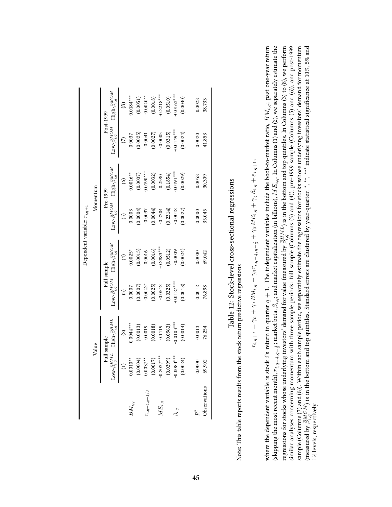<span id="page-45-0"></span>

|                 |                                              |                                            |                                |                                 | Dependent variable: $r_{i,q+1}$      |                                 |                                      |                                 |
|-----------------|----------------------------------------------|--------------------------------------------|--------------------------------|---------------------------------|--------------------------------------|---------------------------------|--------------------------------------|---------------------------------|
|                 |                                              | Value                                      |                                |                                 |                                      | Momentum                        |                                      |                                 |
|                 |                                              | Full sample                                |                                | Full sample                     |                                      | Pre-1999                        |                                      | Post-1999                       |
|                 | $\bar{\beta}^{HML}_{i,q}$<br>$Low$ - $\beta$ | ${\rm High}\text{-}\bar{\beta}^{HM}_{i,q}$ | Low- $\bar{\beta}^{MOM}_{i,q}$ | High- $\bar{\beta}^{MOM}_{i,q}$ | $\text{Low-}\bar{\beta}^{MOM}_{i,q}$ | High- $\bar{\beta}^{MOM}_{i,q}$ | $\text{Low-}\bar{\beta}^{MOM}_{i,q}$ | High- $\bar{\beta}_{i,q}^{MOM}$ |
|                 |                                              | $\widehat{c}$                              | $\widehat{\mathcal{E}}$        | $\bigoplus$                     | $\widehat{5}$                        | $\odot$                         | $\widehat{\in}$                      | $\circledS$                     |
|                 | $0.0010**$                                   | $0.0044***$                                | 0.0007                         | $0.0025*$                       | 0.0003                               | $0.0016***$                     | 0.0037                               | $0.0184***$                     |
|                 | (0.0004)                                     |                                            | (0.0007)                       |                                 | (0.0004)                             | $(0.0007)$<br>$0.0190***$       |                                      | $(0.0051)$<br>-0.0040**         |
| $i, q-4, q-1/3$ |                                              | $(0.0013)$<br>$0.0019$                     | $-0.0042$ *                    | $(0.0013)$<br>$0.0016$          | $-0.0037$                            |                                 | $(0.0025)$<br>-0.0041                |                                 |
|                 | $0.0037***$<br>(0.0017)<br>-0.2037***        |                                            | (0.0025)                       | $(0.0016)$<br>0.2883***         | (0.0044)                             | (0.0032)                        | (0.0027)                             | $(0.0018)$<br>$0.2218***$       |
| $ME_{i,q}$      |                                              | $(0.0018)$<br>0.1119                       | $-0.0512$                      |                                 | $-0.2304$                            | 0.2580                          |                                      |                                 |
|                 | (0.0399)                                     | (0.0963)                                   | (0.0325)                       | (0.0512)                        | (0.2314)                             | $(0.1854)$<br>$0.0191***$       |                                      | $(0.0510)$<br>$-0.0163***$      |
|                 | $-0.0083***$                                 | $0.0103***$                                | $0.0127***$                    | $-0.0009$                       | $-0.0012$                            |                                 | $(0.0315)$<br>$0.0149***$            |                                 |
|                 | (0.0024)                                     | (0.0014)                                   | (0.0018)                       | (0.0024)                        | (0.0027)                             | (0.0029)                        | (0.0024)                             | (0.0030)                        |
| $R^2$           | 0.0000                                       | 0.0013                                     | 0.0012                         | 0.0000                          | 0.0000                               | 0.0058                          | 0.0020                               | 0.0028                          |
| Observations    | 69,902                                       | 76,254                                     | 76,898                         | 69,042                          | 35,045                               | 30,309                          | 41,853                               | 38,733                          |

Table 12: Stock-level cross-sectional regressions Table 12: Stock-level cross-sectional regressions

Note: This table reports results from the stock return predictive regressions Note: This table reports results from the stock return predictive regressions

$$
r_{i,q+1} = \gamma_0 + \gamma_1 B M_{i,q} + \gamma_2 r_{i,q-4,q-\frac{1}{2}} + \gamma_3 M E_{i,q} + \gamma_4 \beta_{i,q} + \varepsilon_{i,q+1,q}
$$

where the dependent variable is stock i's return in quarter  $q + 1$ . The independent variables include the book-to-market ratio,  $BM_{i,q}$ ; past one-year return (skipping the most recent month),  $r_{i,q-4,q-\frac{1}{2}}$ ; market beta,  $\beta_{i,q}$ ; and market capitalization (in billions),  $MB_{i,q}$ . In Columns (1) and (2), we separately estimate the regressions for stocks whose underlying investors' demand for value (measured by  $\bar{\beta}_{i,q}^{HML}$ ) is in the bottom and top quintiles. In Columns (3) to (8), we perform similar analyses concerning momentum with three sample periods: full sample (Columns (3) and (4)), pre-1999 sample (Columns (5) and (6)), and post-1999 sample (Columns (7) and (8)). Within each sample period, we separately estimate the regressions for stocks whose underlying investors' demand for momentum (measured by  $\bar{\beta}^{MOM}_{i,q}$ ) is in the bottom and top quintiles. Standard errors are clustered by year-quarter.  $^*,$   $^{**}$ ,  $^{***}$  indicate statistical significance at 10%, 5% and where the dependent variable is stock  $i$ 's return in quarter  $q+1$ . The independent variables include the book-to-market ratio,  $BM_{i,q}$ ; past one-year return (skipping the most recent month),  $r_{i,q-4,q-\frac{1}{3}}$ ; market beta,  $\beta_{i,q}$ ; and market capitalization (in billions),  $MF_{i,q}$ . In Columns (1) and (2), we separately estimate the regressions for stocks whose underlying investors' demand for value (measured by  $\frac{\partial H}{\partial t}$ ) is in the bottom and top quintiles. In Columns (3) to (8), we perform similar analyses concerning momentum with three sample periods: full sample (Columns (3) and (4)), pre-1999 sample (Columns (5) and (6)), and post-1999 sample (Columns (7) and (8)). Within each sample period, we separately estimate the regressions for stocks whose underlying investors' demand for momentum (measured by  $\beta_{i,q}^{MOM}$  ) is in the bottom and top quintiles. Standard errors are clustered by year-quarter. \*, \*\*, \*\*\* indicate statistical significance at 10%, 5% and 1% levels, respectively. 1% levels, respectively.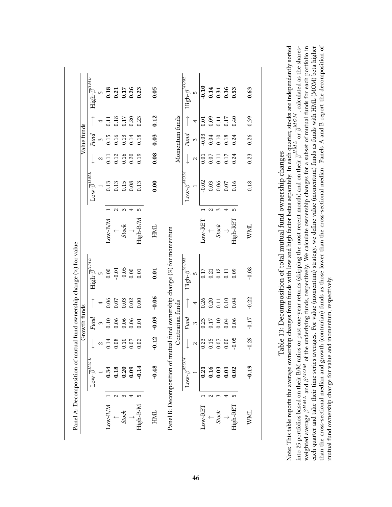<span id="page-46-0"></span>

|                                                                      | High- $\bar{\beta}^{HML}$                     | 5<br>4         | 0.18<br>$\overline{0.11}$ | 0.18     | $0.21$<br>$0.26$<br>$0.23$<br>$0.23$<br>0.17 | 0.20 | 0.23     | 0.05<br>0.12 |                                             |                  | High- $\overline{\beta}^{MOM}$        | 5<br>4         | $-0.10$<br>0.01 | 0.09 | 0.11             | $0.31$<br>$0.31$<br>$0.36$<br>0.17 | 0.53<br>0.40 | 0.63<br>0.39 |
|----------------------------------------------------------------------|-----------------------------------------------|----------------|---------------------------|----------|----------------------------------------------|------|----------|--------------|---------------------------------------------|------------------|---------------------------------------|----------------|-----------------|------|------------------|------------------------------------|--------------|--------------|
| Value funds                                                          | Fund                                          | $\infty$       | 0.15                      | 0.16     | 0.13                                         | 0.14 | 0.18     | 0.03         |                                             | Momentum funds   | Fund                                  | $\mathfrak{S}$ | $-0.03$         | 0.04 | 0.10             | 0.18                               | 0.24         | 0.26         |
|                                                                      |                                               | 2              | $\overline{0.11}$         | 0.12     | 0.16                                         | 0.20 | 0.19     | 0.08         |                                             |                  |                                       | 2              | 0.01            | 0.07 | 0.11             | 0.17                               | 0.24         | 0.23         |
|                                                                      | $\text{Low-}\overline{\beta}^{HML}$           |                | 0.13                      | 0.13     | $0.15$<br>$0.08$                             |      | 0.13     | 0.00         |                                             |                  | ${\rm Low\text{-}g}^{MOM}$            |                | $-0.02$         | 0.03 | $0.06$<br>$0.07$ |                                    | 0.16         | 0.18         |
|                                                                      |                                               |                |                           |          |                                              |      |          |              |                                             |                  |                                       |                |                 |      |                  |                                    |              |              |
|                                                                      |                                               |                | $_{\rm Low\text{-}BMM}$   |          | Stock                                        |      | High-B/M | HML          |                                             |                  |                                       |                | Low-RET         |      | Stock            |                                    | High-RET     | <b>NNL</b>   |
| Panel A: Decomposition of mutual fund ownership change (%) for value | $\mathrm{High}\text{-}\overline{\beta}^{HMT}$ | $\overline{5}$ | 0.00                      | $-0.01$  | $-0.05$                                      | 0.00 | 0.01     | 0.01         | tual fund ownership change (%) for momentum |                  | High- $\overline{\beta}^{MOM}$        | LC.            | 0.17            | 0.21 | 0.12             | 0.11                               | 0.09         | $-0.08$      |
|                                                                      |                                               | 4              | 0.06                      | $0.07\,$ | 0.03                                         | 0.02 | 0.00     | $-0.06$      |                                             |                  |                                       | 4              | 0.26            | 0.20 | 0.11             | 0.10                               | 0.04         | $-0.22$      |
| Growth funds                                                         | Fund                                          | $\infty$       | 0.10                      | 0.06     | 0.06                                         | 0.06 | 0.01     | $-0.09$      |                                             | Contrarian funds | Fund                                  | $\infty$       | 0.23            | 0.17 | 0.10             | 0.04                               | 0.06         | $-0.17$      |
|                                                                      |                                               | 2              | 0.14                      | 0.08     | $0.10\,$                                     | 0.07 | 0.02     | $-0.12$      |                                             |                  |                                       | 2              | 0.23            | 0.15 | $0.07\,$         | 0.00                               | $-0.05$      | $-0.29$      |
|                                                                      | $\text{Low-}\overline{\beta}^{HMT}$           |                | 0.34                      |          | $0.30$<br>$0.30$<br>$0.09$                   |      | $-0.14$  | $-0.48$      | Panel B: Decomposition of mu                |                  | $\textbf{row-}\overline{\beta}^{MOM}$ |                | 0.21            | 0.16 | 0.03             | 0.01                               | 0.02         | $-0.19$      |
|                                                                      |                                               |                |                           | 2        | 3                                            | +    | 5        |              |                                             |                  |                                       |                |                 | N    | ∾                | ⇥                                  | 5            |              |
|                                                                      |                                               |                | Low-B/M                   |          | Stock                                        |      | High-B/M | HML          |                                             |                  |                                       |                | Low-RET         |      | Stock            |                                    | High-RE.     | <b>WML</b>   |

Table 13: Decomposition of total mutual fund ownership changes Table 13: Decomposition of total mutual fund ownership changes

than the cross-sectional median and growth (contrarian) funds as those lower than the cross-sectional median. Panels A and B report the decomposition of Note: This table reports the average ownership changes from funds with low and high factor betas separately. In each quarter, stocks are independently sorted into 25 portfolios based on their B/M ratios or past one-year r weighted average  $\beta^{HML}$  and  $\beta^{MOM}$  of the underlying funds, respectively. We calculate ownership changes for a subset of mutual funds for each portfolio in each quarter and take their time-series averages. For value (momentum) strategy, we define value (momentum) funds as funds with HML (MOM) beta higher than the cross-sectional median and growth (contrarian) funds as those lower than the cross-sectional median. Panels A and B report the decomposition of Note: This table reports the average ownership changes from funds with low and high factor betas separately. In each quarter, stocks are independently sorted into 25 portfolios based on their B/M ratios or past one-year returns (skipping the most recent month) and on their  $\overline{\beta}^{HML}$  or  $\overline{\beta}^{HOLDM}$ , calculated as the sharesweighted average  $\beta^{HML}$  and  $\beta^{MOM}$  of the underlying funds, respectively. We calculate ownership changes for a subset of mutual funds for each portfolio in each quarter and take their time-series averages. For value (momentum) strategy, we define value (momentum) funds as funds with HML (MOM) beta higher mutual fund ownership change for value and momentum, respectively. mutual fund ownership change for value and momentum, respectively.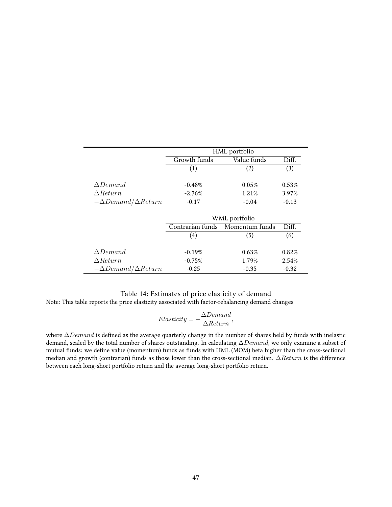<span id="page-47-0"></span>

|                                |                  | HML portfolio  |         |
|--------------------------------|------------------|----------------|---------|
|                                | Growth funds     | Value funds    | Diff.   |
|                                | (1)              | (2)            | (3)     |
| $\wedge$ Demand                | $-0.48%$         | 0.05%          | 0.53%   |
| $\triangle Return$             | $-2.76%$         | 1.21%          | 3.97%   |
| $-\Delta Demand/\Delta Return$ | $-0.17$          | $-0.04$        | $-0.13$ |
|                                |                  | WML portfolio  |         |
|                                | Contrarian funds | Momentum funds | Diff.   |
|                                | (4)              | (5)            | (6)     |
| $\triangle Demand$             | $-0.19%$         | 0.63%          | 0.82%   |
| $\triangle Return$             | $-0.75%$         | 1.79%          | 2.54%   |
| $-\Delta Demand/\Delta Return$ | $-0.25$          | $-0.35$        | $-0.32$ |

# Table 14: Estimates of price elasticity of demand

Note: This table reports the price elasticity associated with factor-rebalancing demand changes

$$
Elasticity = -\frac{\Delta Demand}{\Delta Return},
$$

where ∆Demand is defined as the average quarterly change in the number of shares held by funds with inelastic demand, scaled by the total number of shares outstanding. In calculating ∆Demand, we only examine a subset of mutual funds: we define value (momentum) funds as funds with HML (MOM) beta higher than the cross-sectional median and growth (contrarian) funds as those lower than the cross-sectional median. ∆Return is the difference between each long-short portfolio return and the average long-short portfolio return.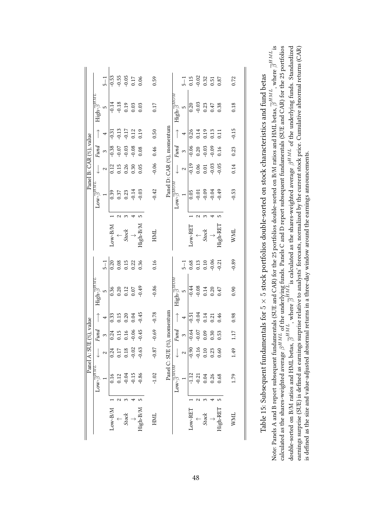<span id="page-48-0"></span>

|                         |                                                | $\frac{1}{2}$  | $-0.53$ |         | $-0.55$<br>$-0.05$<br>$0.17$<br>$0.06$               |         |          | 0.59    |                            |                                                       | $\frac{1}{2}$ | 0.15    |                  | $-0.02$<br>0.32<br>0.51 |         | 0.87     | 0.72        |
|-------------------------|------------------------------------------------|----------------|---------|---------|------------------------------------------------------|---------|----------|---------|----------------------------|-------------------------------------------------------|---------------|---------|------------------|-------------------------|---------|----------|-------------|
|                         | High- $\overline{\beta}^{H.}$                  | LO             | $-0.14$ | $-0.18$ | 0.19                                                 | 0.03    | 0.03     | 0.17    |                            | $\mathrm{High}\text{-}\overline{\beta}^{\mathbb{A}}$  | LO            | 0.20    | $-0.03$          | 0.23                    | 0.47    | 0.38     | 0.18        |
|                         |                                                |                | $-0.31$ | $-0.13$ | 0.17                                                 | 0.12    | 0.19     | 0.50    |                            | $\begin{array}{c}\uparrow\\ \uparrow \end{array}$     | 4             | 0.26    | 0.14             | 0.19                    | 0.13    | $\Xi$    | $-0.15$     |
|                         | Fund                                           | $\infty$       | $-0.38$ | $-0.07$ | $-0.03$                                              | $-0.08$ | 0.08     | 0.46    |                            | Fund                                                  | $\infty$      | $-0.06$ | 0.20             | $-0.03$                 | $-0.09$ | 0.16     | 0.23        |
| Panel B: CAR (%), value |                                                | 2              | 0.12    | 0.15    | 0.26                                                 | 0.30    | 0.05     | $-0.06$ |                            |                                                       | 2             | $-0.19$ | 0.06             | 0.01                    | 0.03    | 0.05     | 0.14        |
|                         | $\text{row-}\overline{\beta}^{HML}$            |                | 0.39    | 0.37    | 0.23                                                 | 0.14    | 0.03     | $-0.42$ | Panel D: CAR (%), momentum | $\texttt{row-}\overline{\beta}^{MOM}$                 |               | 0.05    | $-0.01$          | $-0.09$                 | 0.04    | 0.49     | $-0.53$     |
|                         |                                                |                |         |         |                                                      |         |          |         |                            |                                                       |               |         |                  |                         |         |          |             |
|                         |                                                |                | M/R-wor |         | $\begin{array}{c} \uparrow \ {} \\ 2tot \end{array}$ |         | High-B/M | HML     |                            |                                                       |               | Low-RET |                  | <b>Stock</b>            |         | High-RET | <b>WML</b>  |
|                         |                                                | $\frac{1}{2}$  | 0.20    | 0.08    | 0.15                                                 | 0.22    | 0.36     | 0.16    |                            |                                                       | $\frac{1}{2}$ |         | $0.68$<br>$0.13$ | 0.10                    | $-0.06$ | $-0.21$  | $-0.89$     |
|                         | High- $\overline{\beta}^{HM}$                  | $\overline{5}$ | 0.36    |         | 0.20<br>0.12<br>0.07                                 |         | 64.0     | $-0.86$ |                            | $\mathrm{High}\text{-}\overline{\beta}^{\mathrm{MF}}$ | 5             | $-0.44$ | $-0.08$          | 0.14                    | 0.20    | 0.47     | 0.90        |
|                         |                                                | 4              | 0.33    | 0.15    | 0.20                                                 | 0.04    | $-0.45$  | $-0.78$ |                            |                                                       | 4             | $-0.51$ | $-0.04$          | 0.14                    | 0.21    | 0.46     | 0.98        |
|                         | Fund                                           | $\infty$       | 0.24    | 0.15    | 0.16                                                 | $-0.06$ | $-0.45$  | $-0.69$ | $(\%)$ , momentum          | Fund                                                  | $\infty$      | $-0.64$ | $-0.07$          | 0.09                    | 0.30    | 0.53     | 1.17        |
| Panel A: SUE (%), value |                                                |                | 0.24    | 0.17    | 0.18                                                 |         | $-0.63$  | $-0.87$ |                            |                                                       |               | $-0.90$ | $-0.16$          | 0.10                    | 0.23    | 0.60     | 1.49        |
|                         | $\text{Low-}\overline{\beta}^{\overline{HMT}}$ |                | 0.16    | 0.12    | $-0.04$                                              | $-0.15$ | $-0.86$  | $-1.02$ | Panel C: SUE               | $\text{Low-}\overline{\beta}^{MOM}$                   |               | $-1.12$ | $-0.21$          | 0.04                    | 0.26    | 0.68     | 1.79        |
|                         |                                                |                |         |         |                                                      |         |          |         |                            |                                                       |               |         |                  |                         |         |          |             |
|                         |                                                |                | Low-B/M |         | Stock                                                |         | igh-B/M  | HML     |                            |                                                       |               | Low-RET |                  | Stock                   |         | High-RET | <b>NNIL</b> |

Table 15: Subsequent fundamentals for ທ ×ເລ stock portfolios double-sorted on stock characteristics and fund betas

calculated as the shares-weighted average  $\beta^{HML}$  of the underlying funds. Panels C and D report subsequent fundamentals (SUE and CAR) for the 25 portfolios double-sorted on B/M ratios and HML betas,  $\overline{\beta}^{HML}$ , where  $\overline{\beta}^{HML}$ is  $\beta^{HML}$  of the underlying funds. Panels C and D report subsequent fundamentals (SUE and CAR) for the 25 portfolios  $\beta^{HML}$  of the underlying funds. Standardized earnings surprise (SUE) is defined as earnings surprise relative to analysts' forecasts, normalized by the current stock price. Cumulative abnormal returns (CAR)  $\overline{\beta}^{HML}$  , where Note: Panels A and B report subsequent fundamentals (SUE and CAR) for the 25 portfolios double-sorted on B/M ratios and HML betas, is defined as the size and value-adjusted abnormal returns in a three-day window around the earnings announcements. is defined as the size and value-adjusted abnormal returns in a three-day window around the earnings announcements.  $\overline{\beta}^{HML}$  is calculated as the shares-weighted average double-sorted on B/M ratios and HML betas, calculated as the shares-weighted average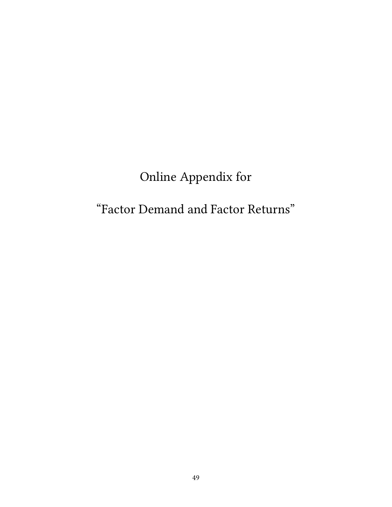# Online Appendix for

# "Factor Demand and Factor Returns"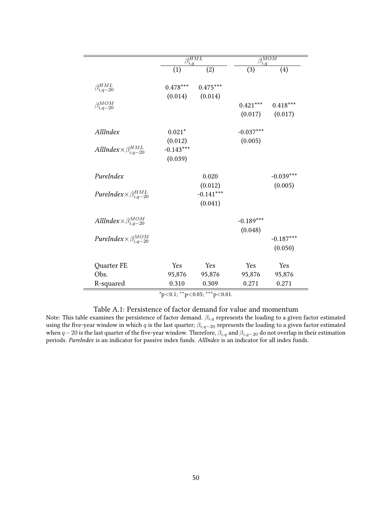<span id="page-50-0"></span>

|                                                        |             | $\beta_{i,q}^{HML}$ |             | $\beta_{i,q}^{MOM}$ |
|--------------------------------------------------------|-------------|---------------------|-------------|---------------------|
|                                                        | (1)         | (2)                 | (3)         | (4)                 |
| $\beta_{i,q-20}^{HML}$                                 | $0.478***$  | $0.475***$          |             |                     |
|                                                        | (0.014)     | (0.014)             |             |                     |
| $\beta_{i,q-20}^{MOM}$                                 |             |                     | $0.421***$  | $0.418***$          |
|                                                        |             |                     | (0.017)     | (0.017)             |
| AllIndex                                               | $0.021*$    |                     | $-0.037***$ |                     |
|                                                        | (0.012)     |                     | (0.005)     |                     |
| AllIndex $\times \beta_{i,q-20}^{HML}$                 | $-0.143***$ |                     |             |                     |
|                                                        | (0.039)     |                     |             |                     |
| PureIndex                                              |             | 0.020               |             | $-0.039***$         |
|                                                        |             | (0.012)             |             | (0.005)             |
| PureIndex $\times \beta_{i,q-20}^{HML}$                |             | $-0.141***$         |             |                     |
|                                                        |             | (0.041)             |             |                     |
| AllIndex $\frac{\beta_{i,q-20}^{MOM}}{\beta_{i,q-20}}$ |             |                     | $-0.189***$ |                     |
|                                                        |             |                     | (0.048)     |                     |
| PureIndex $\times \beta_{i,q-20}^{MOM}$                |             |                     |             | $-0.187***$         |
|                                                        |             |                     |             | (0.050)             |
| Quarter FE                                             | Yes         | Yes                 | Yes         | Yes                 |
| Obs.                                                   | 95,876      | 95,876              | 95,876      | 95,876              |
| R-squared                                              | 0.310       | 0.309               | 0.271       | 0.271               |

 $*p<0.1; **p<0.05; **p<0.01$ .

## Table A.1: Persistence of factor demand for value and momentum

Note: This table examines the persistence of factor demand.  $\beta_{i,q}$  represents the loading to a given factor estimated using the five-year window in which  $q$  is the last quarter;  $\beta_{i,q-20}$  represents the loading to a given factor estimated when  $q-20$  is the last quarter of the five-year window. Therefore,  $\beta_{i,q}$  and  $\beta_{i,q-20}$  do not overlap in their estimation periods. PureIndex is an indicator for passive index funds. AllIndex is an indicator for all index funds.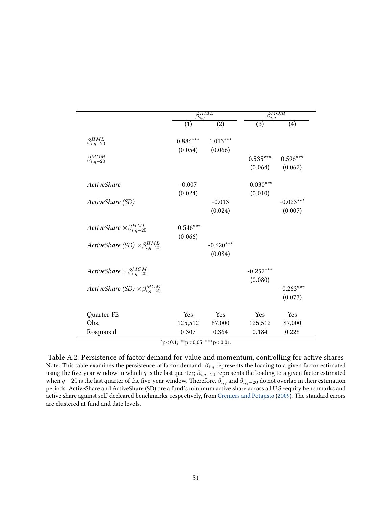|                                                |             | $\overline{\beta_{i,q}^{HML}}$ |             | $\beta_{i,q}^{MOM}$ |
|------------------------------------------------|-------------|--------------------------------|-------------|---------------------|
|                                                | (1)         | (2)                            | (3)         | (4)                 |
| $\beta_{i,q-20}^{HML}$                         | $0.886***$  | $1.013***$                     |             |                     |
|                                                | (0.054)     | (0.066)                        |             |                     |
| $\beta_{i,q-20}^{MOM}$                         |             |                                | $0.535***$  | $0.596***$          |
|                                                |             |                                | (0.064)     | (0.062)             |
| ActiveShare                                    | $-0.007$    |                                | $-0.030***$ |                     |
|                                                | (0.024)     |                                | (0.010)     |                     |
| ActiveShare (SD)                               |             | $-0.013$                       |             | $-0.023***$         |
|                                                |             | (0.024)                        |             | (0.007)             |
| ActiveShare $\times \beta_{i,q-20}^{HML}$      | $-0.546***$ |                                |             |                     |
|                                                | (0.066)     |                                |             |                     |
| ActiveShare (SD) $\times \beta_{i,q-20}^{HML}$ |             | $-0.620***$                    |             |                     |
|                                                |             | (0.084)                        |             |                     |
| ActiveShare $\times \beta_{i,q-20}^{MOM}$      |             |                                | $-0.252***$ |                     |
|                                                |             |                                | (0.080)     |                     |
| ActiveShare (SD) $\times \beta^{MOM}_{i,q-20}$ |             |                                |             | $-0.263***$         |
|                                                |             |                                |             | (0.077)             |
| Quarter FE                                     | Yes         | Yes                            | Yes         | Yes                 |
| Obs.                                           | 125,512     | 87,000                         | 125,512     | 87,000              |
| R-squared                                      | 0.307       | 0.364                          | 0.184       | 0.228               |

Table A.2: Persistence of factor demand for value and momentum, controlling for active shares Note: This table examines the persistence of factor demand.  $\beta_{i,q}$  represents the loading to a given factor estimated using the five-year window in which q is the last quarter;  $\beta_{i,q-20}$  represents the loading to a given factor estimated when  $q-20$  is the last quarter of the five-year window. Therefore,  $\beta_{i,q}$  and  $\beta_{i,q-20}$  do not overlap in their estimation periods. ActiveShare and ActiveShare (SD) are a fund's minimum active share across all U.S.-equity benchmarks and active share against self-decleared benchmarks, respectively, from [Cremers and Petajisto](#page-28-8) [\(2009\)](#page-28-8). The standard errors are clustered at fund and date levels.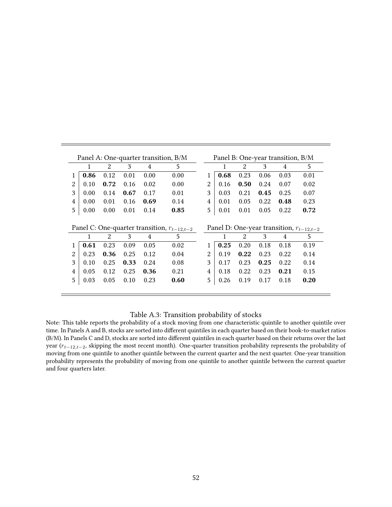<span id="page-52-0"></span>

|                         |      |               |      |      | Panel A: One-quarter transition, B/M            |                |      |                             |      | Panel B: One-year transition, B/M |                                              |
|-------------------------|------|---------------|------|------|-------------------------------------------------|----------------|------|-----------------------------|------|-----------------------------------|----------------------------------------------|
|                         |      | 2             | 3    | 4    | 5                                               |                |      | 2                           | 3    | 4                                 | 5                                            |
| 1                       | 0.86 | 0.12          | 0.01 | 0.00 | 0.00                                            |                | 0.68 | 0.23                        | 0.06 | 0.03                              | 0.01                                         |
| $\overline{2}$          | 0.10 | 0.72          | 0.16 | 0.02 | 0.00                                            | 2              | 0.16 | 0.50                        | 0.24 | 0.07                              | 0.02                                         |
| 3                       | 0.00 | 0.14          | 0.67 | 0.17 | 0.01                                            | 3              | 0.03 | 0.21                        | 0.45 | 0.25                              | 0.07                                         |
| 4                       | 0.00 | 0.01          | 0.16 | 0.69 | 0.14                                            | 4              | 0.01 | 0.05                        | 0.22 | 0.48                              | 0.23                                         |
| 5                       | 0.00 | 0.00          | 0.01 | 0.14 | 0.85                                            | 5              | 0.01 | 0.01                        | 0.05 | 0.22                              | 0.72                                         |
|                         |      |               | 3    |      | Panel C: One-quarter transition, $r_{t-12,t-2}$ |                |      | $\mathcal{D}_{\mathcal{L}}$ | 3    |                                   | Panel D: One-year transition, $r_{t-12,t-2}$ |
|                         |      | $\mathcal{L}$ |      | 4    | 5                                               |                | 1    |                             |      | 4                                 | 5                                            |
| 1                       | 0.61 | 0.23          | 0.09 | 0.05 | 0.02                                            |                | 0.25 | 0.20                        | 0.18 | 0.18                              | 0.19                                         |
| $\overline{2}$          | 0.23 | 0.36          | 0.25 | 0.12 | 0.04                                            | $\mathfrak{D}$ | 0.19 | 0.22                        | 0.23 | 0.22                              | 0.14                                         |
| 3                       | 0.10 | 0.25          | 0.33 | 0.24 | 0.08                                            | 3              | 0.17 | 0.23                        | 0.25 | 0.22                              | 0.14                                         |
| $\overline{\mathbf{4}}$ | 0.05 | 0.12          | 0.25 | 0.36 | 0.21                                            | 4              | 0.18 | 0.22                        | 0.23 | 0.21                              | 0.15                                         |
|                         |      |               |      |      |                                                 |                |      |                             |      |                                   |                                              |
| 5                       | 0.03 | 0.05          | 0.10 | 0.23 | 0.60                                            | 5              | 0.26 | 0.19                        | 0.17 | 0.18                              | 0.20                                         |

#### Table A.3: Transition probability of stocks

Note: This table reports the probability of a stock moving from one characteristic quintile to another quintile over time. In Panels A and B, stocks are sorted into different quintiles in each quarter based on their book-to-market ratios (B/M). In Panels C and D, stocks are sorted into different quintiles in each quarter based on their returns over the last year  $(r_{t-12,t-2}$ , skipping the most recent month). One-quarter transition probability represents the probability of moving from one quintile to another quintile between the current quarter and the next quarter. One-year transition probability represents the probability of moving from one quintile to another quintile between the current quarter and four quarters later.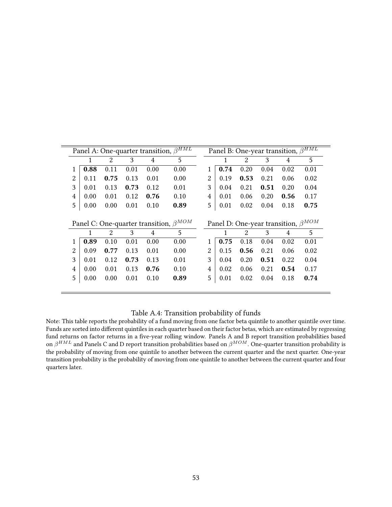<span id="page-53-0"></span>

|        |              |              |              |              | Panel A: One-quarter transition, $\beta^{HML}$ |   |              |              |              | Panel B: One-year transition, $\beta^{HML}$ |              |
|--------|--------------|--------------|--------------|--------------|------------------------------------------------|---|--------------|--------------|--------------|---------------------------------------------|--------------|
|        | 1            | 2            | 3            | 4            | 5                                              |   | 1            | 2            | 3            | 4                                           | 5            |
| 1      | 0.88         | 0.11         | 0.01         | 0.00         | 0.00                                           | 1 | 0.74         | 0.20         | 0.04         | 0.02                                        | 0.01         |
| 2      | 0.11         | 0.75         | 0.13         | 0.01         | 0.00                                           | 2 | 0.19         | 0.53         | 0.21         | 0.06                                        | 0.02         |
| 3      | 0.01         | 0.13         | 0.73         | 0.12         | 0.01                                           | 3 | 0.04         | 0.21         | 0.51         | 0.20                                        | 0.04         |
| 4      | 0.00         | 0.01         | 0.12         | 0.76         | 0.10                                           | 4 | 0.01         | 0.06         | 0.20         | 0.56                                        | 0.17         |
|        |              |              |              |              | 0.89                                           |   | 0.01         | 0.02         | 0.04         | 0.18                                        | 0.75         |
| 5      | 0.00         | 0.00         | 0.01         | 0.10         |                                                | 5 |              |              |              |                                             |              |
|        |              |              |              |              | Panel C: One-quarter transition, $\beta^{MOM}$ |   |              |              |              | Panel D: One-year transition, $\beta^{MOM}$ |              |
|        | 1            | 2            | 3            | 4            | 5                                              |   | 1            | 2            | 3            | 4                                           | 5            |
| 1<br>2 | 0.89<br>0.09 | 0.10<br>0.77 | 0.01<br>0.13 | 0.00<br>0.01 | 0.00<br>0.00                                   | 2 | 0.75<br>0.15 | 0.18<br>0.56 | 0.04<br>0.21 | 0.02<br>0.06                                | 0.01<br>0.02 |
| 3      | 0.01         | 0.12         | 0.73         | 0.13         | 0.01                                           | 3 | 0.04         | 0.20         | 0.51         | 0.22                                        | 0.04         |
| 4      | 0.00         | 0.01         | 0.13         | 0.76         | 0.10                                           | 4 | 0.02         | 0.06         | 0.21         | 0.54                                        | 0.17         |

## Table A.4: Transition probability of funds

Note: This table reports the probability of a fund moving from one factor beta quintile to another quintile over time. Funds are sorted into different quintiles in each quarter based on their factor betas, which are estimated by regressing fund returns on factor returns in a five-year rolling window. Panels A and B report transition probabilities based on  $\beta^{HML}$  and Panels C and D report transition probabilities based on  $\beta^{MOM}.$  One-quarter transition probability is the probability of moving from one quintile to another between the current quarter and the next quarter. One-year transition probability is the probability of moving from one quintile to another between the current quarter and four quarters later.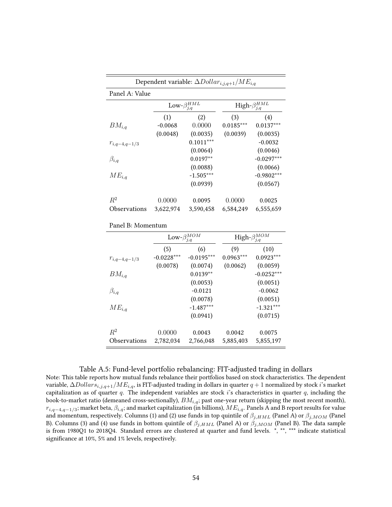<span id="page-54-0"></span>

|                   |           | Dependent variable: $\Delta Dollar_{i,j,q+1}/ME_{i,q}$ |             |                           |
|-------------------|-----------|--------------------------------------------------------|-------------|---------------------------|
| Panel A: Value    |           |                                                        |             |                           |
|                   |           | $\text{Low-}\beta^{HML}_{j,q}$                         |             | High- $\beta_{i,q}^{HML}$ |
|                   | (1)       | (2)                                                    | (3)         | (4)                       |
| $BM_{i,q}$        | $-0.0068$ | 0.0000                                                 | $0.0185***$ | $0.0137***$               |
|                   | (0.0048)  | (0.0035)                                               | (0.0039)    | (0.0035)                  |
| $r_{i,q-4,q-1/3}$ |           | $0.1011***$                                            |             | $-0.0032$                 |
|                   |           | (0.0064)                                               |             | (0.0046)                  |
| $\beta_{i,q}$     |           | $0.0197**$                                             |             | $-0.0297***$              |
|                   |           | (0.0088)                                               |             | (0.0066)                  |
| $ME_{i,q}$        |           | $-1.505***$                                            |             | $-0.9802***$              |
|                   |           | (0.0939)                                               |             | (0.0567)                  |
| $R^2$             | 0.0000    | 0.0095                                                 | 0.0000      | 0.0025                    |
| Observations      | 3,622,974 | 3,590,458                                              | 6,584,249   | 6,555,659                 |

|  | Panel B: Momentum |
|--|-------------------|
|--|-------------------|

|                   |              | $\text{Low-}\beta^{MOM}_{j,q}$ |             | High- $\beta^{MOM}_{j,q}$ |  |  |  |  |
|-------------------|--------------|--------------------------------|-------------|---------------------------|--|--|--|--|
|                   | (5)          | (6)                            | (9)         | (10)                      |  |  |  |  |
| $r_{i,q-4,q-1/3}$ | $-0.0228***$ | $-0.0195***$                   | $0.0963***$ | $0.0923***$               |  |  |  |  |
|                   | (0.0078)     | (0.0074)                       | (0.0062)    | (0.0059)                  |  |  |  |  |
| $BM_{i,q}$        |              | $0.0139**$                     |             | $-0.0252***$              |  |  |  |  |
|                   |              | (0.0053)                       |             | (0.0051)                  |  |  |  |  |
| $\beta_{i,q}$     |              | $-0.0121$                      |             | $-0.0062$                 |  |  |  |  |
|                   |              | (0.0078)                       |             | (0.0051)                  |  |  |  |  |
| $ME_{i,q}$        |              | $-1.487***$                    |             | $-1.321***$               |  |  |  |  |
|                   |              | (0.0941)                       |             | (0.0715)                  |  |  |  |  |
| $R^2$             | 0.0000       | 0.0043                         | 0.0042      | 0.0075                    |  |  |  |  |
| Observations      | 2,782,034    | 2,766,048                      | 5,885,403   | 5,855,197                 |  |  |  |  |

#### Table A.5: Fund-level portfolio rebalancing: FIT-adjusted trading in dollars

Note: This table reports how mutual funds rebalance their portfolios based on stock characteristics. The dependent variable,  $\Delta Dollar s_{i,j,q+1}/ME_{i,q}$ , is FIT-adjusted trading in dollars in quarter  $q+1$  normalized by stock i's market capitalization as of quarter  $q$ . The independent variables are stock  $i$ 's characteristics in quarter  $q$ , including the book-to-market ratio (demeaned cross-sectionally),  $BM_{i,q}$ ; past one-year return (skipping the most recent month),  $r_{i,q-4,q-1/3}$ ; market beta,  $\beta_{i,q}$ ; and market capitalization (in billions),  $ME_{i,q}$ . Panels A and B report results for value and momentum, respectively. Columns (1) and (2) use funds in top quintile of  $\beta_{j,HML}$  (Panel A) or  $\beta_{j,MOM}$  (Panel B). Columns (3) and (4) use funds in bottom quintile of  $\beta_{j,HML}$  (Panel A) or  $\beta_{j,MOM}$  (Panel B). The data sample is from 1980Q1 to 2018Q4. Standard errors are clustered at quarter and fund levels. \*, \*\*, \*\*\* indicate statistical significance at 10%, 5% and 1% levels, respectively.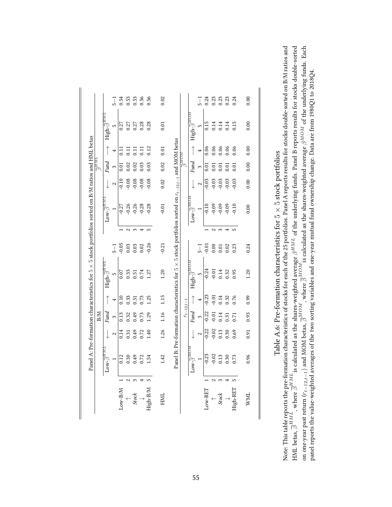<span id="page-55-0"></span>

|                                                                                                             |                                      | $\frac{1}{2}$ | 0.54            | 0.53    | 0.53                                    | 0.56          | 0.56     | 0.02       |                                                                                                                 |                  |                                              | $\frac{1}{2}$  | 0.24    | 0.23         | 0.23    | 0.23    | 0.24       | 0.00       |
|-------------------------------------------------------------------------------------------------------------|--------------------------------------|---------------|-----------------|---------|-----------------------------------------|---------------|----------|------------|-----------------------------------------------------------------------------------------------------------------|------------------|----------------------------------------------|----------------|---------|--------------|---------|---------|------------|------------|
|                                                                                                             | High- $\overline{\beta}^{HML}$       | S             | 0.27            | 0.27    | 0.27                                    | 0.28          | 0.28     | 0.01       |                                                                                                                 |                  | $\text{High-}\overline{\beta}^{MOM}$         | $\overline{5}$ | 0.15    | 0.14         | 0.14    | 0.14    | 0.15       | 0.00       |
|                                                                                                             | $\uparrow$                           | 4             | $\overline{11}$ | 0.11    | 11                                      | 11            | 0.12     | 0.01       |                                                                                                                 |                  | $\uparrow$                                   | 4              | 0.06    | 0.06         | 0.06    | 0.06    | 0.06       | 0.00       |
| $\tau_{\scriptscriptstyle{W}\scriptscriptstyle{H}}\underline{\varrho}$                                      | Fund                                 | $\infty$      | 0.01            | 0.02    | 0.02                                    | 0.03          | 0.03     | 0.02       |                                                                                                                 | $_{m\alpha m}$ l | Fund                                         | 3              | 0.01    | 0.01         | 0.01    | 0.01    | 0.01       | 0.00       |
|                                                                                                             |                                      | 2             | $-0.10$         | $-0.08$ | $-0.08$                                 | $-0.08$       | $-0.08$  | 0.02       |                                                                                                                 |                  |                                              | 2              | $-0.03$ | $-0.03$      | $-0.03$ | $-0.03$ | 0.03       | 0.00       |
|                                                                                                             | $\text{row-}\overline{\beta}^{HML}$  |               | $-0.27$         | $-0.26$ | $-0.26$                                 | $-0.28$       | $-0.28$  | $-0.01$    |                                                                                                                 |                  | $Low - \overline{\beta}^{MOD.}$              |                | $-0.10$ | $-0.09$      | $-0.09$ | $-0.09$ | 0.10       | 0.00       |
|                                                                                                             |                                      |               |                 | $\sim$  | $\sim$                                  | 4             | S        |            |                                                                                                                 |                  |                                              |                |         | $\sim$       | 3       | 4       | $\sqrt{2}$ |            |
|                                                                                                             |                                      | $\frac{1}{2}$ | $-0.05$         | 0.03    | 0.03                                    | 0.02          | $-0.26$  | $-0.21$    |                                                                                                                 |                  |                                              | $\frac{1}{2}$  | $-0.01$ | 0.00         | 0.01    | 0.02    | 0.23       | 0.24       |
| Panel A: Pre-formation characteristics for $5 \times 5$ stock portfolios sorted on B/M ratios and HML betas | $\text{High-}\overline{\beta}^{HMT}$ | m             | 0.07            | 0.33    | 0.51                                    | 0.74          | 1.27     | 1.20       | Panel B: Pre-formation characteristics for $5 \times 5$ stock portfolios sorted on $r_{t-12,t-1}$ and MOM betas |                  | High- $\overline{\beta}^{MD}$                | 5              | $-0.24$ | $-0.01$      | 0.14    | 0.32    | 0.95       | 1.20       |
|                                                                                                             | $\uparrow$                           | 4             | 0.10            | 0.33    | 0.51                                    | 0.73          | 1.25     | 1.15       |                                                                                                                 |                  | $\uparrow$                                   | 4              | $-0.23$ | $-0.01$      | 0.14    | 0.32    | 0.76       | 0.99       |
| B/M                                                                                                         | Fund                                 | $\infty$      | 0.13            | 0.32    | 0.49                                    | 0.73          | 1.29     | 1.16       |                                                                                                                 | $r_{t-12,t-1}$   | Fund                                         | 3              | $-0.22$ | $-0.01$      | 0.14    | 0.31    | 0.71       | 0.93       |
|                                                                                                             |                                      | 2             | 0.14            | 0.31    | 0.49                                    | 0.72          | 1.40     | 1.26       |                                                                                                                 |                  |                                              | 2              | $-0.22$ | $-0.02$      | 0.13    | 0.30    | 0.69       | 0.91       |
|                                                                                                             | $\text{Low-}\overline{\beta}^{HM}$   |               | 0.12            | 0.30    | 0.49                                    | 0.72          | 1.54     | 1.42       |                                                                                                                 |                  | $\mathbf{Low}\text{-}\overline{\beta}^{MDA}$ |                | $-0.23$ | $-0.02$      | 0.13    | 0.30    | 0.73       | 0.96       |
|                                                                                                             |                                      |               |                 | $\sim$  | 3                                       |               | S        |            |                                                                                                                 |                  |                                              |                |         | $\sim$       | 3       |         |            |            |
|                                                                                                             |                                      |               | Low-B/M         |         | $\begin{array}{c} + \\ 250 \end{array}$ | $\rightarrow$ | High-B/M | <b>HNL</b> |                                                                                                                 |                  |                                              |                | Low-RET | $\leftarrow$ | Stock   |         | High-RET   | <b>WML</b> |

Note: This table reports the pre-formation characteristics of stocks for each of the 25 portfolios. Panel A reports results for stocks double-sorted on B/M ratios and HML betas,  $\overline{\beta}^{HML}$ , where  $\overline{\beta}^{HML}$  is calcula Note: This table reports the pre-formation characteristics of stocks for each of the 25 portfolios. Panel A reports results for stocks double-sorted on B/M ratios and HML betas,  $\overline{\beta}^{HML}$  , where  $\overline{\beta}^{HML}$  is calculated as the shares-weighted average  $\beta^{HML}$  of the underlying funds. Panel B reports results for stocks double-sorted on one-year past return ( $r_{t-12,t-1}$ ) and MOM betas,  $\overline{\beta}^{MOM}$ , where  $\overline{\beta}^{MOM}$  is calculated as the shares-weighted average  $\beta^{MOM}$  of the underlying funds. Each panel reports the value-weighted averages of the two sorting variables and one-year mutual fund ownership change. Data are from 1980Q1 to 2018Q4.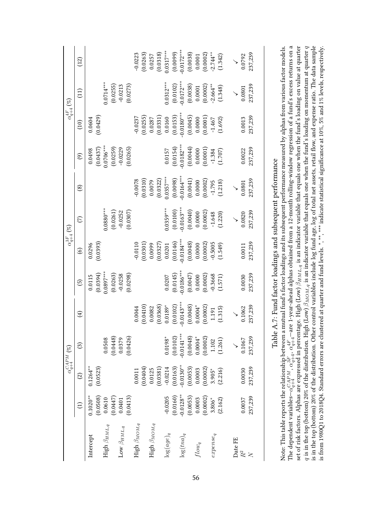<span id="page-56-0"></span>

|                               |                         |                           | $\alpha_{q+4}^{CAPM}$ $(\%)$ |                            |                         |                                    | $\alpha_{q+4}^{3F}\left( \%\\right)$                         |                                       |                                                                                    | $\alpha_{q+4}^{4F}\left( \%)$                                    |                            |                                                                             |
|-------------------------------|-------------------------|---------------------------|------------------------------|----------------------------|-------------------------|------------------------------------|--------------------------------------------------------------|---------------------------------------|------------------------------------------------------------------------------------|------------------------------------------------------------------|----------------------------|-----------------------------------------------------------------------------|
|                               | $\widehat{\Xi}$         | $\widehat{c}$             | ⊙                            | $\bigoplus$                | $\widehat{5}$           | $\circledcirc$                     | $\widehat{\subset}$                                          | $^{\circledR}$                        | $\circledcirc$                                                                     | (10)                                                             | $\left(11\right)$          | (12)                                                                        |
| Intercept                     | (0.0508)<br>$0.1020***$ | $0.1264***$<br>(0.0523)   |                              |                            | (0.0394)<br>0.0115      | (0.0393)<br>0.0296                 |                                                              |                                       | 0.0498                                                                             | (0.0429)<br>0.0604                                               |                            |                                                                             |
| High $\beta_{HML,q}$          | (0.0447)<br>0.0610      |                           | (0.0448)<br>0.0508           |                            | $0.0897***$<br>(0.0263) |                                    | $0.0880***$<br>(0.0261)                                      |                                       | $(0.0437)$<br>$0.0706***$<br>(0.0259)                                              |                                                                  | $0.0714***$<br>(0.0255)    |                                                                             |
| $\textbf{Low}\ \beta_{HML,q}$ | (0.0413)<br>0.0401      |                           | (0.0426)<br>0.0379           |                            | (0.0298)<br>$-0.0258$   |                                    | (0.0307)<br>$-0.0252$                                        |                                       | $-0.0229$<br>(0.0265)                                                              |                                                                  | (0.0273)<br>$-0.0213$      |                                                                             |
| High $\beta_{MOM,q}$          |                         | (0.0404)<br>0.0011        |                              | (0.0410)<br>0.0044         |                         | $-0.0110$<br>(0.0301)              |                                                              | (0.0310)<br>$-0.0078$                 |                                                                                    | $-0.0237$                                                        |                            | (0.0263)<br>$-0.0223$                                                       |
| High $\beta_{MOM,q}$          |                         | 0.0125                    |                              | 0.0082                     |                         | 0.0099                             |                                                              | 0.0079                                |                                                                                    | $(0.0255)$<br>$0.0287$                                           |                            | 0.0257                                                                      |
|                               |                         | (0.0381)                  |                              | (0.0368)                   |                         | (0.0327)                           |                                                              | (0.0322)                              |                                                                                    | (0.0331)                                                         |                            | (0.0318)                                                                    |
| $\log(age)_q$                 | $-0.0205$               | $-0.0214$                 | $0.0198*$                    | $0.0189*$                  | 0.0207                  | $0.0201$<br>(0.0146)<br>-0.0184*** | $0.0359***$                                                  | $0.0357***$<br>(0.0098)<br>-0.0164*** | 0.0157                                                                             | $\begin{array}{c} 0.0160 \ (0.0153) \ -0.0180^{***} \end{array}$ | $0.0312***$                | $0.0317***$                                                                 |
|                               | (0.0160)                | $(0.0163)$<br>$-0.0130**$ |                              | $(0.0102)$<br>$-0.0143***$ | (0.0145)                |                                    | $(0.0100)$<br>-0.0163***                                     |                                       | (0.0154)                                                                           |                                                                  | $(0.0102)$<br>$-0.0172***$ | $(0.0099)$<br>$-0.0172***$                                                  |
| $\log(tna)_q$                 | $0.0128***$             |                           | $(0.0102)$<br>-0.0141***     |                            | $0.0186***$             |                                    |                                                              |                                       | $-0.0182***$                                                                       |                                                                  |                            |                                                                             |
|                               | (0.0053)                | (0.0053)                  | (0.0048)                     | $(0.0048)$<br>0.0004*      | (0.0047)                | $(0.0048)$<br>0.0000               | $(0.0040)$<br>$0.0000$                                       | $(0.0041)$<br>$0.0000$                | $\begin{array}{c} (0.0044) \\ 0.0000 \\ (0.0001) \\ -1.384 \\ (1.707) \end{array}$ | (0.0045)                                                         | $(0.0038)$<br>$0.0001$     | (0.0038)                                                                    |
| $flow_q$                      | 0.0003                  | 0.0003                    | $0.0004*$                    |                            | 0.0000                  |                                    |                                                              |                                       |                                                                                    | 0.0000                                                           |                            | $\begin{array}{c} 0.0001 \\ (0.0002) \\ -2.744^{**} \\ (1.342) \end{array}$ |
|                               | (0.0002)                | (0.0002)                  | (0.0002)                     | (0.0002)                   | (0.0002)                | (0.0002)                           | (0.0002)                                                     | (0.0002)                              |                                                                                    | (0.0001)                                                         | $(0.0002)$<br>-2.664**     |                                                                             |
| $expense_q$                   | $3.806*$                | $3.905*$                  | $1.102$                      | $1.191\,$                  | $-0.3668$               | $-0.5005$<br>(1.549)               | $-1.648$<br>(1.220)                                          | $-1.795$                              |                                                                                    | $-1.467$                                                         |                            |                                                                             |
|                               | (2.162)                 | (2.216)                   | (1.261)                      | (1.315)                    | (1.571)                 |                                    |                                                              | (1.218)                               |                                                                                    | (1.692)                                                          | (1.348)                    |                                                                             |
| Date FE                       |                         |                           |                              |                            |                         |                                    |                                                              |                                       |                                                                                    |                                                                  |                            |                                                                             |
| $\mathbb{R}^2$                | 0.0037                  | 0.0030                    | 0.1067                       | 0.1062                     | 0.0030                  | $\frac{0.0011}{237,239}$           | 0.0820                                                       | 0.0801                                | 0.0022                                                                             | $\frac{0.0013}{237,239}$                                         | 0.0801                     | 0.0792                                                                      |
| $\overline{\mathsf{K}}$       | 237,239                 | 237,239                   | 237,239                      | 237,239                    | 237,239                 |                                    | 237,239                                                      | 237,239                               | 237,239                                                                            |                                                                  | 237,239                    | 237,239                                                                     |
|                               |                         |                           | Table<br>T                   |                            |                         |                                    | $\Delta$ 7. Find factor loadings and subscription narrowance |                                       |                                                                                    |                                                                  |                            |                                                                             |

The dependent variables— $\alpha^{GAPM}_{q+4}$  ,  $\alpha^{3F}_{q+4}$  ,  $\alpha^{4F}_{q+4}$  –are 1-year-ahead alphas obtained from a 12-month rolling-window regression of a fund's excess returns on a  $q$  is in the top (bottom) 20% of the distribution. High (Low)  $\beta_{MOM,q}$  is an indicator variable that equals one when the fund's loading on momentum at quarter  $q$  is in the top (bottom) 20% of the distribution. Other co Note: This table reports the relationship between a mutual fund's factor loadings and its subsequent performance measured by alphas from various factor models. The dependent variables $-\alpha_{q+4}^{CAPM}$ ,  $\alpha_{q+4}^{3F}$ ,  $\alpha_{q+4}^{3F}$  are 1-year-ahead alphas obtained from a 12-month rolling-window regression of a fund's excess returns on a set of risk factors. Alphas are expressed in percentage. High (Low)  $\beta_{HML,q}$  is an indicator variable that equals one when the fund's loading on value at quarter is from 1980Q1 to 2018Q4. Standard errors are clustered at quarter and fund levels. \*, \*\*, \*\*\* indicate statistical significance at 10%, 5% and 1% levels, respectively. Note: This table reports the relationship between a mutual fund's factor loadings and its subsequent performance measured by alphas from various factor models. set of risk factors. Alphas are expressed in percentage. High (Low)  $\beta_{HML,q}$  is an indicator variable that equals one when the fund's loading on value at quarter  $q$  is in the top (bottom) 20% of the distribution. High (Low)  $\beta_{MOM,q}$  is an indicator variable that equals one when the fund's loading on momentum at quarter  $q$ is in the top (bottom) 20% of the distribution. Other control variables include log fund age, log of total net assets, retail flow, and expense ratio. The data sample is from 1980Q1 to 2018Q4. Standard errors are clustered at quarter and fund levels. \*, \*\*, \*\*\* indicate statistical significance at 10%, 5% and 1% levels, respectively. able A.7: Fund factor loadings and subsequent performance. Table A.7: Fund factor loadings and subsequent performance